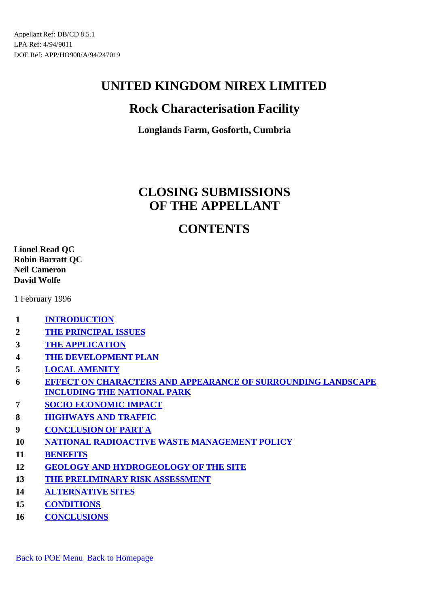## **Rock Characterisation Facility**

**Longlands Farm, Gosforth, Cumbria**

# **CLOSING SUBMISSIONS OF THE APPELLANT**

## **CONTENTS**

**Lionel Read QC Robin Barratt QC Neil Cameron David Wolfe**

1 February 1996

- **1 INTRODUCTION**
- **2 THE PRINCIPAL ISSUES**
- **3 THE APPLICATION**
- **4 THE DEVELOPMENT PLAN**
- **5 LOCAL AMENITY**
- **6 EFFECT ON CHARACTERS AND APPEARANCE OF SURROUNDING LANDSCAPE INCLUDING THE NATIONAL PARK**
- **7 SOCIO ECONOMIC IMPACT**
- **8 HIGHWAYS AND TRAFFIC**
- **9 CONCLUSION OF PART A**
- **10 NATIONAL RADIOACTIVE WASTE MANAGEMENT POLICY**
- **11 BENEFITS**
- **12 GEOLOGY AND HYDROGEOLOGY OF THE SITE**
- **13 THE PRELIMINARY RISK ASSESSMENT**
- **14 ALTERNATIVE SITES**
- **15 CONDITIONS**
- **16 CONCLUSIONS**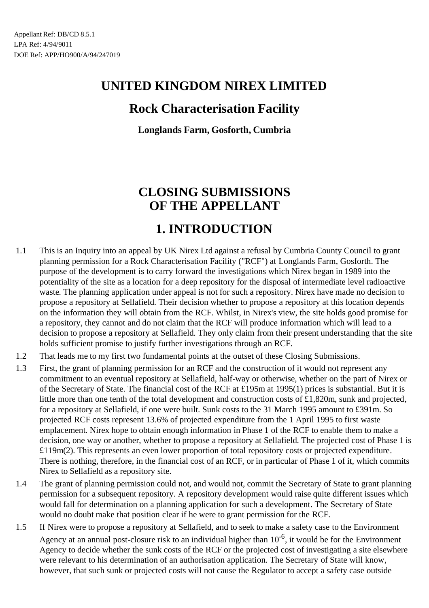## **Rock Characterisation Facility**

**Longlands Farm, Gosforth, Cumbria**

# **CLOSING SUBMISSIONS OF THE APPELLANT**

## **1. INTRODUCTION**

- 1.1 This is an Inquiry into an appeal by UK Nirex Ltd against a refusal by Cumbria County Council to grant planning permission for a Rock Characterisation Facility ("RCF") at Longlands Farm, Gosforth. The purpose of the development is to carry forward the investigations which Nirex began in 1989 into the potentiality of the site as a location for a deep repository for the disposal of intermediate level radioactive waste. The planning application under appeal is not for such a repository. Nirex have made no decision to propose a repository at Sellafield. Their decision whether to propose a repository at this location depends on the information they will obtain from the RCF. Whilst, in Nirex's view, the site holds good promise for a repository, they cannot and do not claim that the RCF will produce information which will lead to a decision to propose a repository at Sellafield. They only claim from their present understanding that the site holds sufficient promise to justify further investigations through an RCF.
- 1.2 That leads me to my first two fundamental points at the outset of these Closing Submissions.
- 1.3 First, the grant of planning permission for an RCF and the construction of it would not represent any commitment to an eventual repository at Sellafield, half-way or otherwise, whether on the part of Nirex or of the Secretary of State. The financial cost of the RCF at £195m at 1995(1) prices is substantial. But it is little more than one tenth of the total development and construction costs of £1,820m, sunk and projected, for a repository at Sellafield, if one were built. Sunk costs to the 31 March 1995 amount to £391m. So projected RCF costs represent 13.6% of projected expenditure from the 1 April 1995 to first waste emplacement. Nirex hope to obtain enough information in Phase 1 of the RCF to enable them to make a decision, one way or another, whether to propose a repository at Sellafield. The projected cost of Phase 1 is £119m(2). This represents an even lower proportion of total repository costs or projected expenditure. There is nothing, therefore, in the financial cost of an RCF, or in particular of Phase 1 of it, which commits Nirex to Sellafield as a repository site.
- 1.4 The grant of planning permission could not, and would not, commit the Secretary of State to grant planning permission for a subsequent repository. A repository development would raise quite different issues which would fall for determination on a planning application for such a development. The Secretary of State would no doubt make that position clear if he were to grant permission for the RCF.
- 1.5 If Nirex were to propose a repository at Sellafield, and to seek to make a safety case to the Environment Agency at an annual post-closure risk to an individual higher than  $10^{-6}$ , it would be for the Environment Agency to decide whether the sunk costs of the RCF or the projected cost of investigating a site elsewhere were relevant to his determination of an authorisation application. The Secretary of State will know, however, that such sunk or projected costs will not cause the Regulator to accept a safety case outside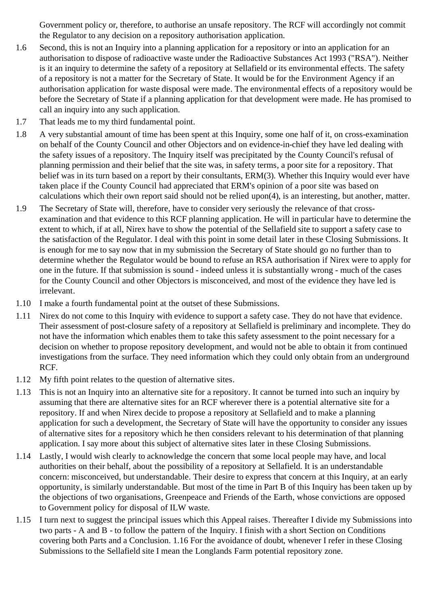Government policy or, therefore, to authorise an unsafe repository. The RCF will accordingly not commit the Regulator to any decision on a repository authorisation application.

- 1.6 Second, this is not an Inquiry into a planning application for a repository or into an application for an authorisation to dispose of radioactive waste under the Radioactive Substances Act 1993 ("RSA"). Neither is it an inquiry to determine the safety of a repository at Sellafield or its environmental effects. The safety of a repository is not a matter for the Secretary of State. It would be for the Environment Agency if an authorisation application for waste disposal were made. The environmental effects of a repository would be before the Secretary of State if a planning application for that development were made. He has promised to call an inquiry into any such application.
- 1.7 That leads me to my third fundamental point.
- 1.8 A very substantial amount of time has been spent at this Inquiry, some one half of it, on cross-examination on behalf of the County Council and other Objectors and on evidence-in-chief they have led dealing with the safety issues of a repository. The Inquiry itself was precipitated by the County Council's refusal of planning permission and their belief that the site was, in safety terms, a poor site for a repository. That belief was in its turn based on a report by their consultants, ERM(3). Whether this Inquiry would ever have taken place if the County Council had appreciated that ERM's opinion of a poor site was based on calculations which their own report said should not be relied upon(4), is an interesting, but another, matter.
- 1.9 The Secretary of State will, therefore, have to consider very seriously the relevance of that crossexamination and that evidence to this RCF planning application. He will in particular have to determine the extent to which, if at all, Nirex have to show the potential of the Sellafield site to support a safety case to the satisfaction of the Regulator. I deal with this point in some detail later in these Closing Submissions. It is enough for me to say now that in my submission the Secretary of State should go no further than to determine whether the Regulator would be bound to refuse an RSA authorisation if Nirex were to apply for one in the future. If that submission is sound - indeed unless it is substantially wrong - much of the cases for the County Council and other Objectors is misconceived, and most of the evidence they have led is irrelevant.
- 1.10 I make a fourth fundamental point at the outset of these Submissions.
- 1.11 Nirex do not come to this Inquiry with evidence to support a safety case. They do not have that evidence. Their assessment of post-closure safety of a repository at Sellafield is preliminary and incomplete. They do not have the information which enables them to take this safety assessment to the point necessary for a decision on whether to propose repository development, and would not be able to obtain it from continued investigations from the surface. They need information which they could only obtain from an underground RCF.
- 1.12 My fifth point relates to the question of alternative sites.
- 1.13 This is not an Inquiry into an alternative site for a repository. It cannot be turned into such an inquiry by assuming that there are alternative sites for an RCF wherever there is a potential alternative site for a repository. If and when Nirex decide to propose a repository at Sellafield and to make a planning application for such a development, the Secretary of State will have the opportunity to consider any issues of alternative sites for a repository which he then considers relevant to his determination of that planning application. I say more about this subject of alternative sites later in these Closing Submissions.
- 1.14 Lastly, I would wish clearly to acknowledge the concern that some local people may have, and local authorities on their behalf, about the possibility of a repository at Sellafield. It is an understandable concern: misconceived, but understandable. Their desire to express that concern at this Inquiry, at an early opportunity, is similarly understandable. But most of the time in Part B of this Inquiry has been taken up by the objections of two organisations, Greenpeace and Friends of the Earth, whose convictions are opposed to Government policy for disposal of ILW waste.
- 1.15 I turn next to suggest the principal issues which this Appeal raises. Thereafter I divide my Submissions into two parts - A and B - to follow the pattern of the Inquiry. I finish with a short Section on Conditions covering both Parts and a Conclusion. 1.16 For the avoidance of doubt, whenever I refer in these Closing Submissions to the Sellafield site I mean the Longlands Farm potential repository zone.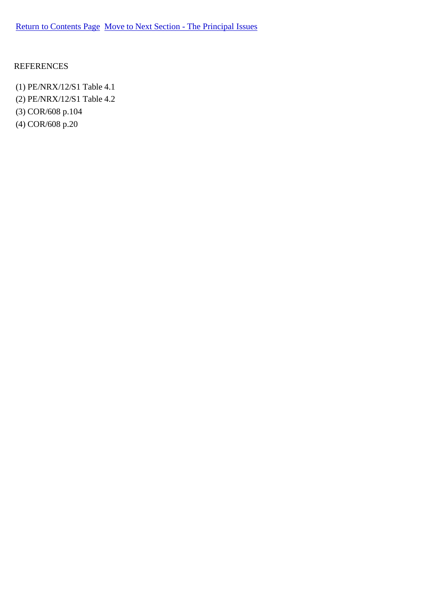#### REFERENCES

(1) PE/NRX/12/S1 Table 4.1 (2) PE/NRX/12/S1 Table 4.2 (3) COR/608 p.104 (4) COR/608 p.20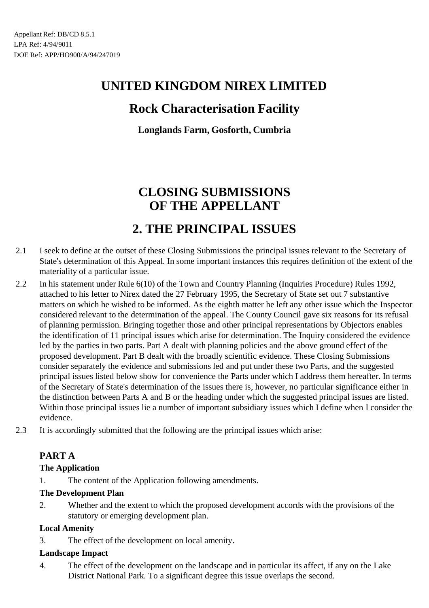## **Rock Characterisation Facility**

**Longlands Farm, Gosforth, Cumbria**

# **CLOSING SUBMISSIONS OF THE APPELLANT**

## **2. THE PRINCIPAL ISSUES**

- 2.1 I seek to define at the outset of these Closing Submissions the principal issues relevant to the Secretary of State's determination of this Appeal. In some important instances this requires definition of the extent of the materiality of a particular issue.
- 2.2 In his statement under Rule 6(10) of the Town and Country Planning (Inquiries Procedure) Rules 1992, attached to his letter to Nirex dated the 27 February 1995, the Secretary of State set out 7 substantive matters on which he wished to be informed. As the eighth matter he left any other issue which the Inspector considered relevant to the determination of the appeal. The County Council gave six reasons for its refusal of planning permission. Bringing together those and other principal representations by Objectors enables the identification of 11 principal issues which arise for determination. The Inquiry considered the evidence led by the parties in two parts. Part A dealt with planning policies and the above ground effect of the proposed development. Part B dealt with the broadly scientific evidence. These Closing Submissions consider separately the evidence and submissions led and put under these two Parts, and the suggested principal issues listed below show for convenience the Parts under which I address them hereafter. In terms of the Secretary of State's determination of the issues there is, however, no particular significance either in the distinction between Parts A and B or the heading under which the suggested principal issues are listed. Within those principal issues lie a number of important subsidiary issues which I define when I consider the evidence.
- 2.3 It is accordingly submitted that the following are the principal issues which arise:

## **PART A**

### **The Application**

1. The content of the Application following amendments.

### **The Development Plan**

2. Whether and the extent to which the proposed development accords with the provisions of the statutory or emerging development plan.

### **Local Amenity**

3. The effect of the development on local amenity.

### **Landscape Impact**

4. The effect of the development on the landscape and in particular its affect, if any on the Lake District National Park. To a significant degree this issue overlaps the second.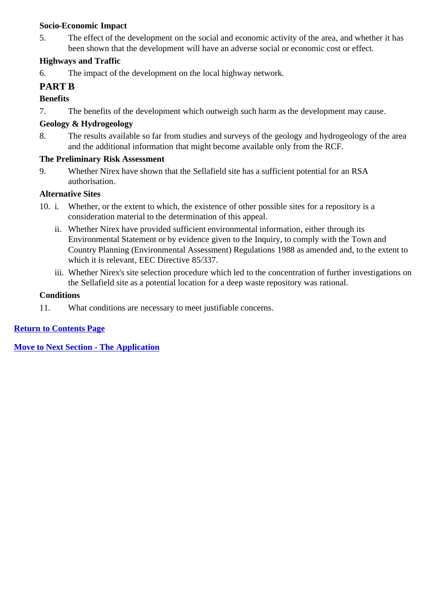#### **Socio-Economic Impact**

5. The effect of the development on the social and economic activity of the area, and whether it has been shown that the development will have an adverse social or economic cost or effect.

## **Highways and Traffic**

6. The impact of the development on the local highway network.

## **PART B**

## **Benefits**

7. The benefits of the development which outweigh such harm as the development may cause.

## **Geology & Hydrogeology**

8. The results available so far from studies and surveys of the geology and hydrogeology of the area and the additional information that might become available only from the RCF.

### **The Preliminary Risk Assessment**

9. Whether Nirex have shown that the Sellafield site has a sufficient potential for an RSA authorisation.

### **Alternative Sites**

- 10. i. Whether, or the extent to which, the existence of other possible sites for a repository is a consideration material to the determination of this appeal.
	- ii. Whether Nirex have provided sufficient environmental information, either through its Environmental Statement or by evidence given to the Inquiry, to comply with the Town and Country Planning (Environmental Assessment) Regulations 1988 as amended and, to the extent to which it is relevant, EEC Directive 85/337.
	- iii. Whether Nirex's site selection procedure which led to the concentration of further investigations on the Sellafield site as a potential location for a deep waste repository was rational.

### **Conditions**

11. What conditions are necessary to meet justifiable concerns.

## **Return to Contents Page**

**Move to Next Section - The Application**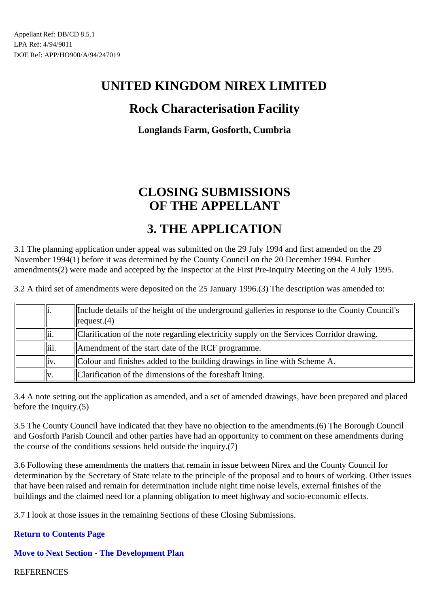## **Rock Characterisation Facility**

**Longlands Farm, Gosforth, Cumbria**

# **CLOSING SUBMISSIONS OF THE APPELLANT**

## **3. THE APPLICATION**

3.1 The planning application under appeal was submitted on the 29 July 1994 and first amended on the 29 November 1994(1) before it was determined by the County Council on the 20 December 1994. Further amendments(2) were made and accepted by the Inspector at the First Pre-Inquiry Meeting on the 4 July 1995.

3.2 A third set of amendments were deposited on the 25 January 1996.(3) The description was amended to:

| 1.   |       | Include details of the height of the underground galleries in response to the County Council's<br> request.(4) |
|------|-------|----------------------------------------------------------------------------------------------------------------|
| lii. |       | Clarification of the note regarding electricity supply on the Services Corridor drawing.                       |
|      | liii. | Amendment of the start date of the RCF programme.                                                              |
|      | liv.  | Colour and finishes added to the building drawings in line with Scheme A.                                      |
| llv. |       | Clarification of the dimensions of the foreshaft lining.                                                       |

3.4 A note setting out the application as amended, and a set of amended drawings, have been prepared and placed before the Inquiry.(5)

3.5 The County Council have indicated that they have no objection to the amendments.(6) The Borough Council and Gosforth Parish Council and other parties have had an opportunity to comment on these amendments during the course of the conditions sessions held outside the inquiry.(7)

3.6 Following these amendments the matters that remain in issue between Nirex and the County Council for determination by the Secretary of State relate to the principle of the proposal and to hours of working. Other issues that have been raised and remain for determination include night time noise levels, external finishes of the buildings and the claimed need for a planning obligation to meet highway and socio-economic effects.

3.7 I look at those issues in the remaining Sections of these Closing Submissions.

**Return to Contents Page**

**Move to Next Section - The Development Plan**

**REFERENCES**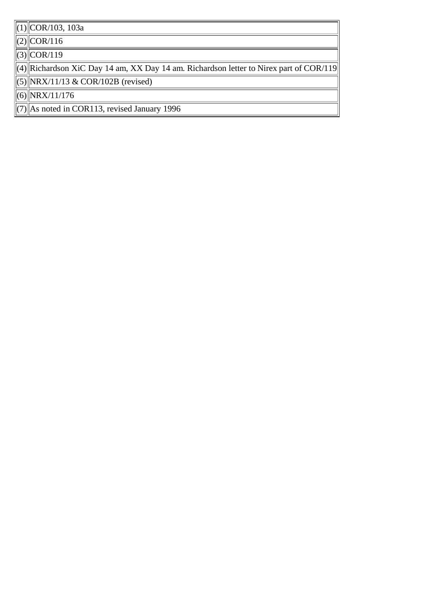(1) COR/103, 103a

 $(2)$  COR/116

 $(3)$  COR/119

 $\alpha$ (4) Richardson XiC Day 14 am, XX Day 14 am. Richardson letter to Nirex part of COR/119

 $\overline{(|(5)|}$  NRX/11/13 & COR/102B (revised)

(6) NRX/11/176

 $(7)$  As noted in COR113, revised January 1996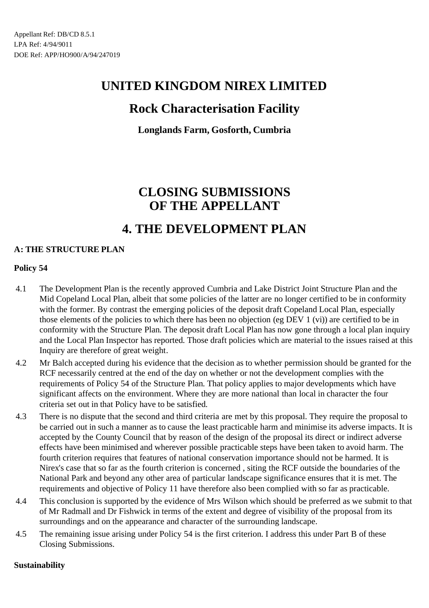## **Rock Characterisation Facility**

**Longlands Farm, Gosforth, Cumbria**

# **CLOSING SUBMISSIONS OF THE APPELLANT**

## **4. THE DEVELOPMENT PLAN**

## **A: THE STRUCTURE PLAN**

### **Policy 54**

- 4.1 The Development Plan is the recently approved Cumbria and Lake District Joint Structure Plan and the Mid Copeland Local Plan, albeit that some policies of the latter are no longer certified to be in conformity with the former. By contrast the emerging policies of the deposit draft Copeland Local Plan, especially those elements of the policies to which there has been no objection (eg DEV 1 (vi)) are certified to be in conformity with the Structure Plan. The deposit draft Local Plan has now gone through a local plan inquiry and the Local Plan Inspector has reported. Those draft policies which are material to the issues raised at this Inquiry are therefore of great weight.
- 4.2 Mr Balch accepted during his evidence that the decision as to whether permission should be granted for the RCF necessarily centred at the end of the day on whether or not the development complies with the requirements of Policy 54 of the Structure Plan. That policy applies to major developments which have significant affects on the environment. Where they are more national than local in character the four criteria set out in that Policy have to be satisfied.
- 4.3 There is no dispute that the second and third criteria are met by this proposal. They require the proposal to be carried out in such a manner as to cause the least practicable harm and minimise its adverse impacts. It is accepted by the County Council that by reason of the design of the proposal its direct or indirect adverse effects have been minimised and wherever possible practicable steps have been taken to avoid harm. The fourth criterion requires that features of national conservation importance should not be harmed. It is Nirex's case that so far as the fourth criterion is concerned , siting the RCF outside the boundaries of the National Park and beyond any other area of particular landscape significance ensures that it is met. The requirements and objective of Policy 11 have therefore also been complied with so far as practicable.
- 4.4 This conclusion is supported by the evidence of Mrs Wilson which should be preferred as we submit to that of Mr Radmall and Dr Fishwick in terms of the extent and degree of visibility of the proposal from its surroundings and on the appearance and character of the surrounding landscape.
- 4.5 The remaining issue arising under Policy 54 is the first criterion. I address this under Part B of these Closing Submissions.

#### **Sustainability**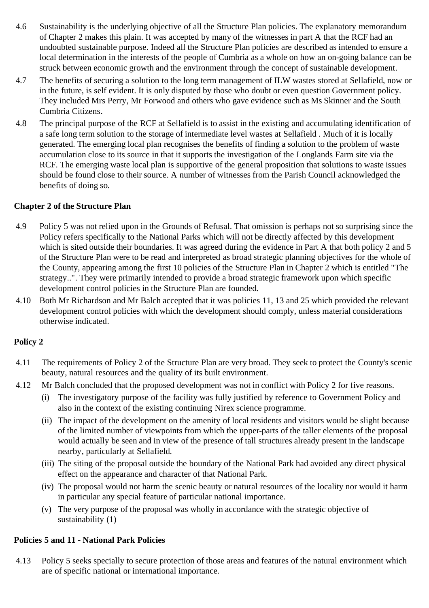- 4.6 Sustainability is the underlying objective of all the Structure Plan policies. The explanatory memorandum of Chapter 2 makes this plain. It was accepted by many of the witnesses in part A that the RCF had an undoubted sustainable purpose. Indeed all the Structure Plan policies are described as intended to ensure a local determination in the interests of the people of Cumbria as a whole on how an on-going balance can be struck between economic growth and the environment through the concept of sustainable development.
- 4.7 The benefits of securing a solution to the long term management of ILW wastes stored at Sellafield, now or in the future, is self evident. It is only disputed by those who doubt or even question Government policy. They included Mrs Perry, Mr Forwood and others who gave evidence such as Ms Skinner and the South Cumbria Citizens.
- 4.8 The principal purpose of the RCF at Sellafield is to assist in the existing and accumulating identification of a safe long term solution to the storage of intermediate level wastes at Sellafield . Much of it is locally generated. The emerging local plan recognises the benefits of finding a solution to the problem of waste accumulation close to its source in that it supports the investigation of the Longlands Farm site via the RCF. The emerging waste local plan is supportive of the general proposition that solutions to waste issues should be found close to their source. A number of witnesses from the Parish Council acknowledged the benefits of doing so.

#### **Chapter 2 of the Structure Plan**

- 4.9 Policy 5 was not relied upon in the Grounds of Refusal. That omission is perhaps not so surprising since the Policy refers specifically to the National Parks which will not be directly affected by this development which is sited outside their boundaries. It was agreed during the evidence in Part A that both policy 2 and 5 of the Structure Plan were to be read and interpreted as broad strategic planning objectives for the whole of the County, appearing among the first 10 policies of the Structure Plan in Chapter 2 which is entitled "The strategy..". They were primarily intended to provide a broad strategic framework upon which specific development control policies in the Structure Plan are founded.
- 4.10 Both Mr Richardson and Mr Balch accepted that it was policies 11, 13 and 25 which provided the relevant development control policies with which the development should comply, unless material considerations otherwise indicated.

### **Policy 2**

- 4.11 The requirements of Policy 2 of the Structure Plan are very broad. They seek to protect the County's scenic beauty, natural resources and the quality of its built environment.
- 4.12 Mr Balch concluded that the proposed development was not in conflict with Policy 2 for five reasons.
	- (i) The investigatory purpose of the facility was fully justified by reference to Government Policy and also in the context of the existing continuing Nirex science programme.
	- (ii) The impact of the development on the amenity of local residents and visitors would be slight because of the limited number of viewpoints from which the upper-parts of the taller elements of the proposal would actually be seen and in view of the presence of tall structures already present in the landscape nearby, particularly at Sellafield.
	- (iii) The siting of the proposal outside the boundary of the National Park had avoided any direct physical effect on the appearance and character of that National Park.
	- (iv) The proposal would not harm the scenic beauty or natural resources of the locality nor would it harm in particular any special feature of particular national importance.
	- (v) The very purpose of the proposal was wholly in accordance with the strategic objective of sustainability (1)

#### **Policies 5 and 11 - National Park Policies**

4.13 Policy 5 seeks specially to secure protection of those areas and features of the natural environment which are of specific national or international importance.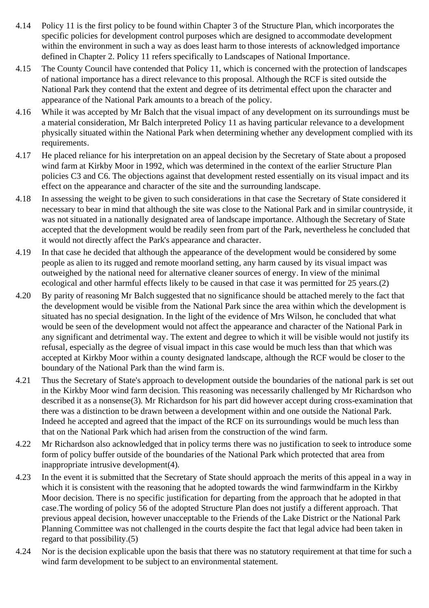- 4.14 Policy 11 is the first policy to be found within Chapter 3 of the Structure Plan, which incorporates the specific policies for development control purposes which are designed to accommodate development within the environment in such a way as does least harm to those interests of acknowledged importance defined in Chapter 2. Policy 11 refers specifically to Landscapes of National Importance.
- 4.15 The County Council have contended that Policy 11, which is concerned with the protection of landscapes of national importance has a direct relevance to this proposal. Although the RCF is sited outside the National Park they contend that the extent and degree of its detrimental effect upon the character and appearance of the National Park amounts to a breach of the policy.
- 4.16 While it was accepted by Mr Balch that the visual impact of any development on its surroundings must be a material consideration, Mr Balch interpreted Policy 11 as having particular relevance to a development physically situated within the National Park when determining whether any development complied with its requirements.
- 4.17 He placed reliance for his interpretation on an appeal decision by the Secretary of State about a proposed wind farm at Kirkby Moor in 1992, which was determined in the context of the earlier Structure Plan policies C3 and C6. The objections against that development rested essentially on its visual impact and its effect on the appearance and character of the site and the surrounding landscape.
- 4.18 In assessing the weight to be given to such considerations in that case the Secretary of State considered it necessary to bear in mind that although the site was close to the National Park and in similar countryside, it was not situated in a nationally designated area of landscape importance. Although the Secretary of State accepted that the development would be readily seen from part of the Park, nevertheless he concluded that it would not directly affect the Park's appearance and character.
- 4.19 In that case he decided that although the appearance of the development would be considered by some people as alien to its rugged and remote moorland setting, any harm caused by its visual impact was outweighed by the national need for alternative cleaner sources of energy. In view of the minimal ecological and other harmful effects likely to be caused in that case it was permitted for 25 years.(2)
- 4.20 By parity of reasoning Mr Balch suggested that no significance should be attached merely to the fact that the development would be visible from the National Park since the area within which the development is situated has no special designation. In the light of the evidence of Mrs Wilson, he concluded that what would be seen of the development would not affect the appearance and character of the National Park in any significant and detrimental way. The extent and degree to which it will be visible would not justify its refusal, especially as the degree of visual impact in this case would be much less than that which was accepted at Kirkby Moor within a county designated landscape, although the RCF would be closer to the boundary of the National Park than the wind farm is.
- 4.21 Thus the Secretary of State's approach to development outside the boundaries of the national park is set out in the Kirkby Moor wind farm decision. This reasoning was necessarily challenged by Mr Richardson who described it as a nonsense(3). Mr Richardson for his part did however accept during cross-examination that there was a distinction to be drawn between a development within and one outside the National Park. Indeed he accepted and agreed that the impact of the RCF on its surroundings would be much less than that on the National Park which had arisen from the construction of the wind farm.
- 4.22 Mr Richardson also acknowledged that in policy terms there was no justification to seek to introduce some form of policy buffer outside of the boundaries of the National Park which protected that area from inappropriate intrusive development(4).
- 4.23 In the event it is submitted that the Secretary of State should approach the merits of this appeal in a way in which it is consistent with the reasoning that he adopted towards the wind farmwindfarm in the Kirkby Moor decision. There is no specific justification for departing from the approach that he adopted in that case.The wording of policy 56 of the adopted Structure Plan does not justify a different approach. That previous appeal decision, however unacceptable to the Friends of the Lake District or the National Park Planning Committee was not challenged in the courts despite the fact that legal advice had been taken in regard to that possibility.(5)
- 4.24 Nor is the decision explicable upon the basis that there was no statutory requirement at that time for such a wind farm development to be subject to an environmental statement.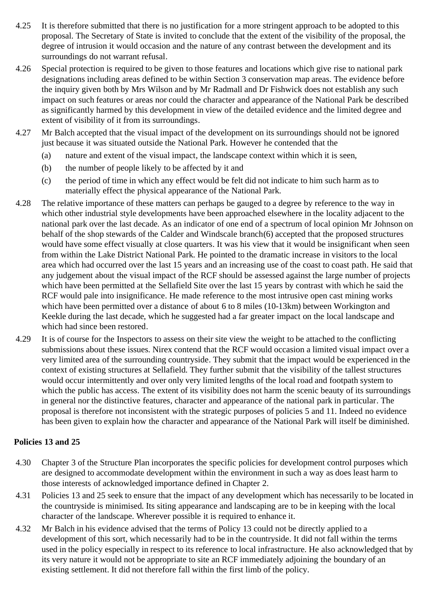- 4.25 It is therefore submitted that there is no justification for a more stringent approach to be adopted to this proposal. The Secretary of State is invited to conclude that the extent of the visibility of the proposal, the degree of intrusion it would occasion and the nature of any contrast between the development and its surroundings do not warrant refusal.
- 4.26 Special protection is required to be given to those features and locations which give rise to national park designations including areas defined to be within Section 3 conservation map areas. The evidence before the inquiry given both by Mrs Wilson and by Mr Radmall and Dr Fishwick does not establish any such impact on such features or areas nor could the character and appearance of the National Park be described as significantly harmed by this development in view of the detailed evidence and the limited degree and extent of visibility of it from its surroundings.
- 4.27 Mr Balch accepted that the visual impact of the development on its surroundings should not be ignored just because it was situated outside the National Park. However he contended that the
	- (a) nature and extent of the visual impact, the landscape context within which it is seen,
	- (b) the number of people likely to be affected by it and
	- (c) the period of time in which any effect would be felt did not indicate to him such harm as to materially effect the physical appearance of the National Park.
- 4.28 The relative importance of these matters can perhaps be gauged to a degree by reference to the way in which other industrial style developments have been approached elsewhere in the locality adjacent to the national park over the last decade. As an indicator of one end of a spectrum of local opinion Mr Johnson on behalf of the shop stewards of the Calder and Windscale branch(6) accepted that the proposed structures would have some effect visually at close quarters. It was his view that it would be insignificant when seen from within the Lake District National Park. He pointed to the dramatic increase in visitors to the local area which had occurred over the last 15 years and an increasing use of the coast to coast path. He said that any judgement about the visual impact of the RCF should be assessed against the large number of projects which have been permitted at the Sellafield Site over the last 15 years by contrast with which he said the RCF would pale into insignificance. He made reference to the most intrusive open cast mining works which have been permitted over a distance of about 6 to 8 miles (10-13km) between Workington and Keekle during the last decade, which he suggested had a far greater impact on the local landscape and which had since been restored.
- 4.29 It is of course for the Inspectors to assess on their site view the weight to be attached to the conflicting submissions about these issues. Nirex contend that the RCF would occasion a limited visual impact over a very limited area of the surrounding countryside. They submit that the impact would be experienced in the context of existing structures at Sellafield. They further submit that the visibility of the tallest structures would occur intermittently and over only very limited lengths of the local road and footpath system to which the public has access. The extent of its visibility does not harm the scenic beauty of its surroundings in general nor the distinctive features, character and appearance of the national park in particular. The proposal is therefore not inconsistent with the strategic purposes of policies 5 and 11. Indeed no evidence has been given to explain how the character and appearance of the National Park will itself be diminished.

#### **Policies 13 and 25**

- 4.30 Chapter 3 of the Structure Plan incorporates the specific policies for development control purposes which are designed to accommodate development within the environment in such a way as does least harm to those interests of acknowledged importance defined in Chapter 2.
- 4.31 Policies 13 and 25 seek to ensure that the impact of any development which has necessarily to be located in the countryside is minimised. Its siting appearance and landscaping are to be in keeping with the local character of the landscape. Wherever possible it is required to enhance it.
- 4.32 Mr Balch in his evidence advised that the terms of Policy 13 could not be directly applied to a development of this sort, which necessarily had to be in the countryside. It did not fall within the terms used in the policy especially in respect to its reference to local infrastructure. He also acknowledged that by its very nature it would not be appropriate to site an RCF immediately adjoining the boundary of an existing settlement. It did not therefore fall within the first limb of the policy.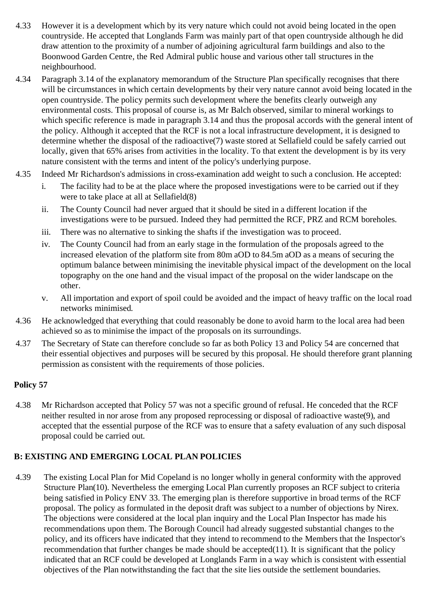- 4.33 However it is a development which by its very nature which could not avoid being located in the open countryside. He accepted that Longlands Farm was mainly part of that open countryside although he did draw attention to the proximity of a number of adjoining agricultural farm buildings and also to the Boonwood Garden Centre, the Red Admiral public house and various other tall structures in the neighbourhood.
- 4.34 Paragraph 3.14 of the explanatory memorandum of the Structure Plan specifically recognises that there will be circumstances in which certain developments by their very nature cannot avoid being located in the open countryside. The policy permits such development where the benefits clearly outweigh any environmental costs. This proposal of course is, as Mr Balch observed, similar to mineral workings to which specific reference is made in paragraph 3.14 and thus the proposal accords with the general intent of the policy. Although it accepted that the RCF is not a local infrastructure development, it is designed to determine whether the disposal of the radioactive(7) waste stored at Sellafield could be safely carried out locally, given that 65% arises from activities in the locality. To that extent the development is by its very nature consistent with the terms and intent of the policy's underlying purpose.
- 4.35 Indeed Mr Richardson's admissions in cross-examination add weight to such a conclusion. He accepted:
	- i. The facility had to be at the place where the proposed investigations were to be carried out if they were to take place at all at Sellafield(8)
	- ii. The County Council had never argued that it should be sited in a different location if the investigations were to be pursued. Indeed they had permitted the RCF, PRZ and RCM boreholes.
	- iii. There was no alternative to sinking the shafts if the investigation was to proceed.
	- iv. The County Council had from an early stage in the formulation of the proposals agreed to the increased elevation of the platform site from 80m aOD to 84.5m aOD as a means of securing the optimum balance between minimising the inevitable physical impact of the development on the local topography on the one hand and the visual impact of the proposal on the wider landscape on the other.
	- v. All importation and export of spoil could be avoided and the impact of heavy traffic on the local road networks minimised.
- 4.36 He acknowledged that everything that could reasonably be done to avoid harm to the local area had been achieved so as to minimise the impact of the proposals on its surroundings.
- 4.37 The Secretary of State can therefore conclude so far as both Policy 13 and Policy 54 are concerned that their essential objectives and purposes will be secured by this proposal. He should therefore grant planning permission as consistent with the requirements of those policies.

### **Policy 57**

4.38 Mr Richardson accepted that Policy 57 was not a specific ground of refusal. He conceded that the RCF neither resulted in nor arose from any proposed reprocessing or disposal of radioactive waste(9), and accepted that the essential purpose of the RCF was to ensure that a safety evaluation of any such disposal proposal could be carried out.

## **B: EXISTING AND EMERGING LOCAL PLAN POLICIES**

4.39 The existing Local Plan for Mid Copeland is no longer wholly in general conformity with the approved Structure Plan(10). Nevertheless the emerging Local Plan currently proposes an RCF subject to criteria being satisfied in Policy ENV 33. The emerging plan is therefore supportive in broad terms of the RCF proposal. The policy as formulated in the deposit draft was subject to a number of objections by Nirex. The objections were considered at the local plan inquiry and the Local Plan Inspector has made his recommendations upon them. The Borough Council had already suggested substantial changes to the policy, and its officers have indicated that they intend to recommend to the Members that the Inspector's recommendation that further changes be made should be accepted(11). It is significant that the policy indicated that an RCF could be developed at Longlands Farm in a way which is consistent with essential objectives of the Plan notwithstanding the fact that the site lies outside the settlement boundaries.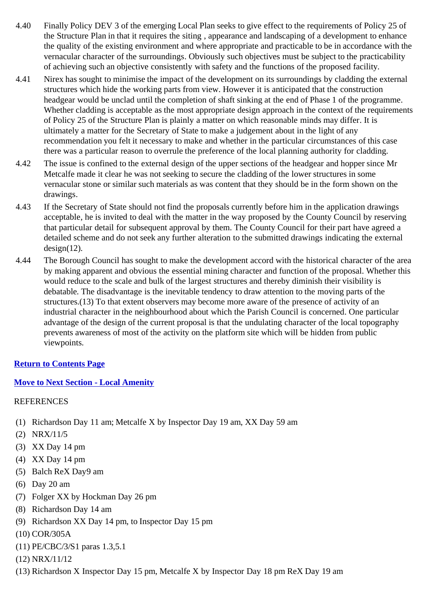- 4.40 Finally Policy DEV 3 of the emerging Local Plan seeks to give effect to the requirements of Policy 25 of the Structure Plan in that it requires the siting , appearance and landscaping of a development to enhance the quality of the existing environment and where appropriate and practicable to be in accordance with the vernacular character of the surroundings. Obviously such objectives must be subject to the practicability of achieving such an objective consistently with safety and the functions of the proposed facility.
- 4.41 Nirex has sought to minimise the impact of the development on its surroundings by cladding the external structures which hide the working parts from view. However it is anticipated that the construction headgear would be unclad until the completion of shaft sinking at the end of Phase 1 of the programme. Whether cladding is acceptable as the most appropriate design approach in the context of the requirements of Policy 25 of the Structure Plan is plainly a matter on which reasonable minds may differ. It is ultimately a matter for the Secretary of State to make a judgement about in the light of any recommendation you felt it necessary to make and whether in the particular circumstances of this case there was a particular reason to overrule the preference of the local planning authority for cladding.
- 4.42 The issue is confined to the external design of the upper sections of the headgear and hopper since Mr Metcalfe made it clear he was not seeking to secure the cladding of the lower structures in some vernacular stone or similar such materials as was content that they should be in the form shown on the drawings.
- 4.43 If the Secretary of State should not find the proposals currently before him in the application drawings acceptable, he is invited to deal with the matter in the way proposed by the County Council by reserving that particular detail for subsequent approval by them. The County Council for their part have agreed a detailed scheme and do not seek any further alteration to the submitted drawings indicating the external  $design(12)$ .
- 4.44 The Borough Council has sought to make the development accord with the historical character of the area by making apparent and obvious the essential mining character and function of the proposal. Whether this would reduce to the scale and bulk of the largest structures and thereby diminish their visibility is debatable. The disadvantage is the inevitable tendency to draw attention to the moving parts of the structures.(13) To that extent observers may become more aware of the presence of activity of an industrial character in the neighbourhood about which the Parish Council is concerned. One particular advantage of the design of the current proposal is that the undulating character of the local topography prevents awareness of most of the activity on the platform site which will be hidden from public viewpoints.

### **Return to Contents Page**

### **Move to Next Section - Local Amenity**

### REFERENCES

- (1) Richardson Day 11 am; Metcalfe X by Inspector Day 19 am, XX Day 59 am
- (2) NRX/11/5
- (3) XX Day 14 pm
- (4) XX Day 14 pm
- (5) Balch ReX Day9 am
- (6) Day 20 am
- (7) Folger XX by Hockman Day 26 pm
- (8) Richardson Day 14 am
- (9) Richardson XX Day 14 pm, to Inspector Day 15 pm
- (10) COR/305A
- (11) PE/CBC/3/S1 paras 1.3,5.1
- (12) NRX/11/12
- (13) Richardson X Inspector Day 15 pm, Metcalfe X by Inspector Day 18 pm ReX Day 19 am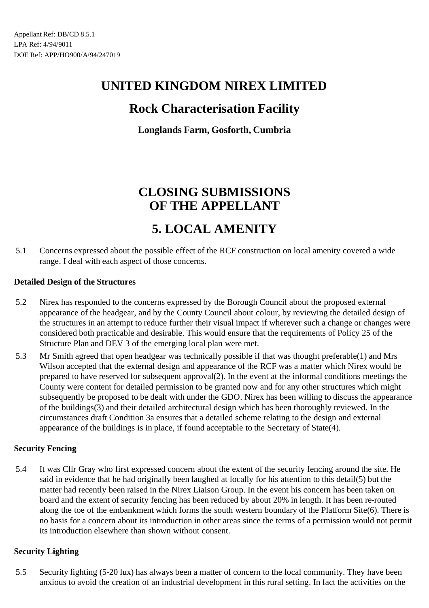## **Rock Characterisation Facility**

**Longlands Farm, Gosforth, Cumbria**

# **CLOSING SUBMISSIONS OF THE APPELLANT**

# **5. LOCAL AMENITY**

5.1 Concerns expressed about the possible effect of the RCF construction on local amenity covered a wide range. I deal with each aspect of those concerns.

#### **Detailed Design of the Structures**

- 5.2 Nirex has responded to the concerns expressed by the Borough Council about the proposed external appearance of the headgear, and by the County Council about colour, by reviewing the detailed design of the structures in an attempt to reduce further their visual impact if wherever such a change or changes were considered both practicable and desirable. This would ensure that the requirements of Policy 25 of the Structure Plan and DEV 3 of the emerging local plan were met.
- 5.3 Mr Smith agreed that open headgear was technically possible if that was thought preferable(1) and Mrs Wilson accepted that the external design and appearance of the RCF was a matter which Nirex would be prepared to have reserved for subsequent approval(2). In the event at the informal conditions meetings the County were content for detailed permission to be granted now and for any other structures which might subsequently be proposed to be dealt with under the GDO. Nirex has been willing to discuss the appearance of the buildings(3) and their detailed architectural design which has been thoroughly reviewed. In the circumstances draft Condition 3a ensures that a detailed scheme relating to the design and external appearance of the buildings is in place, if found acceptable to the Secretary of State(4).

### **Security Fencing**

5.4 It was Cllr Gray who first expressed concern about the extent of the security fencing around the site. He said in evidence that he had originally been laughed at locally for his attention to this detail(5) but the matter had recently been raised in the Nirex Liaison Group. In the event his concern has been taken on board and the extent of security fencing has been reduced by about 20% in length. It has been re-routed along the toe of the embankment which forms the south western boundary of the Platform Site(6). There is no basis for a concern about its introduction in other areas since the terms of a permission would not permit its introduction elsewhere than shown without consent.

#### **Security Lighting**

5.5 Security lighting (5-20 lux) has always been a matter of concern to the local community. They have been anxious to avoid the creation of an industrial development in this rural setting. In fact the activities on the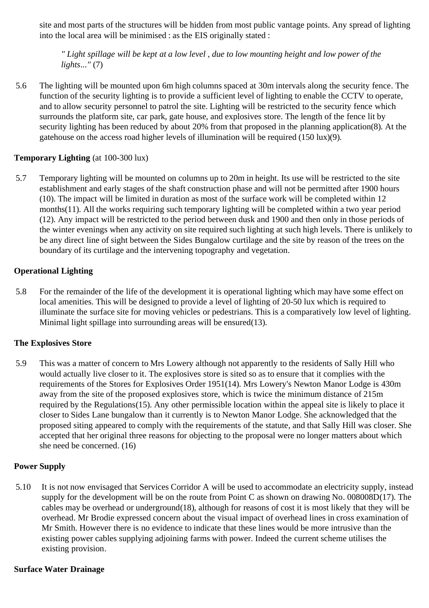site and most parts of the structures will be hidden from most public vantage points. Any spread of lighting into the local area will be minimised : as the EIS originally stated :

*" Light spillage will be kept at a low level , due to low mounting height and low power of the lights..."* (7)

5.6 The lighting will be mounted upon 6m high columns spaced at 30m intervals along the security fence. The function of the security lighting is to provide a sufficient level of lighting to enable the CCTV to operate, and to allow security personnel to patrol the site. Lighting will be restricted to the security fence which surrounds the platform site, car park, gate house, and explosives store. The length of the fence lit by security lighting has been reduced by about 20% from that proposed in the planning application(8). At the gatehouse on the access road higher levels of illumination will be required (150 lux)(9).

#### **Temporary Lighting** (at 100-300 lux)

5.7 Temporary lighting will be mounted on columns up to 20m in height. Its use will be restricted to the site establishment and early stages of the shaft construction phase and will not be permitted after 1900 hours (10). The impact will be limited in duration as most of the surface work will be completed within 12 months(11). All the works requiring such temporary lighting will be completed within a two year period (12). Any impact will be restricted to the period between dusk and 1900 and then only in those periods of the winter evenings when any activity on site required such lighting at such high levels. There is unlikely to be any direct line of sight between the Sides Bungalow curtilage and the site by reason of the trees on the boundary of its curtilage and the intervening topography and vegetation.

#### **Operational Lighting**

5.8 For the remainder of the life of the development it is operational lighting which may have some effect on local amenities. This will be designed to provide a level of lighting of 20-50 lux which is required to illuminate the surface site for moving vehicles or pedestrians. This is a comparatively low level of lighting. Minimal light spillage into surrounding areas will be ensured(13).

### **The Explosives Store**

5.9 This was a matter of concern to Mrs Lowery although not apparently to the residents of Sally Hill who would actually live closer to it. The explosives store is sited so as to ensure that it complies with the requirements of the Stores for Explosives Order 1951(14). Mrs Lowery's Newton Manor Lodge is 430m away from the site of the proposed explosives store, which is twice the minimum distance of 215m required by the Regulations(15). Any other permissible location within the appeal site is likely to place it closer to Sides Lane bungalow than it currently is to Newton Manor Lodge. She acknowledged that the proposed siting appeared to comply with the requirements of the statute, and that Sally Hill was closer. She accepted that her original three reasons for objecting to the proposal were no longer matters about which she need be concerned. (16)

#### **Power Supply**

5.10 It is not now envisaged that Services Corridor A will be used to accommodate an electricity supply, instead supply for the development will be on the route from Point C as shown on drawing No. 008008D(17). The cables may be overhead or underground(18), although for reasons of cost it is most likely that they will be overhead. Mr Brodie expressed concern about the visual impact of overhead lines in cross examination of Mr Smith. However there is no evidence to indicate that these lines would be more intrusive than the existing power cables supplying adjoining farms with power. Indeed the current scheme utilises the existing provision.

#### **Surface Water Drainage**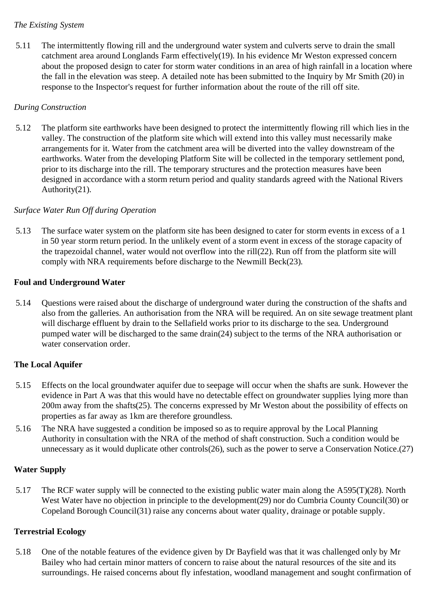#### *The Existing System*

5.11 The intermittently flowing rill and the underground water system and culverts serve to drain the small catchment area around Longlands Farm effectively(19). In his evidence Mr Weston expressed concern about the proposed design to cater for storm water conditions in an area of high rainfall in a location where the fall in the elevation was steep. A detailed note has been submitted to the Inquiry by Mr Smith (20) in response to the Inspector's request for further information about the route of the rill off site.

### *During Construction*

5.12 The platform site earthworks have been designed to protect the intermittently flowing rill which lies in the valley. The construction of the platform site which will extend into this valley must necessarily make arrangements for it. Water from the catchment area will be diverted into the valley downstream of the earthworks. Water from the developing Platform Site will be collected in the temporary settlement pond, prior to its discharge into the rill. The temporary structures and the protection measures have been designed in accordance with a storm return period and quality standards agreed with the National Rivers Authority(21).

#### *Surface Water Run Off during Operation*

5.13 The surface water system on the platform site has been designed to cater for storm events in excess of a 1 in 50 year storm return period. In the unlikely event of a storm event in excess of the storage capacity of the trapezoidal channel, water would not overflow into the rill(22). Run off from the platform site will comply with NRA requirements before discharge to the Newmill Beck(23).

#### **Foul and Underground Water**

5.14 Questions were raised about the discharge of underground water during the construction of the shafts and also from the galleries. An authorisation from the NRA will be required. An on site sewage treatment plant will discharge effluent by drain to the Sellafield works prior to its discharge to the sea. Underground pumped water will be discharged to the same drain(24) subject to the terms of the NRA authorisation or water conservation order.

### **The Local Aquifer**

- 5.15 Effects on the local groundwater aquifer due to seepage will occur when the shafts are sunk. However the evidence in Part A was that this would have no detectable effect on groundwater supplies lying more than 200m away from the shafts(25). The concerns expressed by Mr Weston about the possibility of effects on properties as far away as 1km are therefore groundless.
- 5.16 The NRA have suggested a condition be imposed so as to require approval by the Local Planning Authority in consultation with the NRA of the method of shaft construction. Such a condition would be unnecessary as it would duplicate other controls(26), such as the power to serve a Conservation Notice.(27)

#### **Water Supply**

5.17 The RCF water supply will be connected to the existing public water main along the A595(T)(28). North West Water have no objection in principle to the development(29) nor do Cumbria County Council(30) or Copeland Borough Council(31) raise any concerns about water quality, drainage or potable supply.

#### **Terrestrial Ecology**

5.18 One of the notable features of the evidence given by Dr Bayfield was that it was challenged only by Mr Bailey who had certain minor matters of concern to raise about the natural resources of the site and its surroundings. He raised concerns about fly infestation, woodland management and sought confirmation of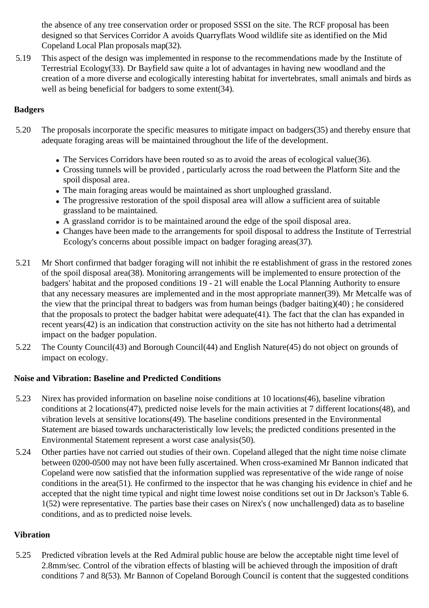the absence of any tree conservation order or proposed SSSI on the site. The RCF proposal has been designed so that Services Corridor A avoids Quarryflats Wood wildlife site as identified on the Mid Copeland Local Plan proposals map(32).

5.19 This aspect of the design was implemented in response to the recommendations made by the Institute of Terrestrial Ecology(33). Dr Bayfield saw quite a lot of advantages in having new woodland and the creation of a more diverse and ecologically interesting habitat for invertebrates, small animals and birds as well as being beneficial for badgers to some extent(34).

### **Badgers**

- 5.20 The proposals incorporate the specific measures to mitigate impact on badgers(35) and thereby ensure that adequate foraging areas will be maintained throughout the life of the development.
	- The Services Corridors have been routed so as to avoid the areas of ecological value(36).
	- Crossing tunnels will be provided , particularly across the road between the Platform Site and the spoil disposal area.
	- The main foraging areas would be maintained as short unploughed grassland.
	- The progressive restoration of the spoil disposal area will allow a sufficient area of suitable grassland to be maintained.
	- A grassland corridor is to be maintained around the edge of the spoil disposal area.
	- Changes have been made to the arrangements for spoil disposal to address the Institute of Terrestrial Ecology's concerns about possible impact on badger foraging areas(37).
- 5.21 Mr Short confirmed that badger foraging will not inhibit the re establishment of grass in the restored zones of the spoil disposal area(38). Monitoring arrangements will be implemented to ensure protection of the badgers' habitat and the proposed conditions 19 - 21 will enable the Local Planning Authority to ensure that any necessary measures are implemented and in the most appropriate manner(39). Mr Metcalfe was of the view that the principal threat to badgers was from human beings (badger baiting)(40) ; he considered that the proposals to protect the badger habitat were adequate(41). The fact that the clan has expanded in recent years(42) is an indication that construction activity on the site has not hitherto had a detrimental impact on the badger population.
- 5.22 The County Council(43) and Borough Council(44) and English Nature(45) do not object on grounds of impact on ecology.

#### **Noise and Vibration: Baseline and Predicted Conditions**

- 5.23 Nirex has provided information on baseline noise conditions at 10 locations(46), baseline vibration conditions at 2 locations(47), predicted noise levels for the main activities at 7 different locations(48), and vibration levels at sensitive locations(49). The baseline conditions presented in the Environmental Statement are biased towards uncharacteristically low levels; the predicted conditions presented in the Environmental Statement represent a worst case analysis(50).
- 5.24 Other parties have not carried out studies of their own. Copeland alleged that the night time noise climate between 0200-0500 may not have been fully ascertained. When cross-examined Mr Bannon indicated that Copeland were now satisfied that the information supplied was representative of the wide range of noise conditions in the area(51). He confirmed to the inspector that he was changing his evidence in chief and he accepted that the night time typical and night time lowest noise conditions set out in Dr Jackson's Table 6. 1(52) were representative. The parties base their cases on Nirex's ( now unchallenged) data as to baseline conditions, and as to predicted noise levels.

#### **Vibration**

5.25 Predicted vibration levels at the Red Admiral public house are below the acceptable night time level of 2.8mm/sec. Control of the vibration effects of blasting will be achieved through the imposition of draft conditions 7 and 8(53). Mr Bannon of Copeland Borough Council is content that the suggested conditions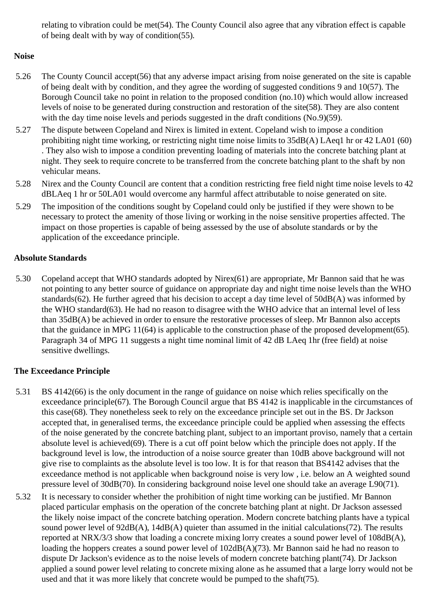relating to vibration could be met(54). The County Council also agree that any vibration effect is capable of being dealt with by way of condition(55).

## **Noise**

- 5.26 The County Council accept(56) that any adverse impact arising from noise generated on the site is capable of being dealt with by condition, and they agree the wording of suggested conditions 9 and 10(57). The Borough Council take no point in relation to the proposed condition (no.10) which would allow increased levels of noise to be generated during construction and restoration of the site(58). They are also content with the day time noise levels and periods suggested in the draft conditions (No.9)(59).
- 5.27 The dispute between Copeland and Nirex is limited in extent. Copeland wish to impose a condition prohibiting night time working, or restricting night time noise limits to 35dB(A) LAeq1 hr or 42 LA01 (60) . They also wish to impose a condition preventing loading of materials into the concrete batching plant at night. They seek to require concrete to be transferred from the concrete batching plant to the shaft by non vehicular means.
- 5.28 Nirex and the County Council are content that a condition restricting free field night time noise levels to 42 dBLAeq 1 hr or 50LA01 would overcome any harmful affect attributable to noise generated on site.
- 5.29 The imposition of the conditions sought by Copeland could only be justified if they were shown to be necessary to protect the amenity of those living or working in the noise sensitive properties affected. The impact on those properties is capable of being assessed by the use of absolute standards or by the application of the exceedance principle.

## **Absolute Standards**

5.30 Copeland accept that WHO standards adopted by Nirex(61) are appropriate, Mr Bannon said that he was not pointing to any better source of guidance on appropriate day and night time noise levels than the WHO standards(62). He further agreed that his decision to accept a day time level of 50dB(A) was informed by the WHO standard(63). He had no reason to disagree with the WHO advice that an internal level of less than 35dB(A) be achieved in order to ensure the restorative processes of sleep. Mr Bannon also accepts that the guidance in MPG 11(64) is applicable to the construction phase of the proposed development(65). Paragraph 34 of MPG 11 suggests a night time nominal limit of 42 dB LAeq 1hr (free field) at noise sensitive dwellings.

### **The Exceedance Principle**

- 5.31 BS 4142(66) is the only document in the range of guidance on noise which relies specifically on the exceedance principle(67). The Borough Council argue that BS 4142 is inapplicable in the circumstances of this case(68). They nonetheless seek to rely on the exceedance principle set out in the BS. Dr Jackson accepted that, in generalised terms, the exceedance principle could be applied when assessing the effects of the noise generated by the concrete batching plant, subject to an important proviso, namely that a certain absolute level is achieved(69). There is a cut off point below which the principle does not apply. If the background level is low, the introduction of a noise source greater than 10dB above background will not give rise to complaints as the absolute level is too low. It is for that reason that BS4142 advises that the exceedance method is not applicable when background noise is very low , i.e. below an A weighted sound pressure level of 30dB(70). In considering background noise level one should take an average L90(71).
- 5.32 It is necessary to consider whether the prohibition of night time working can be justified. Mr Bannon placed particular emphasis on the operation of the concrete batching plant at night. Dr Jackson assessed the likely noise impact of the concrete batching operation. Modern concrete batching plants have a typical sound power level of 92dB(A), 14dB(A) quieter than assumed in the initial calculations(72). The results reported at NRX/3/3 show that loading a concrete mixing lorry creates a sound power level of 108dB(A), loading the hoppers creates a sound power level of  $102dB(A)(73)$ . Mr Bannon said he had no reason to dispute Dr Jackson's evidence as to the noise levels of modern concrete batching plant(74). Dr Jackson applied a sound power level relating to concrete mixing alone as he assumed that a large lorry would not be used and that it was more likely that concrete would be pumped to the shaft(75).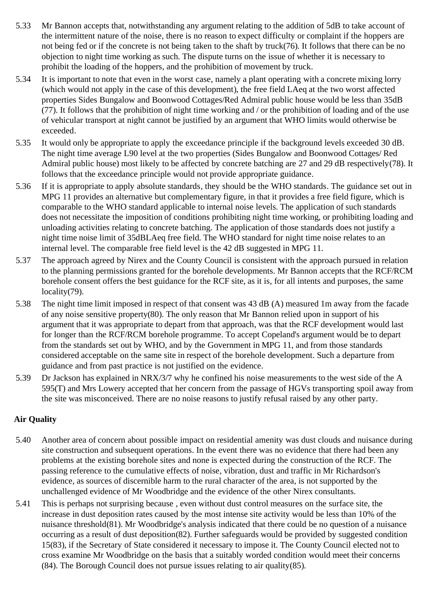- 5.33 Mr Bannon accepts that, notwithstanding any argument relating to the addition of 5dB to take account of the intermittent nature of the noise, there is no reason to expect difficulty or complaint if the hoppers are not being fed or if the concrete is not being taken to the shaft by truck(76). It follows that there can be no objection to night time working as such. The dispute turns on the issue of whether it is necessary to prohibit the loading of the hoppers, and the prohibition of movement by truck.
- 5.34 It is important to note that even in the worst case, namely a plant operating with a concrete mixing lorry (which would not apply in the case of this development), the free field LAeq at the two worst affected properties Sides Bungalow and Boonwood Cottages/Red Admiral public house would be less than 35dB (77). It follows that the prohibition of night time working and / or the prohibition of loading and of the use of vehicular transport at night cannot be justified by an argument that WHO limits would otherwise be exceeded.
- 5.35 It would only be appropriate to apply the exceedance principle if the background levels exceeded 30 dB. The night time average L90 level at the two properties (Sides Bungalow and Boonwood Cottages/ Red Admiral public house) most likely to be affected by concrete batching are 27 and 29 dB respectively(78). It follows that the exceedance principle would not provide appropriate guidance.
- 5.36 If it is appropriate to apply absolute standards, they should be the WHO standards. The guidance set out in MPG 11 provides an alternative but complementary figure, in that it provides a free field figure, which is comparable to the WHO standard applicable to internal noise levels. The application of such standards does not necessitate the imposition of conditions prohibiting night time working, or prohibiting loading and unloading activities relating to concrete batching. The application of those standards does not justify a night time noise limit of 35dBLAeq free field. The WHO standard for night time noise relates to an internal level. The comparable free field level is the 42 dB suggested in MPG 11.
- 5.37 The approach agreed by Nirex and the County Council is consistent with the approach pursued in relation to the planning permissions granted for the borehole developments. Mr Bannon accepts that the RCF/RCM borehole consent offers the best guidance for the RCF site, as it is, for all intents and purposes, the same locality<sup>(79)</sup>.
- 5.38 The night time limit imposed in respect of that consent was 43 dB (A) measured 1m away from the facade of any noise sensitive property(80). The only reason that Mr Bannon relied upon in support of his argument that it was appropriate to depart from that approach, was that the RCF development would last for longer than the RCF/RCM borehole programme. To accept Copeland's argument would be to depart from the standards set out by WHO, and by the Government in MPG 11, and from those standards considered acceptable on the same site in respect of the borehole development. Such a departure from guidance and from past practice is not justified on the evidence.
- 5.39 Dr Jackson has explained in NRX/3/7 why he confined his noise measurements to the west side of the A 595(T) and Mrs Lowery accepted that her concern from the passage of HGVs transporting spoil away from the site was misconceived. There are no noise reasons to justify refusal raised by any other party.

### **Air Quality**

- 5.40 Another area of concern about possible impact on residential amenity was dust clouds and nuisance during site construction and subsequent operations. In the event there was no evidence that there had been any problems at the existing borehole sites and none is expected during the construction of the RCF. The passing reference to the cumulative effects of noise, vibration, dust and traffic in Mr Richardson's evidence, as sources of discernible harm to the rural character of the area, is not supported by the unchallenged evidence of Mr Woodbridge and the evidence of the other Nirex consultants.
- 5.41 This is perhaps not surprising because , even without dust control measures on the surface site, the increase in dust deposition rates caused by the most intense site activity would be less than 10% of the nuisance threshold(81). Mr Woodbridge's analysis indicated that there could be no question of a nuisance occurring as a result of dust deposition(82). Further safeguards would be provided by suggested condition 15(83), if the Secretary of State considered it necessary to impose it. The County Council elected not to cross examine Mr Woodbridge on the basis that a suitably worded condition would meet their concerns (84). The Borough Council does not pursue issues relating to air quality(85).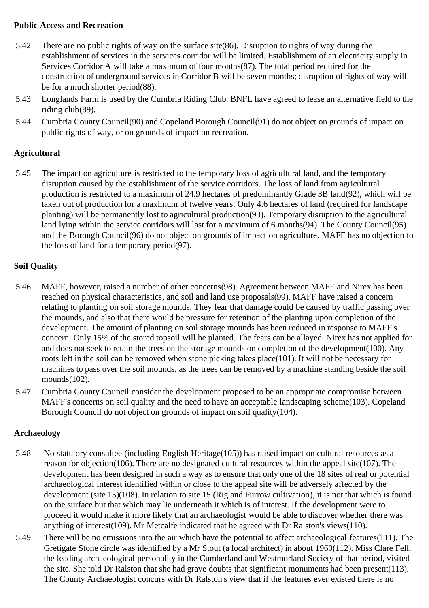#### **Public Access and Recreation**

- 5.42 There are no public rights of way on the surface site(86). Disruption to rights of way during the establishment of services in the services corridor will be limited. Establishment of an electricity supply in Services Corridor A will take a maximum of four months(87). The total period required for the construction of underground services in Corridor B will be seven months; disruption of rights of way will be for a much shorter period(88).
- 5.43 Longlands Farm is used by the Cumbria Riding Club. BNFL have agreed to lease an alternative field to the riding club(89).
- 5.44 Cumbria County Council(90) and Copeland Borough Council(91) do not object on grounds of impact on public rights of way, or on grounds of impact on recreation.

### **Agricultural**

5.45 The impact on agriculture is restricted to the temporary loss of agricultural land, and the temporary disruption caused by the establishment of the service corridors. The loss of land from agricultural production is restricted to a maximum of 24.9 hectares of predominantly Grade 3B land(92), which will be taken out of production for a maximum of twelve years. Only 4.6 hectares of land (required for landscape planting) will be permanently lost to agricultural production(93). Temporary disruption to the agricultural land lying within the service corridors will last for a maximum of 6 months(94). The County Council(95) and the Borough Council(96) do not object on grounds of impact on agriculture. MAFF has no objection to the loss of land for a temporary period(97).

### **Soil Quality**

- 5.46 MAFF, however, raised a number of other concerns(98). Agreement between MAFF and Nirex has been reached on physical characteristics, and soil and land use proposals(99). MAFF have raised a concern relating to planting on soil storage mounds. They fear that damage could be caused by traffic passing over the mounds, and also that there would be pressure for retention of the planting upon completion of the development. The amount of planting on soil storage mounds has been reduced in response to MAFF's concern. Only 15% of the stored topsoil will be planted. The fears can be allayed. Nirex has not applied for and does not seek to retain the trees on the storage mounds on completion of the development(100). Any roots left in the soil can be removed when stone picking takes place(101). It will not be necessary for machines to pass over the soil mounds, as the trees can be removed by a machine standing beside the soil mounds(102).
- 5.47 Cumbria County Council consider the development proposed to be an appropriate compromise between MAFF's concerns on soil quality and the need to have an acceptable landscaping scheme(103). Copeland Borough Council do not object on grounds of impact on soil quality(104).

#### **Archaeology**

- 5.48 No statutory consultee (including English Heritage(105)) has raised impact on cultural resources as a reason for objection(106). There are no designated cultural resources within the appeal site(107). The development has been designed in such a way as to ensure that only one of the 18 sites of real or potential archaeological interest identified within or close to the appeal site will be adversely affected by the development (site 15)(108). In relation to site 15 (Rig and Furrow cultivation), it is not that which is found on the surface but that which may lie underneath it which is of interest. If the development were to proceed it would make it more likely that an archaeologist would be able to discover whether there was anything of interest(109). Mr Metcalfe indicated that he agreed with Dr Ralston's views(110).
- 5.49 There will be no emissions into the air which have the potential to affect archaeological features(111). The Gretigate Stone circle was identified by a Mr Stout (a local architect) in about 1960(112). Miss Clare Fell, the leading archaeological personality in the Cumberland and Westmorland Society of that period, visited the site. She told Dr Ralston that she had grave doubts that significant monuments had been present(113). The County Archaeologist concurs with Dr Ralston's view that if the features ever existed there is no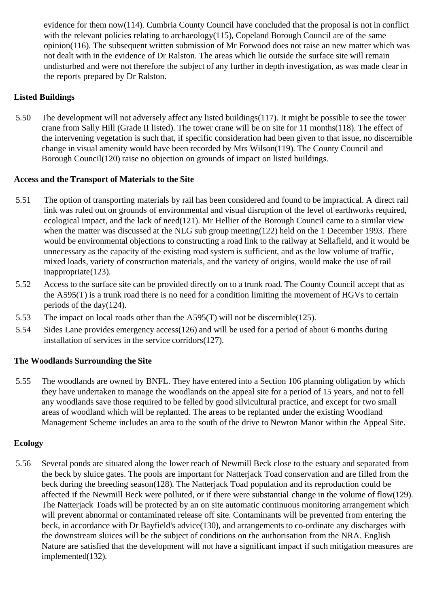evidence for them now(114). Cumbria County Council have concluded that the proposal is not in conflict with the relevant policies relating to archaeology(115), Copeland Borough Council are of the same opinion(116). The subsequent written submission of Mr Forwood does not raise an new matter which was not dealt with in the evidence of Dr Ralston. The areas which lie outside the surface site will remain undisturbed and were not therefore the subject of any further in depth investigation, as was made clear in the reports prepared by Dr Ralston.

### **Listed Buildings**

5.50 The development will not adversely affect any listed buildings(117). It might be possible to see the tower crane from Sally Hill (Grade II listed). The tower crane will be on site for 11 months(118). The effect of the intervening vegetation is such that, if specific consideration had been given to that issue, no discernible change in visual amenity would have been recorded by Mrs Wilson(119). The County Council and Borough Council(120) raise no objection on grounds of impact on listed buildings.

#### **Access and the Transport of Materials to the Site**

- 5.51 The option of transporting materials by rail has been considered and found to be impractical. A direct rail link was ruled out on grounds of environmental and visual disruption of the level of earthworks required, ecological impact, and the lack of need(121). Mr Hellier of the Borough Council came to a similar view when the matter was discussed at the NLG sub group meeting(122) held on the 1 December 1993. There would be environmental objections to constructing a road link to the railway at Sellafield, and it would be unnecessary as the capacity of the existing road system is sufficient, and as the low volume of traffic, mixed loads, variety of construction materials, and the variety of origins, would make the use of rail inappropriate(123).
- 5.52 Access to the surface site can be provided directly on to a trunk road. The County Council accept that as the A595(T) is a trunk road there is no need for a condition limiting the movement of HGVs to certain periods of the day(124).
- 5.53 The impact on local roads other than the A595(T) will not be discernible(125).
- 5.54 Sides Lane provides emergency access(126) and will be used for a period of about 6 months during installation of services in the service corridors(127).

#### **The Woodlands Surrounding the Site**

5.55 The woodlands are owned by BNFL. They have entered into a Section 106 planning obligation by which they have undertaken to manage the woodlands on the appeal site for a period of 15 years, and not to fell any woodlands save those required to be felled by good silvicultural practice, and except for two small areas of woodland which will be replanted. The areas to be replanted under the existing Woodland Management Scheme includes an area to the south of the drive to Newton Manor within the Appeal Site.

#### **Ecology**

5.56 Several ponds are situated along the lower reach of Newmill Beck close to the estuary and separated from the beck by sluice gates. The pools are important for Natterjack Toad conservation and are filled from the beck during the breeding season(128). The Natterjack Toad population and its reproduction could be affected if the Newmill Beck were polluted, or if there were substantial change in the volume of flow(129). The Natterjack Toads will be protected by an on site automatic continuous monitoring arrangement which will prevent abnormal or contaminated release off site. Contaminants will be prevented from entering the beck, in accordance with Dr Bayfield's advice(130), and arrangements to co-ordinate any discharges with the downstream sluices will be the subject of conditions on the authorisation from the NRA. English Nature are satisfied that the development will not have a significant impact if such mitigation measures are implemented(132).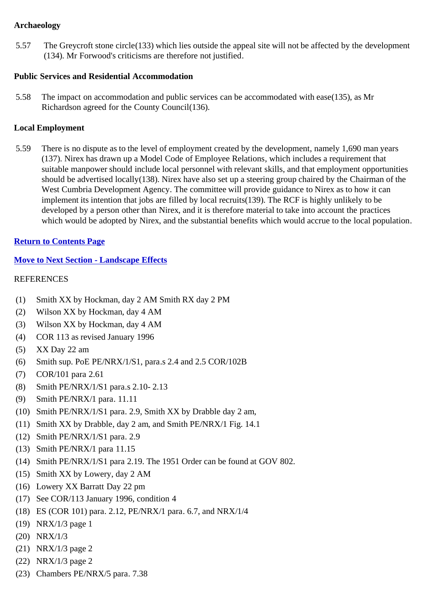#### **Archaeology**

5.57 The Greycroft stone circle(133) which lies outside the appeal site will not be affected by the development (134). Mr Forwood's criticisms are therefore not justified.

### **Public Services and Residential Accommodation**

5.58 The impact on accommodation and public services can be accommodated with ease(135), as Mr Richardson agreed for the County Council(136).

#### **Local Employment**

5.59 There is no dispute as to the level of employment created by the development, namely 1,690 man years (137). Nirex has drawn up a Model Code of Employee Relations, which includes a requirement that suitable manpower should include local personnel with relevant skills, and that employment opportunities should be advertised locally(138). Nirex have also set up a steering group chaired by the Chairman of the West Cumbria Development Agency. The committee will provide guidance to Nirex as to how it can implement its intention that jobs are filled by local recruits(139). The RCF is highly unlikely to be developed by a person other than Nirex, and it is therefore material to take into account the practices which would be adopted by Nirex, and the substantial benefits which would accrue to the local population.

#### **Return to Contents Page**

#### **Move to Next Section - Landscape Effects**

#### **REFERENCES**

- (1) Smith XX by Hockman, day 2 AM Smith RX day 2 PM
- (2) Wilson XX by Hockman, day 4 AM
- (3) Wilson XX by Hockman, day 4 AM
- (4) COR 113 as revised January 1996
- (5) XX Day 22 am
- (6) Smith sup. PoE PE/NRX/1/S1, para.s 2.4 and 2.5 COR/102B
- (7) COR/101 para 2.61
- (8) Smith PE/NRX/1/S1 para.s 2.10- 2.13
- (9) Smith PE/NRX/1 para. 11.11
- (10) Smith PE/NRX/1/S1 para. 2.9, Smith XX by Drabble day 2 am,
- (11) Smith XX by Drabble, day 2 am, and Smith PE/NRX/1 Fig. 14.1
- (12) Smith PE/NRX/1/S1 para. 2.9
- (13) Smith PE/NRX/1 para 11.15
- (14) Smith PE/NRX/1/S1 para 2.19. The 1951 Order can be found at GOV 802.
- (15) Smith XX by Lowery, day 2 AM
- (16) Lowery XX Barratt Day 22 pm
- (17) See COR/113 January 1996, condition 4
- (18) ES (COR 101) para. 2.12, PE/NRX/1 para. 6.7, and NRX/1/4
- (19) NRX/1/3 page 1
- (20) NRX/1/3
- (21) NRX/1/3 page 2
- (22) NRX/1/3 page 2
- (23) Chambers PE/NRX/5 para. 7.38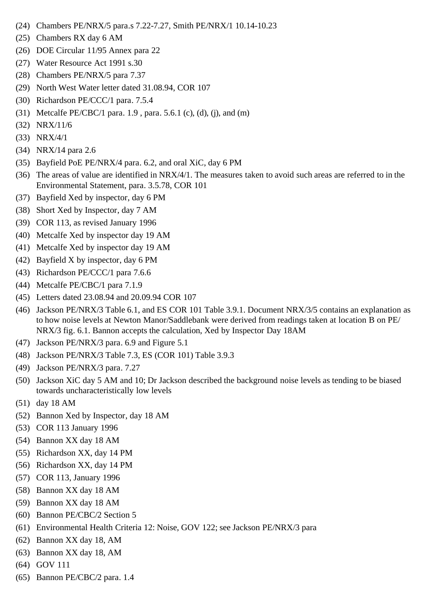- (24) Chambers PE/NRX/5 para.s 7.22-7.27, Smith PE/NRX/1 10.14-10.23
- (25) Chambers RX day 6 AM
- (26) DOE Circular 11/95 Annex para 22
- (27) Water Resource Act 1991 s.30
- (28) Chambers PE/NRX/5 para 7.37
- (29) North West Water letter dated 31.08.94, COR 107
- (30) Richardson PE/CCC/1 para. 7.5.4
- (31) Metcalfe PE/CBC/1 para. 1.9, para. 5.6.1 (c), (d), (j), and (m)
- (32) NRX/11/6
- (33) NRX/4/1
- (34) NRX/14 para 2.6
- (35) Bayfield PoE PE/NRX/4 para. 6.2, and oral XiC, day 6 PM
- (36) The areas of value are identified in  $NRX/4/1$ . The measures taken to avoid such areas are referred to in the Environmental Statement, para. 3.5.78, COR 101
- (37) Bayfield Xed by inspector, day 6 PM
- (38) Short Xed by Inspector, day 7 AM
- (39) COR 113, as revised January 1996
- (40) Metcalfe Xed by inspector day 19 AM
- (41) Metcalfe Xed by inspector day 19 AM
- (42) Bayfield X by inspector, day 6 PM
- (43) Richardson PE/CCC/1 para 7.6.6
- (44) Metcalfe PE/CBC/1 para 7.1.9
- (45) Letters dated 23.08.94 and 20.09.94 COR 107
- (46) Jackson PE/NRX/3 Table 6.1, and ES COR 101 Table 3.9.1. Document NRX/3/5 contains an explanation as to how noise levels at Newton Manor/Saddlebank were derived from readings taken at location B on PE/ NRX/3 fig. 6.1. Bannon accepts the calculation, Xed by Inspector Day 18AM
- (47) Jackson PE/NRX/3 para. 6.9 and Figure 5.1
- (48) Jackson PE/NRX/3 Table 7.3, ES (COR 101) Table 3.9.3
- (49) Jackson PE/NRX/3 para. 7.27
- (50) Jackson XiC day 5 AM and 10; Dr Jackson described the background noise levels as tending to be biased towards uncharacteristically low levels
- (51) day 18 AM
- (52) Bannon Xed by Inspector, day 18 AM
- (53) COR 113 January 1996
- (54) Bannon XX day 18 AM
- (55) Richardson XX, day 14 PM
- (56) Richardson XX, day 14 PM
- (57) COR 113, January 1996
- (58) Bannon XX day 18 AM
- (59) Bannon XX day 18 AM
- (60) Bannon PE/CBC/2 Section 5
- (61) Environmental Health Criteria 12: Noise, GOV 122; see Jackson PE/NRX/3 para
- (62) Bannon XX day 18, AM
- (63) Bannon XX day 18, AM
- (64) GOV 111
- (65) Bannon PE/CBC/2 para. 1.4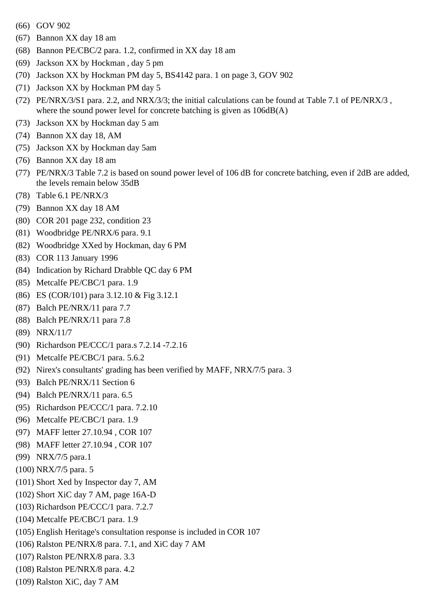- (66) GOV 902
- (67) Bannon XX day 18 am
- (68) Bannon PE/CBC/2 para. 1.2, confirmed in XX day 18 am
- (69) Jackson XX by Hockman , day 5 pm
- (70) Jackson XX by Hockman PM day 5, BS4142 para. 1 on page 3, GOV 902
- (71) Jackson XX by Hockman PM day 5
- (72) PE/NRX/3/S1 para. 2.2, and NRX/3/3; the initial calculations can be found at Table 7.1 of PE/NRX/3 , where the sound power level for concrete batching is given as  $106dB(A)$
- (73) Jackson XX by Hockman day 5 am
- (74) Bannon XX day 18, AM
- (75) Jackson XX by Hockman day 5am
- (76) Bannon XX day 18 am
- (77) PE/NRX/3 Table 7.2 is based on sound power level of 106 dB for concrete batching, even if 2dB are added, the levels remain below 35dB
- (78) Table 6.1 PE/NRX/3
- (79) Bannon XX day 18 AM
- (80) COR 201 page 232, condition 23
- (81) Woodbridge PE/NRX/6 para. 9.1
- (82) Woodbridge XXed by Hockman, day 6 PM
- (83) COR 113 January 1996
- (84) Indication by Richard Drabble QC day 6 PM
- (85) Metcalfe PE/CBC/1 para. 1.9
- (86) ES (COR/101) para 3.12.10 & Fig 3.12.1
- (87) Balch PE/NRX/11 para 7.7
- (88) Balch PE/NRX/11 para 7.8
- (89) NRX/11/7
- (90) Richardson PE/CCC/1 para.s 7.2.14 -7.2.16
- (91) Metcalfe PE/CBC/1 para. 5.6.2
- (92) Nirex's consultants' grading has been verified by MAFF, NRX/7/5 para. 3
- (93) Balch PE/NRX/11 Section 6
- (94) Balch PE/NRX/11 para. 6.5
- (95) Richardson PE/CCC/1 para. 7.2.10
- (96) Metcalfe PE/CBC/1 para. 1.9
- (97) MAFF letter 27.10.94 , COR 107
- (98) MAFF letter 27.10.94 , COR 107
- (99) NRX/7/5 para.1
- (100) NRX/7/5 para. 5
- (101) Short Xed by Inspector day 7, AM
- (102) Short XiC day 7 AM, page 16A-D
- (103) Richardson PE/CCC/1 para. 7.2.7
- (104) Metcalfe PE/CBC/1 para. 1.9
- (105) English Heritage's consultation response is included in COR 107
- (106) Ralston PE/NRX/8 para. 7.1, and XiC day 7 AM
- (107) Ralston PE/NRX/8 para. 3.3
- (108) Ralston PE/NRX/8 para. 4.2
- (109) Ralston XiC, day 7 AM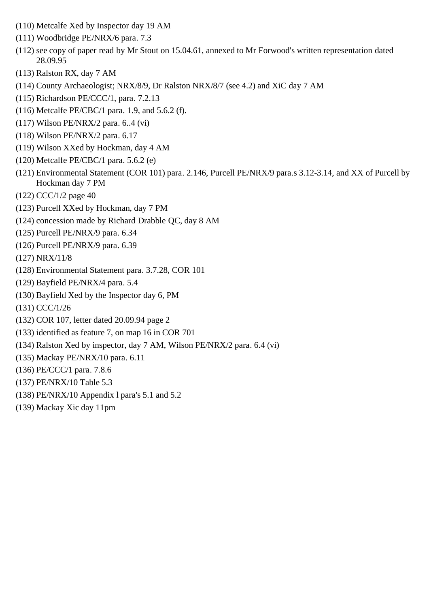- (110) Metcalfe Xed by Inspector day 19 AM
- (111) Woodbridge PE/NRX/6 para. 7.3
- (112) see copy of paper read by Mr Stout on 15.04.61, annexed to Mr Forwood's written representation dated 28.09.95
- (113) Ralston RX, day 7 AM
- (114) County Archaeologist; NRX/8/9, Dr Ralston NRX/8/7 (see 4.2) and XiC day 7 AM
- (115) Richardson PE/CCC/1, para. 7.2.13
- (116) Metcalfe PE/CBC/1 para. 1.9, and 5.6.2 (f).
- (117) Wilson PE/NRX/2 para. 6..4 (vi)
- (118) Wilson PE/NRX/2 para. 6.17
- (119) Wilson XXed by Hockman, day 4 AM
- (120) Metcalfe PE/CBC/1 para. 5.6.2 (e)
- (121) Environmental Statement (COR 101) para. 2.146, Purcell PE/NRX/9 para.s 3.12-3.14, and XX of Purcell by Hockman day 7 PM
- (122) CCC/1/2 page 40
- (123) Purcell XXed by Hockman, day 7 PM
- (124) concession made by Richard Drabble QC, day 8 AM
- (125) Purcell PE/NRX/9 para. 6.34
- (126) Purcell PE/NRX/9 para. 6.39
- (127) NRX/11/8
- (128) Environmental Statement para. 3.7.28, COR 101
- (129) Bayfield PE/NRX/4 para. 5.4
- (130) Bayfield Xed by the Inspector day 6, PM
- (131) CCC/1/26
- (132) COR 107, letter dated 20.09.94 page 2
- (133) identified as feature 7, on map 16 in COR 701
- (134) Ralston Xed by inspector, day 7 AM, Wilson PE/NRX/2 para. 6.4 (vi)
- (135) Mackay PE/NRX/10 para. 6.11
- (136) PE/CCC/1 para. 7.8.6
- (137) PE/NRX/10 Table 5.3
- (138) PE/NRX/10 Appendix l para's 5.1 and 5.2
- (139) Mackay Xic day 11pm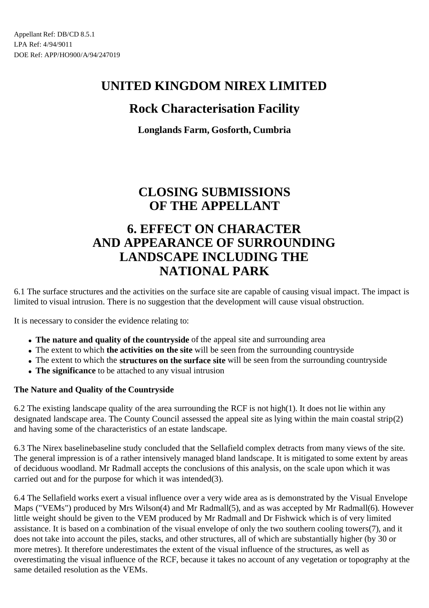## **Rock Characterisation Facility**

**Longlands Farm, Gosforth, Cumbria**

## **CLOSING SUBMISSIONS OF THE APPELLANT**

## **6. EFFECT ON CHARACTER AND APPEARANCE OF SURROUNDING LANDSCAPE INCLUDING THE NATIONAL PARK**

6.1 The surface structures and the activities on the surface site are capable of causing visual impact. The impact is limited to visual intrusion. There is no suggestion that the development will cause visual obstruction.

It is necessary to consider the evidence relating to:

- **The nature and quality of the countryside** of the appeal site and surrounding area
- The extent to which **the activities on the site** will be seen from the surrounding countryside
- The extent to which the **structures on the surface site** will be seen from the surrounding countryside
- The significance to be attached to any visual intrusion

### **The Nature and Quality of the Countryside**

6.2 The existing landscape quality of the area surrounding the RCF is not high(1). It does not lie within any designated landscape area. The County Council assessed the appeal site as lying within the main coastal strip(2) and having some of the characteristics of an estate landscape.

6.3 The Nirex baselinebaseline study concluded that the Sellafield complex detracts from many views of the site. The general impression is of a rather intensively managed bland landscape. It is mitigated to some extent by areas of deciduous woodland. Mr Radmall accepts the conclusions of this analysis, on the scale upon which it was carried out and for the purpose for which it was intended(3).

6.4 The Sellafield works exert a visual influence over a very wide area as is demonstrated by the Visual Envelope Maps ("VEMs") produced by Mrs Wilson(4) and Mr Radmall(5), and as was accepted by Mr Radmall(6). However little weight should be given to the VEM produced by Mr Radmall and Dr Fishwick which is of very limited assistance. It is based on a combination of the visual envelope of only the two southern cooling towers(7), and it does not take into account the piles, stacks, and other structures, all of which are substantially higher (by 30 or more metres). It therefore underestimates the extent of the visual influence of the structures, as well as overestimating the visual influence of the RCF, because it takes no account of any vegetation or topography at the same detailed resolution as the VEMs.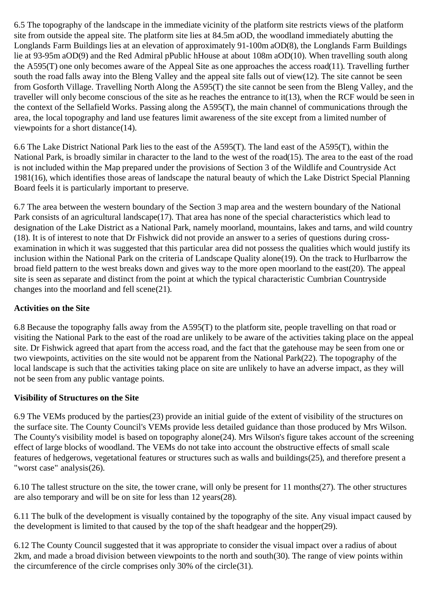6.5 The topography of the landscape in the immediate vicinity of the platform site restricts views of the platform site from outside the appeal site. The platform site lies at 84.5m aOD, the woodland immediately abutting the Longlands Farm Buildings lies at an elevation of approximately 91-100m aOD(8), the Longlands Farm Buildings lie at 93-95m aOD(9) and the Red Admiral pPublic hHouse at about 108m aOD(10). When travelling south along the A595(T) one only becomes aware of the Appeal Site as one approaches the access road(11). Travelling further south the road falls away into the Bleng Valley and the appeal site falls out of view(12). The site cannot be seen from Gosforth Village. Travelling North Along the A595(T) the site cannot be seen from the Bleng Valley, and the traveller will only become conscious of the site as he reaches the entrance to it(13), when the RCF would be seen in the context of the Sellafield Works. Passing along the A595(T), the main channel of communications through the area, the local topography and land use features limit awareness of the site except from a limited number of viewpoints for a short distance(14).

6.6 The Lake District National Park lies to the east of the A595(T). The land east of the A595(T), within the National Park, is broadly similar in character to the land to the west of the road(15). The area to the east of the road is not included within the Map prepared under the provisions of Section 3 of the Wildlife and Countryside Act 1981(16), which identifies those areas of landscape the natural beauty of which the Lake District Special Planning Board feels it is particularly important to preserve.

6.7 The area between the western boundary of the Section 3 map area and the western boundary of the National Park consists of an agricultural landscape(17). That area has none of the special characteristics which lead to designation of the Lake District as a National Park, namely moorland, mountains, lakes and tarns, and wild country (18). It is of interest to note that Dr Fishwick did not provide an answer to a series of questions during crossexamination in which it was suggested that this particular area did not possess the qualities which would justify its inclusion within the National Park on the criteria of Landscape Quality alone(19). On the track to Hurlbarrow the broad field pattern to the west breaks down and gives way to the more open moorland to the east(20). The appeal site is seen as separate and distinct from the point at which the typical characteristic Cumbrian Countryside changes into the moorland and fell scene(21).

### **Activities on the Site**

6.8 Because the topography falls away from the A595(T) to the platform site, people travelling on that road or visiting the National Park to the east of the road are unlikely to be aware of the activities taking place on the appeal site. Dr Fishwick agreed that apart from the access road, and the fact that the gatehouse may be seen from one or two viewpoints, activities on the site would not be apparent from the National Park(22). The topography of the local landscape is such that the activities taking place on site are unlikely to have an adverse impact, as they will not be seen from any public vantage points.

#### **Visibility of Structures on the Site**

6.9 The VEMs produced by the parties(23) provide an initial guide of the extent of visibility of the structures on the surface site. The County Council's VEMs provide less detailed guidance than those produced by Mrs Wilson. The County's visibility model is based on topography alone(24). Mrs Wilson's figure takes account of the screening effect of large blocks of woodland. The VEMs do not take into account the obstructive effects of small scale features of hedgerows, vegetational features or structures such as walls and buildings(25), and therefore present a "worst case" analysis(26).

6.10 The tallest structure on the site, the tower crane, will only be present for 11 months(27). The other structures are also temporary and will be on site for less than 12 years(28).

6.11 The bulk of the development is visually contained by the topography of the site. Any visual impact caused by the development is limited to that caused by the top of the shaft headgear and the hopper(29).

6.12 The County Council suggested that it was appropriate to consider the visual impact over a radius of about 2km, and made a broad division between viewpoints to the north and south(30). The range of view points within the circumference of the circle comprises only 30% of the circle(31).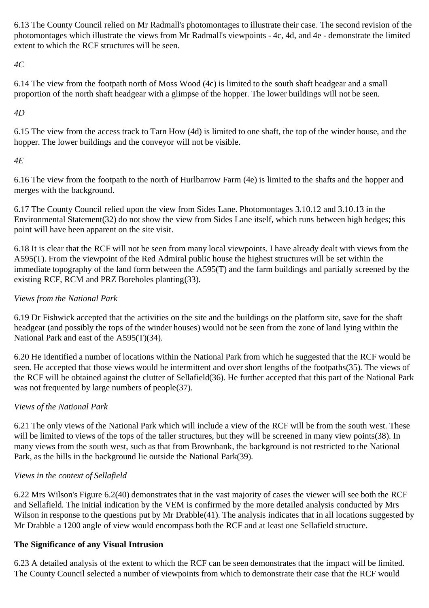6.13 The County Council relied on Mr Radmall's photomontages to illustrate their case. The second revision of the photomontages which illustrate the views from Mr Radmall's viewpoints - 4c, 4d, and 4e - demonstrate the limited extent to which the RCF structures will be seen.

*4C*

6.14 The view from the footpath north of Moss Wood (4c) is limited to the south shaft headgear and a small proportion of the north shaft headgear with a glimpse of the hopper. The lower buildings will not be seen.

*4D*

6.15 The view from the access track to Tarn How (4d) is limited to one shaft, the top of the winder house, and the hopper. The lower buildings and the conveyor will not be visible.

## *4E*

6.16 The view from the footpath to the north of Hurlbarrow Farm (4e) is limited to the shafts and the hopper and merges with the background.

6.17 The County Council relied upon the view from Sides Lane. Photomontages 3.10.12 and 3.10.13 in the Environmental Statement(32) do not show the view from Sides Lane itself, which runs between high hedges; this point will have been apparent on the site visit.

6.18 It is clear that the RCF will not be seen from many local viewpoints. I have already dealt with views from the A595(T). From the viewpoint of the Red Admiral public house the highest structures will be set within the immediate topography of the land form between the A595(T) and the farm buildings and partially screened by the existing RCF, RCM and PRZ Boreholes planting(33).

## *Views from the National Park*

6.19 Dr Fishwick accepted that the activities on the site and the buildings on the platform site, save for the shaft headgear (and possibly the tops of the winder houses) would not be seen from the zone of land lying within the National Park and east of the A595(T)(34).

6.20 He identified a number of locations within the National Park from which he suggested that the RCF would be seen. He accepted that those views would be intermittent and over short lengths of the footpaths(35). The views of the RCF will be obtained against the clutter of Sellafield(36). He further accepted that this part of the National Park was not frequented by large numbers of people(37).

## *Views of the National Park*

6.21 The only views of the National Park which will include a view of the RCF will be from the south west. These will be limited to views of the tops of the taller structures, but they will be screened in many view points(38). In many views from the south west, such as that from Brownbank, the background is not restricted to the National Park, as the hills in the background lie outside the National Park(39).

## *Views in the context of Sellafield*

6.22 Mrs Wilson's Figure 6.2(40) demonstrates that in the vast majority of cases the viewer will see both the RCF and Sellafield. The initial indication by the VEM is confirmed by the more detailed analysis conducted by Mrs Wilson in response to the questions put by Mr Drabble(41). The analysis indicates that in all locations suggested by Mr Drabble a 1200 angle of view would encompass both the RCF and at least one Sellafield structure.

## **The Significance of any Visual Intrusion**

6.23 A detailed analysis of the extent to which the RCF can be seen demonstrates that the impact will be limited. The County Council selected a number of viewpoints from which to demonstrate their case that the RCF would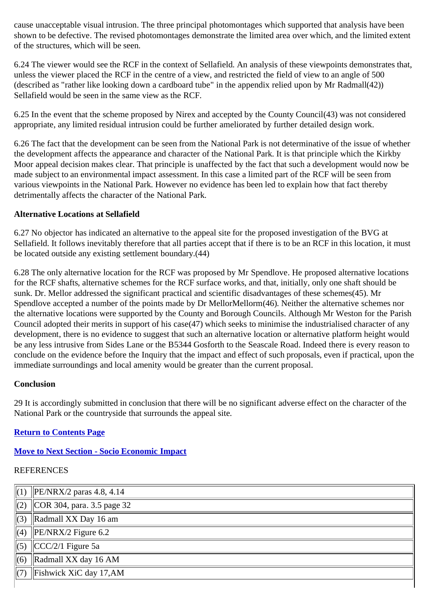cause unacceptable visual intrusion. The three principal photomontages which supported that analysis have been shown to be defective. The revised photomontages demonstrate the limited area over which, and the limited extent of the structures, which will be seen.

6.24 The viewer would see the RCF in the context of Sellafield. An analysis of these viewpoints demonstrates that, unless the viewer placed the RCF in the centre of a view, and restricted the field of view to an angle of 500 (described as "rather like looking down a cardboard tube" in the appendix relied upon by Mr Radmall(42)) Sellafield would be seen in the same view as the RCF.

6.25 In the event that the scheme proposed by Nirex and accepted by the County Council(43) was not considered appropriate, any limited residual intrusion could be further ameliorated by further detailed design work.

6.26 The fact that the development can be seen from the National Park is not determinative of the issue of whether the development affects the appearance and character of the National Park. It is that principle which the Kirkby Moor appeal decision makes clear. That principle is unaffected by the fact that such a development would now be made subject to an environmental impact assessment. In this case a limited part of the RCF will be seen from various viewpoints in the National Park. However no evidence has been led to explain how that fact thereby detrimentally affects the character of the National Park.

#### **Alternative Locations at Sellafield**

6.27 No objector has indicated an alternative to the appeal site for the proposed investigation of the BVG at Sellafield. It follows inevitably therefore that all parties accept that if there is to be an RCF in this location, it must be located outside any existing settlement boundary.(44)

6.28 The only alternative location for the RCF was proposed by Mr Spendlove. He proposed alternative locations for the RCF shafts, alternative schemes for the RCF surface works, and that, initially, only one shaft should be sunk. Dr. Mellor addressed the significant practical and scientific disadvantages of these schemes(45). Mr Spendlove accepted a number of the points made by Dr MellorMellorm(46). Neither the alternative schemes nor the alternative locations were supported by the County and Borough Councils. Although Mr Weston for the Parish Council adopted their merits in support of his case(47) which seeks to minimise the industrialised character of any development, there is no evidence to suggest that such an alternative location or alternative platform height would be any less intrusive from Sides Lane or the B5344 Gosforth to the Seascale Road. Indeed there is every reason to conclude on the evidence before the Inquiry that the impact and effect of such proposals, even if practical, upon the immediate surroundings and local amenity would be greater than the current proposal.

#### **Conclusion**

29 It is accordingly submitted in conclusion that there will be no significant adverse effect on the character of the National Park or the countryside that surrounds the appeal site.

### **Return to Contents Page**

## **Move to Next Section - Socio Economic Impact**

## **REFERENCES**

|                 | $\ $ (1) $\ $ PE/NRX/2 paras 4.8, 4.14   |  |  |  |
|-----------------|------------------------------------------|--|--|--|
|                 | $\ $ (2) $\ $ COR 304, para. 3.5 page 32 |  |  |  |
| $\parallel$ (3) | Radmall XX Day 16 am                     |  |  |  |
|                 | $\ $ (4) $\ $ PE/NRX/2 Figure 6.2        |  |  |  |
| $\parallel$ (5) | $CCC/2/1$ Figure 5a                      |  |  |  |
| $\vert(6)\vert$ | Radmall XX day 16 AM                     |  |  |  |
|                 | Fishwick XiC day $17, AM$                |  |  |  |
|                 |                                          |  |  |  |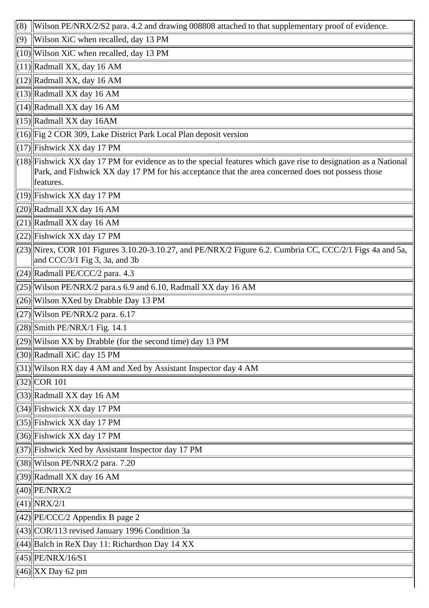| (8) | Wilson PE/NRX/2/S2 para. 4.2 and drawing 008808 attached to that supplementary proof of evidence.                                             |  |  |  |  |
|-----|-----------------------------------------------------------------------------------------------------------------------------------------------|--|--|--|--|
| (9) | Wilson XiC when recalled, day 13 PM                                                                                                           |  |  |  |  |
|     | $(10)$ Wilson XiC when recalled, day 13 PM                                                                                                    |  |  |  |  |
|     | $(11)$ Radmall XX, day 16 AM                                                                                                                  |  |  |  |  |
|     | $(12)$ Radmall XX, day 16 AM                                                                                                                  |  |  |  |  |
|     | $(13)$ Radmall XX day 16 AM                                                                                                                   |  |  |  |  |
|     | $(14)$ Radmall XX day 16 AM                                                                                                                   |  |  |  |  |
|     | $(15)$ Radmall XX day 16AM                                                                                                                    |  |  |  |  |
|     | $(16)$ Fig 2 COR 309, Lake District Park Local Plan deposit version                                                                           |  |  |  |  |
|     | $(17)$ Fishwick XX day 17 PM                                                                                                                  |  |  |  |  |
|     | $(18)$ Fishwick XX day 17 PM for evidence as to the special features which gave rise to designation as a National                             |  |  |  |  |
|     | Park, and Fishwick XX day 17 PM for his acceptance that the area concerned does not possess those<br>features.                                |  |  |  |  |
|     | $(19)$ Fishwick XX day 17 PM                                                                                                                  |  |  |  |  |
|     | $(20)$ Radmall XX day 16 AM                                                                                                                   |  |  |  |  |
|     | $(21)$ Radmall XX day 16 AM                                                                                                                   |  |  |  |  |
|     | $(22)$ Fishwick XX day 17 PM                                                                                                                  |  |  |  |  |
|     | $(23)$  Nirex, COR 101 Figures 3.10.20-3.10.27, and PE/NRX/2 Figure 6.2. Cumbria CC, CCC/2/1 Figs 4a and 5a,<br>and CCC/3/1 Fig 3, 3a, and 3b |  |  |  |  |
|     | $(24)$ Radmall PE/CCC/2 para. 4.3                                                                                                             |  |  |  |  |
|     | $\left  (25) \right $ Wilson PE/NRX/2 para.s 6.9 and 6.10, Radmall XX day 16 AM                                                               |  |  |  |  |
|     | (26) Wilson XXed by Drabble Day 13 PM                                                                                                         |  |  |  |  |
|     | $\left \frac{27}{Wi\text{lson PE/NRX}}\right $ para. 6.17                                                                                     |  |  |  |  |
|     | $\left \frac{28}{\text{Smith PE/NRX}}\right $ Fig. 14.1                                                                                       |  |  |  |  |
|     | $ (29)$   Wilson XX by Drabble (for the second time) day 13 PM                                                                                |  |  |  |  |
|     | (30) Radmall XiC day 15 PM                                                                                                                    |  |  |  |  |
|     | $(31)$ Wilson RX day 4 AM and Xed by Assistant Inspector day 4 AM                                                                             |  |  |  |  |
|     | $(32)$ COR 101                                                                                                                                |  |  |  |  |
|     | $(33)$ Radmall XX day 16 AM                                                                                                                   |  |  |  |  |
|     | $(34)$ Fishwick XX day 17 PM                                                                                                                  |  |  |  |  |
|     | $(35)$ Fishwick XX day 17 PM                                                                                                                  |  |  |  |  |
|     | (36) Fishwick XX day 17 PM                                                                                                                    |  |  |  |  |
|     | (37) Fishwick Xed by Assistant Inspector day 17 PM                                                                                            |  |  |  |  |
|     | $(38)$ Wilson PE/NRX/2 para. 7.20                                                                                                             |  |  |  |  |
|     | $(39)$ Radmall XX day 16 AM                                                                                                                   |  |  |  |  |
|     | $(40)$ PE/NRX/2                                                                                                                               |  |  |  |  |
|     | $(41)$ NRX/2/1                                                                                                                                |  |  |  |  |
|     | $ (42)  PE/CCC/2$ Appendix B page 2                                                                                                           |  |  |  |  |
|     | $\left \frac{43}{\text{COR}}\right $ (43) $\left \frac{\text{COR}}{113}\right $ revised January 1996 Condition 3a                             |  |  |  |  |
|     | $\left  \frac{(44)}{B} \right $ alch in ReX Day 11: Richardson Day 14 XX                                                                      |  |  |  |  |
|     | $(45)$  PE/NRX/16/S1                                                                                                                          |  |  |  |  |
|     | $(46)$ XX Day 62 pm                                                                                                                           |  |  |  |  |
|     |                                                                                                                                               |  |  |  |  |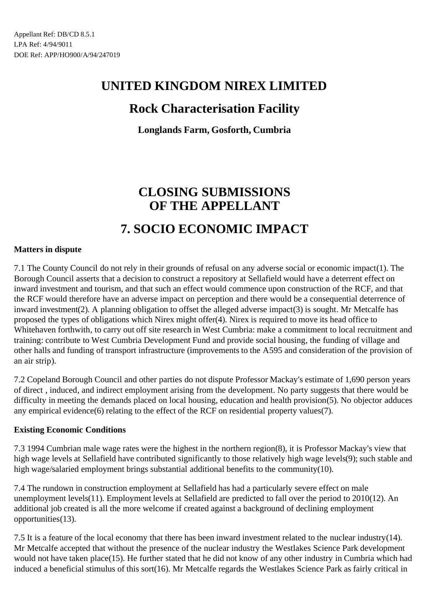## **Rock Characterisation Facility**

**Longlands Farm, Gosforth, Cumbria**

# **CLOSING SUBMISSIONS OF THE APPELLANT 7. SOCIO ECONOMIC IMPACT**

#### **Matters in dispute**

7.1 The County Council do not rely in their grounds of refusal on any adverse social or economic impact(1). The Borough Council asserts that a decision to construct a repository at Sellafield would have a deterrent effect on inward investment and tourism, and that such an effect would commence upon construction of the RCF, and that the RCF would therefore have an adverse impact on perception and there would be a consequential deterrence of inward investment(2). A planning obligation to offset the alleged adverse impact(3) is sought. Mr Metcalfe has proposed the types of obligations which Nirex might offer(4). Nirex is required to move its head office to Whitehaven forthwith, to carry out off site research in West Cumbria: make a commitment to local recruitment and training: contribute to West Cumbria Development Fund and provide social housing, the funding of village and other halls and funding of transport infrastructure (improvements to the A595 and consideration of the provision of an air strip).

7.2 Copeland Borough Council and other parties do not dispute Professor Mackay's estimate of 1,690 person years of direct , induced, and indirect employment arising from the development. No party suggests that there would be difficulty in meeting the demands placed on local housing, education and health provision(5). No objector adduces any empirical evidence(6) relating to the effect of the RCF on residential property values(7).

#### **Existing Economic Conditions**

7.3 1994 Cumbrian male wage rates were the highest in the northern region(8), it is Professor Mackay's view that high wage levels at Sellafield have contributed significantly to those relatively high wage levels(9); such stable and high wage/salaried employment brings substantial additional benefits to the community(10).

7.4 The rundown in construction employment at Sellafield has had a particularly severe effect on male unemployment levels(11). Employment levels at Sellafield are predicted to fall over the period to 2010(12). An additional job created is all the more welcome if created against a background of declining employment opportunities(13).

7.5 It is a feature of the local economy that there has been inward investment related to the nuclear industry(14). Mr Metcalfe accepted that without the presence of the nuclear industry the Westlakes Science Park development would not have taken place(15). He further stated that he did not know of any other industry in Cumbria which had induced a beneficial stimulus of this sort(16). Mr Metcalfe regards the Westlakes Science Park as fairly critical in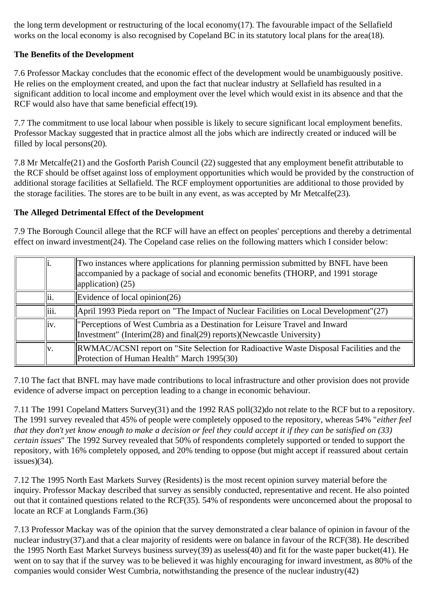the long term development or restructuring of the local economy $(17)$ . The favourable impact of the Sellafield works on the local economy is also recognised by Copeland BC in its statutory local plans for the area(18).

### **The Benefits of the Development**

7.6 Professor Mackay concludes that the economic effect of the development would be unambiguously positive. He relies on the employment created, and upon the fact that nuclear industry at Sellafield has resulted in a significant addition to local income and employment over the level which would exist in its absence and that the RCF would also have that same beneficial effect(19).

7.7 The commitment to use local labour when possible is likely to secure significant local employment benefits. Professor Mackay suggested that in practice almost all the jobs which are indirectly created or induced will be filled by local persons(20).

7.8 Mr Metcalfe(21) and the Gosforth Parish Council (22) suggested that any employment benefit attributable to the RCF should be offset against loss of employment opportunities which would be provided by the construction of additional storage facilities at Sellafield. The RCF employment opportunities are additional to those provided by the storage facilities. The stores are to be built in any event, as was accepted by Mr Metcalfe(23).

#### **The Alleged Detrimental Effect of the Development**

7.9 The Borough Council allege that the RCF will have an effect on peoples' perceptions and thereby a detrimental effect on inward investment(24). The Copeland case relies on the following matters which I consider below:

| lli.  | Two instances where applications for planning permission submitted by BNFL have been<br>accompanied by a package of social and economic benefits (THORP, and 1991 storage<br>$\ $ application) (25) |
|-------|-----------------------------------------------------------------------------------------------------------------------------------------------------------------------------------------------------|
| lii.  | Evidence of local opinion $(26)$                                                                                                                                                                    |
| liii. | April 1993 Pieda report on "The Impact of Nuclear Facilities on Local Development" $(27)$                                                                                                           |
| liv.  | "Perceptions of West Cumbria as a Destination for Leisure Travel and Inward<br>Investment" (Interim(28) and final(29) reports)(Newcastle University)                                                |
| lv.   | RWMAC/ACSNI report on "Site Selection for Radioactive Waste Disposal Facilities and the<br>Protection of Human Health" March 1995(30)                                                               |

7.10 The fact that BNFL may have made contributions to local infrastructure and other provision does not provide evidence of adverse impact on perception leading to a change in economic behaviour.

7.11 The 1991 Copeland Matters Survey(31) and the 1992 RAS poll(32)do not relate to the RCF but to a repository. The 1991 survey revealed that 45% of people were completely opposed to the repository, whereas 54% "*either feel that they don't yet know enough to make a decision or feel they could accept it if they can be satisfied on (33) certain issues*" The 1992 Survey revealed that 50% of respondents completely supported or tended to support the repository, with 16% completely opposed, and 20% tending to oppose (but might accept if reassured about certain issues)(34).

7.12 The 1995 North East Markets Survey (Residents) is the most recent opinion survey material before the inquiry. Professor Mackay described that survey as sensibly conducted, representative and recent. He also pointed out that it contained questions related to the RCF(35). 54% of respondents were unconcerned about the proposal to locate an RCF at Longlands Farm.(36)

7.13 Professor Mackay was of the opinion that the survey demonstrated a clear balance of opinion in favour of the nuclear industry(37).and that a clear majority of residents were on balance in favour of the RCF(38). He described the 1995 North East Market Surveys business survey(39) as useless(40) and fit for the waste paper bucket(41). He went on to say that if the survey was to be believed it was highly encouraging for inward investment, as 80% of the companies would consider West Cumbria, notwithstanding the presence of the nuclear industry(42)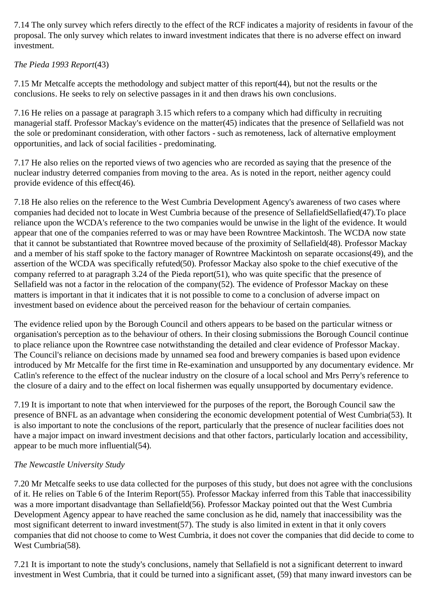7.14 The only survey which refers directly to the effect of the RCF indicates a majority of residents in favour of the proposal. The only survey which relates to inward investment indicates that there is no adverse effect on inward investment.

### *The Pieda 1993 Report*(43)

7.15 Mr Metcalfe accepts the methodology and subject matter of this report(44), but not the results or the conclusions. He seeks to rely on selective passages in it and then draws his own conclusions.

7.16 He relies on a passage at paragraph 3.15 which refers to a company which had difficulty in recruiting managerial staff. Professor Mackay's evidence on the matter(45) indicates that the presence of Sellafield was not the sole or predominant consideration, with other factors - such as remoteness, lack of alternative employment opportunities, and lack of social facilities - predominating.

7.17 He also relies on the reported views of two agencies who are recorded as saying that the presence of the nuclear industry deterred companies from moving to the area. As is noted in the report, neither agency could provide evidence of this effect(46).

7.18 He also relies on the reference to the West Cumbria Development Agency's awareness of two cases where companies had decided not to locate in West Cumbria because of the presence of SellafieldSellafied(47).To place reliance upon the WCDA's reference to the two companies would be unwise in the light of the evidence. It would appear that one of the companies referred to was or may have been Rowntree Mackintosh. The WCDA now state that it cannot be substantiated that Rowntree moved because of the proximity of Sellafield(48). Professor Mackay and a member of his staff spoke to the factory manager of Rowntree Mackintosh on separate occasions(49), and the assertion of the WCDA was specifically refuted(50). Professor Mackay also spoke to the chief executive of the company referred to at paragraph 3.24 of the Pieda report(51), who was quite specific that the presence of Sellafield was not a factor in the relocation of the company(52). The evidence of Professor Mackay on these matters is important in that it indicates that it is not possible to come to a conclusion of adverse impact on investment based on evidence about the perceived reason for the behaviour of certain companies.

The evidence relied upon by the Borough Council and others appears to be based on the particular witness or organisation's perception as to the behaviour of others. In their closing submissions the Borough Council continue to place reliance upon the Rowntree case notwithstanding the detailed and clear evidence of Professor Mackay. The Council's reliance on decisions made by unnamed sea food and brewery companies is based upon evidence introduced by Mr Metcalfe for the first time in Re-examination and unsupported by any documentary evidence. Mr Catlin's reference to the effect of the nuclear industry on the closure of a local school and Mrs Perry's reference to the closure of a dairy and to the effect on local fishermen was equally unsupported by documentary evidence.

7.19 It is important to note that when interviewed for the purposes of the report, the Borough Council saw the presence of BNFL as an advantage when considering the economic development potential of West Cumbria(53). It is also important to note the conclusions of the report, particularly that the presence of nuclear facilities does not have a major impact on inward investment decisions and that other factors, particularly location and accessibility, appear to be much more influential(54).

### *The Newcastle University Study*

7.20 Mr Metcalfe seeks to use data collected for the purposes of this study, but does not agree with the conclusions of it. He relies on Table 6 of the Interim Report(55). Professor Mackay inferred from this Table that inaccessibility was a more important disadvantage than Sellafield(56). Professor Mackay pointed out that the West Cumbria Development Agency appear to have reached the same conclusion as he did, namely that inaccessibility was the most significant deterrent to inward investment(57). The study is also limited in extent in that it only covers companies that did not choose to come to West Cumbria, it does not cover the companies that did decide to come to West Cumbria(58).

7.21 It is important to note the study's conclusions, namely that Sellafield is not a significant deterrent to inward investment in West Cumbria, that it could be turned into a significant asset, (59) that many inward investors can be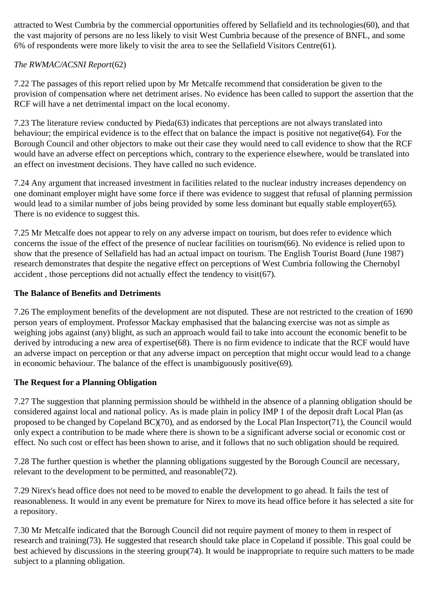attracted to West Cumbria by the commercial opportunities offered by Sellafield and its technologies(60), and that the vast majority of persons are no less likely to visit West Cumbria because of the presence of BNFL, and some 6% of respondents were more likely to visit the area to see the Sellafield Visitors Centre(61).

### *The RWMAC/ACSNI Report*(62)

7.22 The passages of this report relied upon by Mr Metcalfe recommend that consideration be given to the provision of compensation where net detriment arises. No evidence has been called to support the assertion that the RCF will have a net detrimental impact on the local economy.

7.23 The literature review conducted by Pieda(63) indicates that perceptions are not always translated into behaviour; the empirical evidence is to the effect that on balance the impact is positive not negative(64). For the Borough Council and other objectors to make out their case they would need to call evidence to show that the RCF would have an adverse effect on perceptions which, contrary to the experience elsewhere, would be translated into an effect on investment decisions. They have called no such evidence.

7.24 Any argument that increased investment in facilities related to the nuclear industry increases dependency on one dominant employer might have some force if there was evidence to suggest that refusal of planning permission would lead to a similar number of jobs being provided by some less dominant but equally stable employer(65). There is no evidence to suggest this.

7.25 Mr Metcalfe does not appear to rely on any adverse impact on tourism, but does refer to evidence which concerns the issue of the effect of the presence of nuclear facilities on tourism(66). No evidence is relied upon to show that the presence of Sellafield has had an actual impact on tourism. The English Tourist Board (June 1987) research demonstrates that despite the negative effect on perceptions of West Cumbria following the Chernobyl accident , those perceptions did not actually effect the tendency to visit(67).

#### **The Balance of Benefits and Detriments**

7.26 The employment benefits of the development are not disputed. These are not restricted to the creation of 1690 person years of employment. Professor Mackay emphasised that the balancing exercise was not as simple as weighing jobs against (any) blight, as such an approach would fail to take into account the economic benefit to be derived by introducing a new area of expertise(68). There is no firm evidence to indicate that the RCF would have an adverse impact on perception or that any adverse impact on perception that might occur would lead to a change in economic behaviour. The balance of the effect is unambiguously positive(69).

### **The Request for a Planning Obligation**

7.27 The suggestion that planning permission should be withheld in the absence of a planning obligation should be considered against local and national policy. As is made plain in policy IMP 1 of the deposit draft Local Plan (as proposed to be changed by Copeland BC)(70), and as endorsed by the Local Plan Inspector(71), the Council would only expect a contribution to be made where there is shown to be a significant adverse social or economic cost or effect. No such cost or effect has been shown to arise, and it follows that no such obligation should be required.

7.28 The further question is whether the planning obligations suggested by the Borough Council are necessary, relevant to the development to be permitted, and reasonable(72).

7.29 Nirex's head office does not need to be moved to enable the development to go ahead. It fails the test of reasonableness. It would in any event be premature for Nirex to move its head office before it has selected a site for a repository.

7.30 Mr Metcalfe indicated that the Borough Council did not require payment of money to them in respect of research and training(73). He suggested that research should take place in Copeland if possible. This goal could be best achieved by discussions in the steering group(74). It would be inappropriate to require such matters to be made subject to a planning obligation.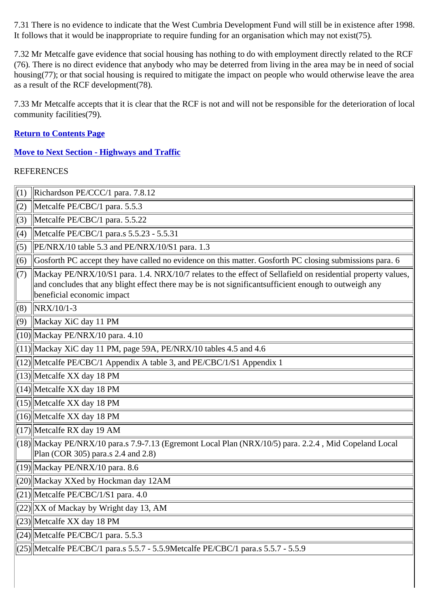7.31 There is no evidence to indicate that the West Cumbria Development Fund will still be in existence after 1998. It follows that it would be inappropriate to require funding for an organisation which may not exist(75).

7.32 Mr Metcalfe gave evidence that social housing has nothing to do with employment directly related to the RCF (76). There is no direct evidence that anybody who may be deterred from living in the area may be in need of social housing(77); or that social housing is required to mitigate the impact on people who would otherwise leave the area as a result of the RCF development(78).

7.33 Mr Metcalfe accepts that it is clear that the RCF is not and will not be responsible for the deterioration of local community facilities(79).

#### **Return to Contents Page**

**Move to Next Section - Highways and Traffic**

| (1) | Richardson PE/CCC/1 para. 7.8.12                                                                                                                                                                                                                    |
|-----|-----------------------------------------------------------------------------------------------------------------------------------------------------------------------------------------------------------------------------------------------------|
| (2) | Metcalfe PE/CBC/1 para. 5.5.3                                                                                                                                                                                                                       |
| (3) | Metcalfe PE/CBC/1 para. 5.5.22                                                                                                                                                                                                                      |
| (4) | Metcalfe PE/CBC/1 para.s 5.5.23 - 5.5.31                                                                                                                                                                                                            |
| (5) | PE/NRX/10 table 5.3 and PE/NRX/10/S1 para. 1.3                                                                                                                                                                                                      |
| (6) | Gosforth PC accept they have called no evidence on this matter. Gosforth PC closing submissions para. 6                                                                                                                                             |
| (7) | Mackay PE/NRX/10/S1 para. 1.4. NRX/10/7 relates to the effect of Sellafield on residential property values,<br>and concludes that any blight effect there may be is not significant sufficient enough to outweigh any<br>beneficial economic impact |
| (8) | $NRX/10/1-3$                                                                                                                                                                                                                                        |
| (9) | Mackay XiC day 11 PM                                                                                                                                                                                                                                |
|     | $(10)$ Mackay PE/NRX/10 para. 4.10                                                                                                                                                                                                                  |
|     | $(11)$ Mackay XiC day 11 PM, page 59A, PE/NRX/10 tables 4.5 and 4.6                                                                                                                                                                                 |
|     | $\vert (12) \vert$ Metcalfe PE/CBC/1 Appendix A table 3, and PE/CBC/1/S1 Appendix 1                                                                                                                                                                 |
|     | $(13)$ Metcalfe XX day 18 PM                                                                                                                                                                                                                        |
|     | $(14)$ Metcalfe XX day 18 PM                                                                                                                                                                                                                        |
|     | $(15)$ Metcalfe XX day 18 PM                                                                                                                                                                                                                        |
|     | $(16)$ Metcalfe XX day 18 PM                                                                                                                                                                                                                        |
|     | $(17)$ Metcalfe RX day 19 AM                                                                                                                                                                                                                        |
|     | [(18)]Mackay PE/NRX/10 para.s 7.9-7.13 (Egremont Local Plan (NRX/10/5) para. 2.2.4, Mid Copeland Local<br>Plan (COR 305) para.s 2.4 and 2.8)                                                                                                        |
|     | $(19)$ Mackay PE/NRX/10 para. 8.6                                                                                                                                                                                                                   |
|     | $(20)$ Mackay XXed by Hockman day 12AM                                                                                                                                                                                                              |
|     | $(21)$ Metcalfe PE/CBC/1/S1 para. 4.0                                                                                                                                                                                                               |
|     | $(22)$ XX of Mackay by Wright day 13, AM                                                                                                                                                                                                            |
|     | $\left  \frac{23}{\text{Meta}} \right $ Set also XX day 18 PM                                                                                                                                                                                       |
|     | $\left  (24) \right $ Metcalfe PE/CBC/1 para. 5.5.3                                                                                                                                                                                                 |
|     | (25) Metcalfe PE/CBC/1 para.s 5.5.7 - 5.5.9Metcalfe PE/CBC/1 para.s 5.5.7 - 5.5.9                                                                                                                                                                   |
|     |                                                                                                                                                                                                                                                     |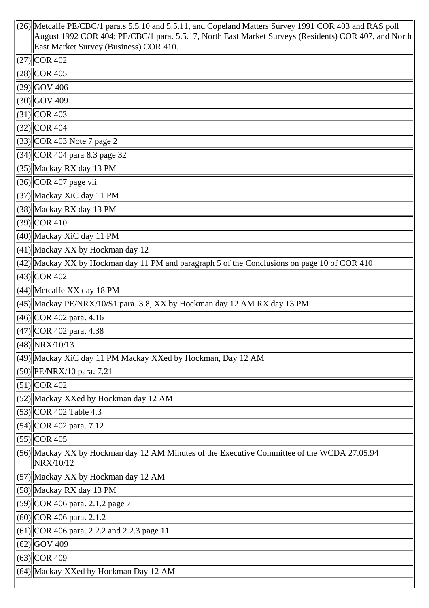| $(26)$ Metcalfe PE/CBC/1 para.s 5.5.10 and 5.5.11, and Copeland Matters Survey 1991 COR 403 and RAS poll<br>August 1992 COR 404; PE/CBC/1 para. 5.5.17, North East Market Surveys (Residents) COR 407, and North |
|------------------------------------------------------------------------------------------------------------------------------------------------------------------------------------------------------------------|
| East Market Survey (Business) COR 410.<br>$(27)$ COR 402                                                                                                                                                         |
| $(28)$ COR 405                                                                                                                                                                                                   |
|                                                                                                                                                                                                                  |
| $(29)$ GOV 406                                                                                                                                                                                                   |
| $(30)$ GOV 409                                                                                                                                                                                                   |
| $(31)$ COR 403                                                                                                                                                                                                   |
| $\vert (32) \vert$ COR 404                                                                                                                                                                                       |
| $\vert$ (33) $\vert$ COR 403 Note 7 page 2                                                                                                                                                                       |
| $\left  (34) \right $ COR 404 para 8.3 page 32                                                                                                                                                                   |
| (35) Mackay RX day 13 PM                                                                                                                                                                                         |
| $(36)$ COR 407 page vii                                                                                                                                                                                          |
| $(37)$ Mackay XiC day 11 PM                                                                                                                                                                                      |
| $(38)$ Mackay RX day 13 PM                                                                                                                                                                                       |
| $(39)$ COR 410                                                                                                                                                                                                   |
| $(40)$   Mackay XiC day 11 PM                                                                                                                                                                                    |
| $\left  (41) \right $ Mackay XX by Hockman day 12                                                                                                                                                                |
| $\left \frac{42}{\text{Mackay XX}}\right $ by Hockman day 11 PM and paragraph 5 of the Conclusions on page 10 of COR 410                                                                                         |
| $(43)$ COR 402                                                                                                                                                                                                   |
| $\left  (44) \right $ Metcalfe XX day 18 PM                                                                                                                                                                      |
| $\left  (45) \right $ Mackay PE/NRX/10/S1 para. 3.8, XX by Hockman day 12 AM RX day 13 PM                                                                                                                        |
| $\left  (46) \right $ COR 402 para. 4.16                                                                                                                                                                         |
| (47) COR 402 para. 4.38                                                                                                                                                                                          |
| (48)  NRX/10/13                                                                                                                                                                                                  |
| (49)  Mackay XiC day 11 PM Mackay XXed by Hockman, Day 12 AM                                                                                                                                                     |
| $(50)$   PE/NRX/10 para. 7.21                                                                                                                                                                                    |
| $(51)$ COR 402                                                                                                                                                                                                   |
| [(52) Mackay XXed by Hockman day 12 AM                                                                                                                                                                           |
| $\vert$ (53) $\vert$ COR 402 Table 4.3                                                                                                                                                                           |
| $(54)$ COR 402 para. 7.12                                                                                                                                                                                        |
| $(55)$ COR 405                                                                                                                                                                                                   |
| $(56)$ Mackay XX by Hockman day 12 AM Minutes of the Executive Committee of the WCDA 27.05.94<br>NRX/10/12                                                                                                       |
| [(57) Mackay XX by Hockman day 12 AM                                                                                                                                                                             |
| $(58)$  Mackay RX day 13 PM                                                                                                                                                                                      |
| $(59)$ COR 406 para. 2.1.2 page 7                                                                                                                                                                                |
| $(60)$ COR 406 para. 2.1.2                                                                                                                                                                                       |
| $\vert$ (61) $\vert$ COR 406 para. 2.2.2 and 2.2.3 page 11                                                                                                                                                       |
| $(62)$ GOV 409                                                                                                                                                                                                   |
| $(63)$ COR 409                                                                                                                                                                                                   |
| (64) Mackay XXed by Hockman Day 12 AM                                                                                                                                                                            |
|                                                                                                                                                                                                                  |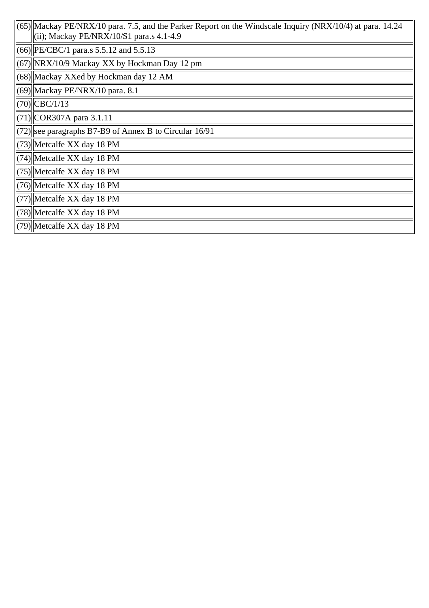| $\ $ (65)  Mackay PE/NRX/10 para. 7.5, and the Parker Report on the Windscale Inquiry (NRX/10/4) at para. 14.24<br>$(iii)$ ; Mackay PE/NRX/10/S1 para.s 4.1-4.9 |
|-----------------------------------------------------------------------------------------------------------------------------------------------------------------|
| $\left\  (66) \right\ $ PE/CBC/1 para.s 5.5.12 and 5.5.13                                                                                                       |
| $\langle 67 \rangle$   NRX/10/9 Mackay XX by Hockman Day 12 pm                                                                                                  |
| (68) Mackay XXed by Hockman day 12 AM                                                                                                                           |
| $\ $ (69) Mackay PE/NRX/10 para. 8.1                                                                                                                            |
| $\ $ (70) $\ $ CBC/1/13                                                                                                                                         |
| $\ $ (71) $\ $ COR307A para 3.1.11                                                                                                                              |
| $\left\  (72) \right\ $ see paragraphs B7-B9 of Annex B to Circular 16/91                                                                                       |
| $\langle$ (73) Metcalfe XX day 18 PM                                                                                                                            |
| $\ $ (74) Metcalfe XX day 18 PM                                                                                                                                 |
| $\left\  (75) \right\ $ Metcalfe XX day 18 PM                                                                                                                   |
| $\left\  (76) \right\ $ Metcalfe XX day 18 PM                                                                                                                   |
| $\ $ (77) Metcalfe XX day 18 PM                                                                                                                                 |
| $\left\  (78) \right\ $ Metcalfe XX day 18 PM                                                                                                                   |
| $\left\  (79) \right\ $ Metcalfe XX day 18 PM                                                                                                                   |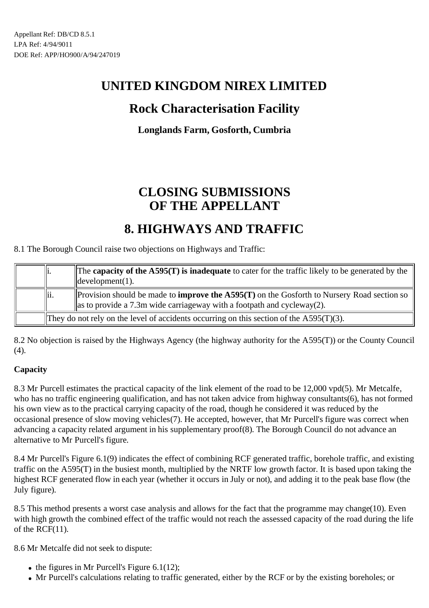## **Rock Characterisation Facility**

### **Longlands Farm, Gosforth, Cumbria**

# **CLOSING SUBMISSIONS OF THE APPELLANT**

## **8. HIGHWAYS AND TRAFFIC**

8.1 The Borough Council raise two objections on Highways and Traffic:

| 1.              | The capacity of the $\angle$ A595(T) is inadequate to cater for the traffic likely to be generated by the<br>$\parallel$ development $(1)$ .                                            |
|-----------------|-----------------------------------------------------------------------------------------------------------------------------------------------------------------------------------------|
| $\parallel$ ii. | Provision should be made to <b>improve the A595(T)</b> on the Gosforth to Nursery Road section so<br>$\parallel$ as to provide a 7.3m wide carriageway with a footpath and cycleway(2). |
|                 | They do not rely on the level of accidents occurring on this section of the $\text{A595}(T)(3)$ .                                                                                       |

8.2 No objection is raised by the Highways Agency (the highway authority for the A595(T)) or the County Council (4).

### **Capacity**

8.3 Mr Purcell estimates the practical capacity of the link element of the road to be 12,000 vpd(5). Mr Metcalfe, who has no traffic engineering qualification, and has not taken advice from highway consultants(6), has not formed his own view as to the practical carrying capacity of the road, though he considered it was reduced by the occasional presence of slow moving vehicles(7). He accepted, however, that Mr Purcell's figure was correct when advancing a capacity related argument in his supplementary proof(8). The Borough Council do not advance an alternative to Mr Purcell's figure.

8.4 Mr Purcell's Figure 6.1(9) indicates the effect of combining RCF generated traffic, borehole traffic, and existing traffic on the A595(T) in the busiest month, multiplied by the NRTF low growth factor. It is based upon taking the highest RCF generated flow in each year (whether it occurs in July or not), and adding it to the peak base flow (the July figure).

8.5 This method presents a worst case analysis and allows for the fact that the programme may change(10). Even with high growth the combined effect of the traffic would not reach the assessed capacity of the road during the life of the RCF(11).

8.6 Mr Metcalfe did not seek to dispute:

- $\bullet$  the figures in Mr Purcell's Figure 6.1(12);
- Mr Purcell's calculations relating to traffic generated, either by the RCF or by the existing boreholes; or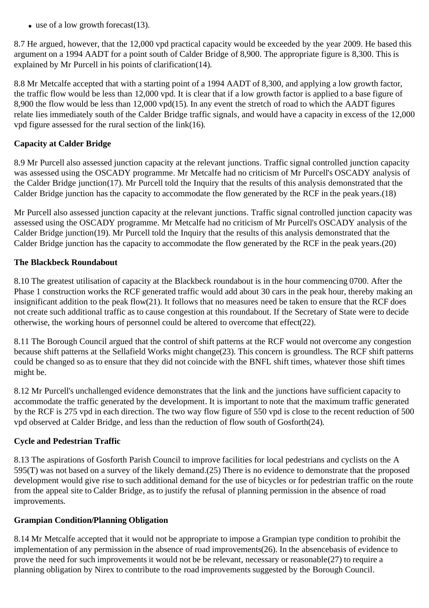$\bullet$  use of a low growth forecast(13).

8.7 He argued, however, that the 12,000 vpd practical capacity would be exceeded by the year 2009. He based this argument on a 1994 AADT for a point south of Calder Bridge of 8,900. The appropriate figure is 8,300. This is explained by Mr Purcell in his points of clarification(14).

8.8 Mr Metcalfe accepted that with a starting point of a 1994 AADT of 8,300, and applying a low growth factor, the traffic flow would be less than 12,000 vpd. It is clear that if a low growth factor is applied to a base figure of 8,900 the flow would be less than 12,000 vpd(15). In any event the stretch of road to which the AADT figures relate lies immediately south of the Calder Bridge traffic signals, and would have a capacity in excess of the 12,000 vpd figure assessed for the rural section of the link(16).

#### **Capacity at Calder Bridge**

8.9 Mr Purcell also assessed junction capacity at the relevant junctions. Traffic signal controlled junction capacity was assessed using the OSCADY programme. Mr Metcalfe had no criticism of Mr Purcell's OSCADY analysis of the Calder Bridge junction(17). Mr Purcell told the Inquiry that the results of this analysis demonstrated that the Calder Bridge junction has the capacity to accommodate the flow generated by the RCF in the peak years.(18)

Mr Purcell also assessed junction capacity at the relevant junctions. Traffic signal controlled junction capacity was assessed using the OSCADY programme. Mr Metcalfe had no criticism of Mr Purcell's OSCADY analysis of the Calder Bridge junction(19). Mr Purcell told the Inquiry that the results of this analysis demonstrated that the Calder Bridge junction has the capacity to accommodate the flow generated by the RCF in the peak years.(20)

#### **The Blackbeck Roundabout**

8.10 The greatest utilisation of capacity at the Blackbeck roundabout is in the hour commencing 0700. After the Phase 1 construction works the RCF generated traffic would add about 30 cars in the peak hour, thereby making an insignificant addition to the peak flow(21). It follows that no measures need be taken to ensure that the RCF does not create such additional traffic as to cause congestion at this roundabout. If the Secretary of State were to decide otherwise, the working hours of personnel could be altered to overcome that effect(22).

8.11 The Borough Council argued that the control of shift patterns at the RCF would not overcome any congestion because shift patterns at the Sellafield Works might change(23). This concern is groundless. The RCF shift patterns could be changed so as to ensure that they did not coincide with the BNFL shift times, whatever those shift times might be.

8.12 Mr Purcell's unchallenged evidence demonstrates that the link and the junctions have sufficient capacity to accommodate the traffic generated by the development. It is important to note that the maximum traffic generated by the RCF is 275 vpd in each direction. The two way flow figure of 550 vpd is close to the recent reduction of 500 vpd observed at Calder Bridge, and less than the reduction of flow south of Gosforth(24).

### **Cycle and Pedestrian Traffic**

8.13 The aspirations of Gosforth Parish Council to improve facilities for local pedestrians and cyclists on the A 595(T) was not based on a survey of the likely demand.(25) There is no evidence to demonstrate that the proposed development would give rise to such additional demand for the use of bicycles or for pedestrian traffic on the route from the appeal site to Calder Bridge, as to justify the refusal of planning permission in the absence of road improvements.

#### **Grampian Condition/Planning Obligation**

8.14 Mr Metcalfe accepted that it would not be appropriate to impose a Grampian type condition to prohibit the implementation of any permission in the absence of road improvements(26). In the absencebasis of evidence to prove the need for such improvements it would not be be relevant, necessary or reasonable(27) to require a planning obligation by Nirex to contribute to the road improvements suggested by the Borough Council.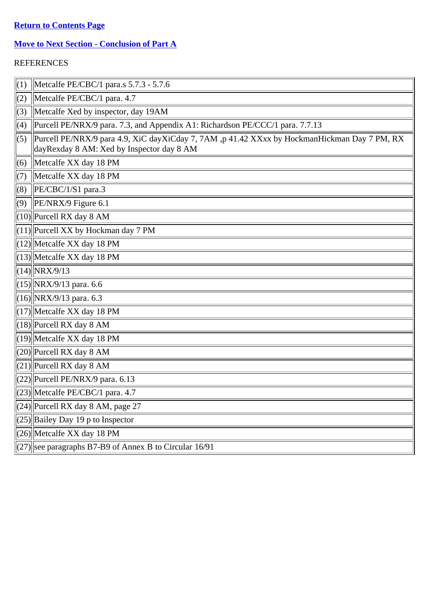### **Return to Contents Page**

### **Move to Next Section - Conclusion of Part A**

| (1) | Metcalfe PE/CBC/1 para.s 5.7.3 - 5.7.6                                                                                                    |
|-----|-------------------------------------------------------------------------------------------------------------------------------------------|
| (2) | Metcalfe PE/CBC/1 para. 4.7                                                                                                               |
| (3) | Metcalfe Xed by inspector, day 19AM                                                                                                       |
| (4) | Purcell PE/NRX/9 para. 7.3, and Appendix A1: Richardson PE/CCC/1 para. 7.7.13                                                             |
| (5) | Purcell PE/NRX/9 para 4.9, XiC dayXiCday 7, 7AM, p 41.42 XXxx by HockmanHickman Day 7 PM, RX<br>dayRexday 8 AM: Xed by Inspector day 8 AM |
| (6) | $\parallel$ Metcalfe XX day 18 PM                                                                                                         |
| (7) | Metcalfe XX day 18 PM                                                                                                                     |
| (8) | $\left $ PE/CBC/1/S1 para.3                                                                                                               |
| (9) | $\left $ PE/NRX/9 Figure 6.1                                                                                                              |
|     | $(10)$  Purcell RX day 8 AM                                                                                                               |
|     | $(11)$ Purcell XX by Hockman day 7 PM                                                                                                     |
|     | $(12)$ Metcalfe XX day 18 PM                                                                                                              |
|     | $(13)$ Metcalfe XX day 18 PM                                                                                                              |
|     | $(14)$ NRX/9/13                                                                                                                           |
|     | $(15)$  NRX/9/13 para. 6.6                                                                                                                |
|     | $(16)$  NRX/9/13 para. 6.3                                                                                                                |
|     | $(17)$ Metcalfe XX day 18 PM                                                                                                              |
|     | $(18)$ Purcell RX day 8 AM                                                                                                                |
|     | $(19)$ Metcalfe XX day 18 PM                                                                                                              |
|     | $(20)$ Purcell RX day 8 AM                                                                                                                |
|     | $(21)$ Purcell RX day 8 AM                                                                                                                |
|     | $(22)$   Purcell PE/NRX/9 para. 6.13                                                                                                      |
|     | $(23)$ Metcalfe PE/CBC/1 para. 4.7                                                                                                        |
|     | $(24)$ Purcell RX day 8 AM, page 27                                                                                                       |
|     | $(25)$ Bailey Day 19 p to Inspector                                                                                                       |
|     | $(26)$ Metcalfe XX day 18 PM                                                                                                              |
|     | $(27)$ see paragraphs B7-B9 of Annex B to Circular 16/91                                                                                  |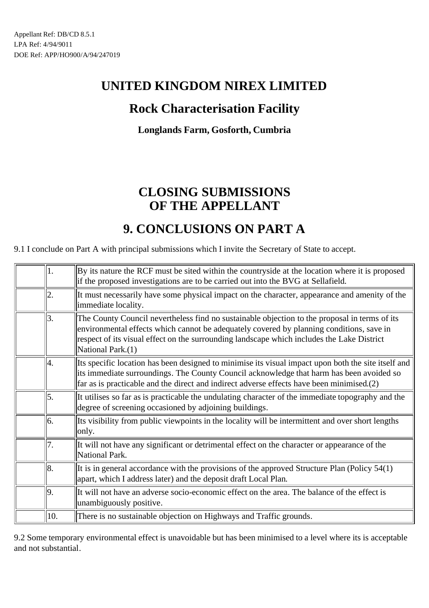## **Rock Characterisation Facility**

**Longlands Farm, Gosforth, Cumbria**

# **CLOSING SUBMISSIONS OF THE APPELLANT**

## **9. CONCLUSIONS ON PART A**

9.1 I conclude on Part A with principal submissions which I invite the Secretary of State to accept.

| 1.  | By its nature the RCF must be sited within the countryside at the location where it is proposed<br>if the proposed investigations are to be carried out into the BVG at Sellafield.                                                                                                                          |
|-----|--------------------------------------------------------------------------------------------------------------------------------------------------------------------------------------------------------------------------------------------------------------------------------------------------------------|
| 2.  | It must necessarily have some physical impact on the character, appearance and amenity of the<br>immediate locality.                                                                                                                                                                                         |
| 13. | The County Council nevertheless find no sustainable objection to the proposal in terms of its<br>environmental effects which cannot be adequately covered by planning conditions, save in<br>respect of its visual effect on the surrounding landscape which includes the Lake District<br>National Park.(1) |
| 4.  | Its specific location has been designed to minimise its visual impact upon both the site itself and<br>its immediate surroundings. The County Council acknowledge that harm has been avoided so<br>far as is practicable and the direct and indirect adverse effects have been minimised.(2)                 |
| 15. | It utilises so far as is practicable the undulating character of the immediate topography and the<br>degree of screening occasioned by adjoining buildings.                                                                                                                                                  |
| 16. | Its visibility from public viewpoints in the locality will be intermittent and over short lengths<br>only.                                                                                                                                                                                                   |
| 7.  | It will not have any significant or detrimental effect on the character or appearance of the<br>National Park.                                                                                                                                                                                               |
| 18. | It is in general accordance with the provisions of the approved Structure Plan (Policy $54(1)$ )<br>apart, which I address later) and the deposit draft Local Plan.                                                                                                                                          |
| 9.  | It will not have an adverse socio-economic effect on the area. The balance of the effect is<br>unambiguously positive.                                                                                                                                                                                       |
| 10. | There is no sustainable objection on Highways and Traffic grounds.                                                                                                                                                                                                                                           |

9.2 Some temporary environmental effect is unavoidable but has been minimised to a level where its is acceptable and not substantial.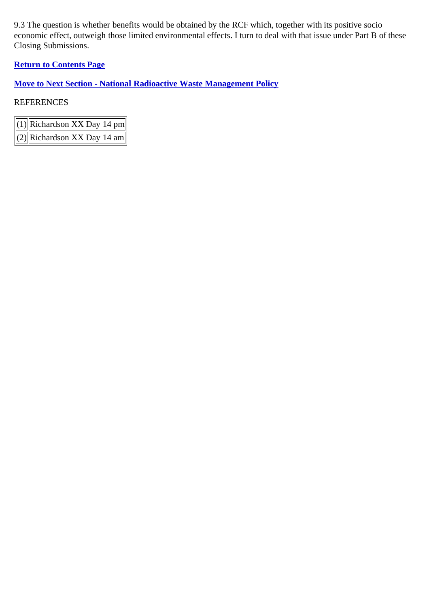9.3 The question is whether benefits would be obtained by the RCF which, together with its positive socio economic effect, outweigh those limited environmental effects. I turn to deal with that issue under Part B of these Closing Submissions.

### **Return to Contents Page**

**Move to Next Section - National Radioactive Waste Management Policy**

| $(1)$ Richardson XX Day 14 pm |
|-------------------------------|
| $(2)$ Richardson XX Day 14 am |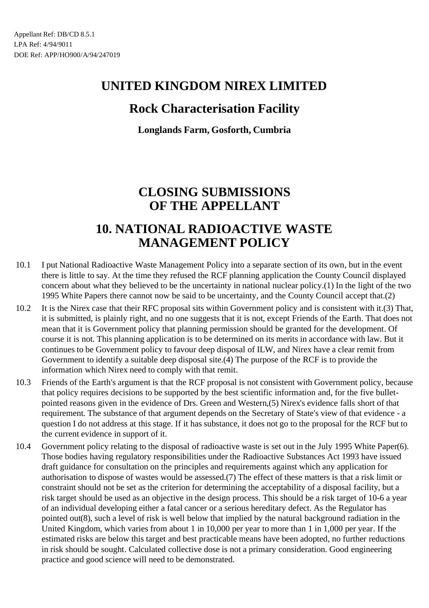## **Rock Characterisation Facility**

**Longlands Farm, Gosforth, Cumbria**

# **CLOSING SUBMISSIONS OF THE APPELLANT**

## **10. NATIONAL RADIOACTIVE WASTE MANAGEMENT POLICY**

- 10.1 I put National Radioactive Waste Management Policy into a separate section of its own, but in the event there is little to say. At the time they refused the RCF planning application the County Council displayed concern about what they believed to be the uncertainty in national nuclear policy.(1) In the light of the two 1995 White Papers there cannot now be said to be uncertainty, and the County Council accept that.(2)
- 10.2 It is the Nirex case that their RFC proposal sits within Government policy and is consistent with it.(3) That, it is submitted, is plainly right, and no one suggests that it is not, except Friends of the Earth. That does not mean that it is Government policy that planning permission should be granted for the development. Of course it is not. This planning application is to be determined on its merits in accordance with law. But it continues to be Government policy to favour deep disposal of ILW, and Nirex have a clear remit from Government to identify a suitable deep disposal site.(4) The purpose of the RCF is to provide the information which Nirex need to comply with that remit.
- 10.3 Friends of the Earth's argument is that the RCF proposal is not consistent with Government policy, because that policy requires decisions to be supported by the best scientific information and, for the five bulletpointed reasons given in the evidence of Drs. Green and Western,(5) Nirex's evidence falls short of that requirement. The substance of that argument depends on the Secretary of State's view of that evidence - a question I do not address at this stage. If it has substance, it does not go to the proposal for the RCF but to the current evidence in support of it.
- 10.4 Government policy relating to the disposal of radioactive waste is set out in the July 1995 White Paper(6). Those bodies having regulatory responsibilities under the Radioactive Substances Act 1993 have issued draft guidance for consultation on the principles and requirements against which any application for authorisation to dispose of wastes would be assessed.(7) The effect of these matters is that a risk limit or constraint should not be set as the criterion for determining the acceptability of a disposal facility, but a risk target should be used as an objective in the design process. This should be a risk target of 10-6 a year of an individual developing either a fatal cancer or a serious hereditary defect. As the Regulator has pointed out(8), such a level of risk is well below that implied by the natural background radiation in the United Kingdom, which varies from about 1 in 10,000 per year to more than 1 in 1,000 per year. If the estimated risks are below this target and best practicable means have been adopted, no further reductions in risk should be sought. Calculated collective dose is not a primary consideration. Good engineering practice and good science will need to be demonstrated.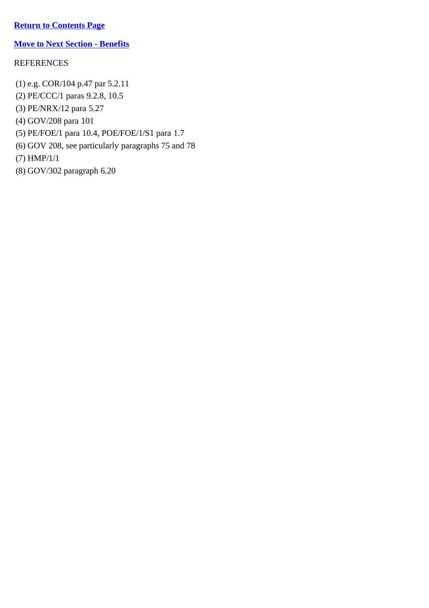### **Return to Contents Page**

### **Move to Next Section - Benefits**

### REFERENCES

(1) e.g. COR/104 p.47 par 5.2.11 (2) PE/CCC/1 paras 9.2.8, 10.5 (3) PE/NRX/12 para 5.27 (4) GOV/208 para 101 (5) PE/FOE/1 para 10.4, POE/FOE/1/S1 para 1.7 (6) GOV 208, see particularly paragraphs 75 and 78 (7) HMP/1/1 (8) GOV/302 paragraph 6.20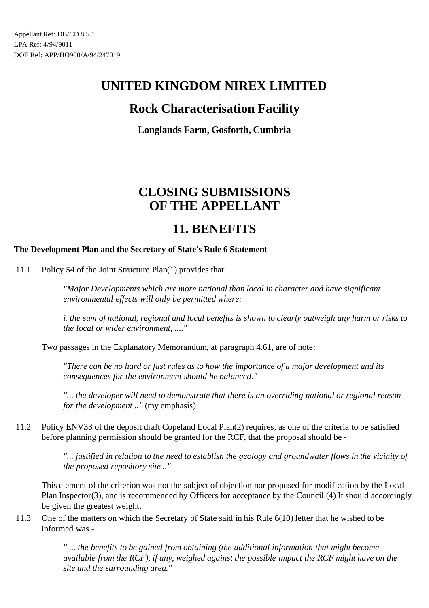## **Rock Characterisation Facility**

**Longlands Farm, Gosforth, Cumbria**

# **CLOSING SUBMISSIONS OF THE APPELLANT**

## **11. BENEFITS**

### **The Development Plan and the Secretary of State's Rule 6 Statement**

11.1 Policy 54 of the Joint Structure Plan(1) provides that:

*"Major Developments which are more national than local in character and have significant environmental effects will only be permitted where:*

*i. the sum of national, regional and local benefits is shown to clearly outweigh any harm or risks to the local or wider environment, ...."*

Two passages in the Explanatory Memorandum, at paragraph 4.61, are of note:

*"There can be no hard or fast rules as to how the importance of a major development and its consequences for the environment should be balanced."*

*"... the developer will need to demonstrate that there is an overriding national or regional reason for the development .."* (my emphasis)

11.2 Policy ENV33 of the deposit draft Copeland Local Plan(2) requires, as one of the criteria to be satisfied before planning permission should be granted for the RCF, that the proposal should be -

> *"... justified in relation to the need to establish the geology and groundwater flows in the vicinity of the proposed repository site .."*

This element of the criterion was not the subject of objection nor proposed for modification by the Local Plan Inspector(3), and is recommended by Officers for acceptance by the Council.(4) It should accordingly be given the greatest weight.

11.3 One of the matters on which the Secretary of State said in his Rule 6(10) letter that he wished to be informed was -

> *" ... the benefits to be gained from obtaining (the additional information that might become available from the RCF), if any, weighed against the possible impact the RCF might have on the site and the surrounding area."*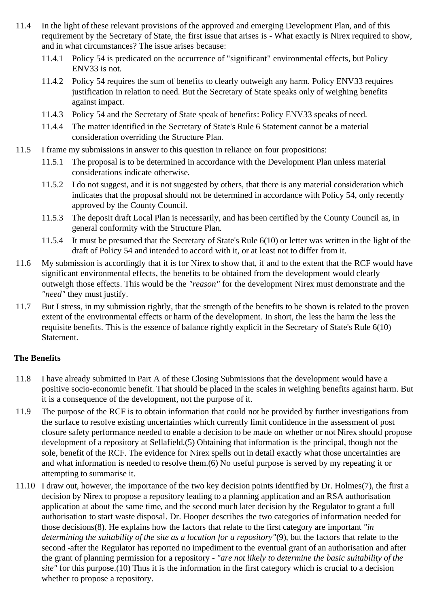- 11.4 In the light of these relevant provisions of the approved and emerging Development Plan, and of this requirement by the Secretary of State, the first issue that arises is - What exactly is Nirex required to show, and in what circumstances? The issue arises because:
	- 11.4.1 Policy 54 is predicated on the occurrence of "significant" environmental effects, but Policy ENV33 is not.
	- 11.4.2 Policy 54 requires the sum of benefits to clearly outweigh any harm. Policy ENV33 requires justification in relation to need. But the Secretary of State speaks only of weighing benefits against impact.
	- 11.4.3 Policy 54 and the Secretary of State speak of benefits: Policy ENV33 speaks of need.
	- 11.4.4 The matter identified in the Secretary of State's Rule 6 Statement cannot be a material consideration overriding the Structure Plan.
- 11.5 I frame my submissions in answer to this question in reliance on four propositions:
	- 11.5.1 The proposal is to be determined in accordance with the Development Plan unless material considerations indicate otherwise.
	- 11.5.2 I do not suggest, and it is not suggested by others, that there is any material consideration which indicates that the proposal should not be determined in accordance with Policy 54, only recently approved by the County Council.
	- 11.5.3 The deposit draft Local Plan is necessarily, and has been certified by the County Council as, in general conformity with the Structure Plan.
	- 11.5.4 It must be presumed that the Secretary of State's Rule 6(10) or letter was written in the light of the draft of Policy 54 and intended to accord with it, or at least not to differ from it.
- 11.6 My submission is accordingly that it is for Nirex to show that, if and to the extent that the RCF would have significant environmental effects, the benefits to be obtained from the development would clearly outweigh those effects. This would be the *"reason"* for the development Nirex must demonstrate and the *"need"* they must justify.
- 11.7 But I stress, in my submission rightly, that the strength of the benefits to be shown is related to the proven extent of the environmental effects or harm of the development. In short, the less the harm the less the requisite benefits. This is the essence of balance rightly explicit in the Secretary of State's Rule 6(10) Statement.

#### **The Benefits**

- 11.8 I have already submitted in Part A of these Closing Submissions that the development would have a positive socio-economic benefit. That should be placed in the scales in weighing benefits against harm. But it is a consequence of the development, not the purpose of it.
- 11.9 The purpose of the RCF is to obtain information that could not be provided by further investigations from the surface to resolve existing uncertainties which currently limit confidence in the assessment of post closure safety performance needed to enable a decision to be made on whether or not Nirex should propose development of a repository at Sellafield.(5) Obtaining that information is the principal, though not the sole, benefit of the RCF. The evidence for Nirex spells out in detail exactly what those uncertainties are and what information is needed to resolve them.(6) No useful purpose is served by my repeating it or attempting to summarise it.
- 11.10 I draw out, however, the importance of the two key decision points identified by Dr. Holmes(7), the first a decision by Nirex to propose a repository leading to a planning application and an RSA authorisation application at about the same time, and the second much later decision by the Regulator to grant a full authorisation to start waste disposal. Dr. Hooper describes the two categories of information needed for those decisions(8). He explains how the factors that relate to the first category are important *"in determining the suitability of the site as a location for a repository"*(9), but the factors that relate to the second -after the Regulator has reported no impediment to the eventual grant of an authorisation and after the grant of planning permission for a repository - *"are not likely to determine the basic suitability of the site"* for this purpose.(10) Thus it is the information in the first category which is crucial to a decision whether to propose a repository.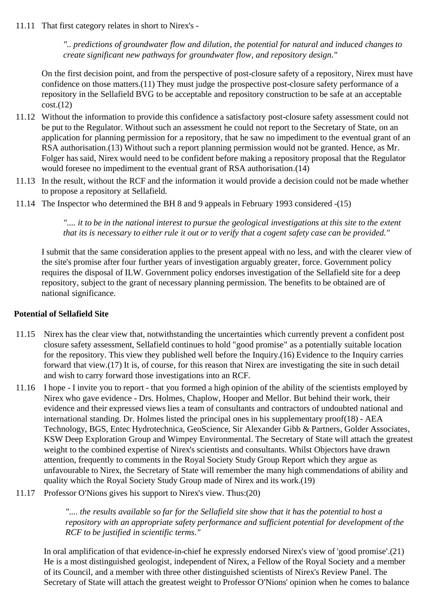11.11 That first category relates in short to Nirex's -

*".. predictions of groundwater flow and dilution, the potential for natural and induced changes to create significant new pathways for groundwater flow, and repository design."*

On the first decision point, and from the perspective of post-closure safety of a repository, Nirex must have confidence on those matters.(11) They must judge the prospective post-closure safety performance of a repository in the Sellafield BVG to be acceptable and repository construction to be safe at an acceptable  $cost.(12)$ 

- 11.12 Without the information to provide this confidence a satisfactory post-closure safety assessment could not be put to the Regulator. Without such an assessment he could not report to the Secretary of State, on an application for planning permission for a repository, that he saw no impediment to the eventual grant of an RSA authorisation.(13) Without such a report planning permission would not be granted. Hence, as Mr. Folger has said, Nirex would need to be confident before making a repository proposal that the Regulator would foresee no impediment to the eventual grant of RSA authorisation.(14)
- 11.13 In the result, without the RCF and the information it would provide a decision could not be made whether to propose a repository at Sellafield.
- 11.14 The Inspector who determined the BH 8 and 9 appeals in February 1993 considered -(15)

*".... it to be in the national interest to pursue the geological investigations at this site to the extent that its is necessary to either rule it out or to verify that a cogent safety case can be provided."*

I submit that the same consideration applies to the present appeal with no less, and with the clearer view of the site's promise after four further years of investigation arguably greater, force. Government policy requires the disposal of ILW. Government policy endorses investigation of the Sellafield site for a deep repository, subject to the grant of necessary planning permission. The benefits to be obtained are of national significance.

#### **Potential of Sellafield Site**

- 11.15 Nirex has the clear view that, notwithstanding the uncertainties which currently prevent a confident post closure safety assessment, Sellafield continues to hold "good promise" as a potentially suitable location for the repository. This view they published well before the Inquiry.(16) Evidence to the Inquiry carries forward that view.(17) It is, of course, for this reason that Nirex are investigating the site in such detail and wish to carry forward those investigations into an RCF.
- 11.16 I hope I invite you to report that you formed a high opinion of the ability of the scientists employed by Nirex who gave evidence - Drs. Holmes, Chaplow, Hooper and Mellor. But behind their work, their evidence and their expressed views lies a team of consultants and contractors of undoubted national and international standing. Dr. Holmes listed the principal ones in his supplementary proof(18) - AEA Technology, BGS, Entec Hydrotechnica, GeoScience, Sir Alexander Gibb & Partners, Golder Associates, KSW Deep Exploration Group and Wimpey Environmental. The Secretary of State will attach the greatest weight to the combined expertise of Nirex's scientists and consultants. Whilst Objectors have drawn attention, frequently to comments in the Royal Society Study Group Report which they argue as unfavourable to Nirex, the Secretary of State will remember the many high commendations of ability and quality which the Royal Society Study Group made of Nirex and its work.(19)
- 11.17 Professor O'Nions gives his support to Nirex's view. Thus:(20)

*".... the results available so far for the Sellafield site show that it has the potential to host a repository with an appropriate safety performance and sufficient potential for development of the RCF to be justified in scientific terms."*

In oral amplification of that evidence-in-chief he expressly endorsed Nirex's view of 'good promise'.(21) He is a most distinguished geologist, independent of Nirex, a Fellow of the Royal Society and a member of its Council, and a member with three other distinguished scientists of Nirex's Review Panel. The Secretary of State will attach the greatest weight to Professor O'Nions' opinion when he comes to balance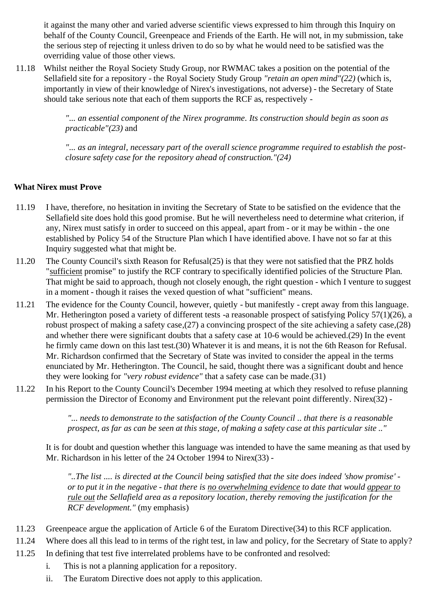it against the many other and varied adverse scientific views expressed to him through this Inquiry on behalf of the County Council, Greenpeace and Friends of the Earth. He will not, in my submission, take the serious step of rejecting it unless driven to do so by what he would need to be satisfied was the overriding value of those other views.

11.18 Whilst neither the Royal Society Study Group, nor RWMAC takes a position on the potential of the Sellafield site for a repository - the Royal Society Study Group *"retain an open mind"(22)* (which is, importantly in view of their knowledge of Nirex's investigations, not adverse) - the Secretary of State should take serious note that each of them supports the RCF as, respectively -

> *"... an essential component of the Nirex programme. Its construction should begin as soon as practicable"(23)* and

*"... as an integral, necessary part of the overall science programme required to establish the postclosure safety case for the repository ahead of construction."(24)*

### **What Nirex must Prove**

- 11.19 I have, therefore, no hesitation in inviting the Secretary of State to be satisfied on the evidence that the Sellafield site does hold this good promise. But he will nevertheless need to determine what criterion, if any, Nirex must satisfy in order to succeed on this appeal, apart from - or it may be within - the one established by Policy 54 of the Structure Plan which I have identified above. I have not so far at this Inquiry suggested what that might be.
- 11.20 The County Council's sixth Reason for Refusal(25) is that they were not satisfied that the PRZ holds "sufficient promise" to justify the RCF contrary to specifically identified policies of the Structure Plan. That might be said to approach, though not closely enough, the right question - which I venture to suggest in a moment - though it raises the vexed question of what "sufficient" means.
- 11.21 The evidence for the County Council, however, quietly but manifestly crept away from this language. Mr. Hetherington posed a variety of different tests -a reasonable prospect of satisfying Policy 57(1)(26), a robust prospect of making a safety case,(27) a convincing prospect of the site achieving a safety case,(28) and whether there were significant doubts that a safety case at 10-6 would be achieved.(29) In the event he firmly came down on this last test.(30) Whatever it is and means, it is not the 6th Reason for Refusal. Mr. Richardson confirmed that the Secretary of State was invited to consider the appeal in the terms enunciated by Mr. Hetherington. The Council, he said, thought there was a significant doubt and hence they were looking for *"very robust evidence"* that a safety case can be made.(31)
- 11.22 In his Report to the County Council's December 1994 meeting at which they resolved to refuse planning permission the Director of Economy and Environment put the relevant point differently. Nirex(32) -

*"... needs to demonstrate to the satisfaction of the County Council .. that there is a reasonable prospect, as far as can be seen at this stage, of making a safety case at this particular site .."*

It is for doubt and question whether this language was intended to have the same meaning as that used by Mr. Richardson in his letter of the 24 October 1994 to Nirex(33) -

*"..The list .... is directed at the Council being satisfied that the site does indeed 'show promise' or to put it in the negative - that there is no overwhelming evidence to date that would appear to rule out the Sellafield area as a repository location, thereby removing the justification for the RCF development."* (my emphasis)

- 11.23 Greenpeace argue the application of Article 6 of the Euratom Directive(34) to this RCF application.
- 11.24 Where does all this lead to in terms of the right test, in law and policy, for the Secretary of State to apply?
- 11.25 In defining that test five interrelated problems have to be confronted and resolved:
	- i. This is not a planning application for a repository.
	- ii. The Euratom Directive does not apply to this application.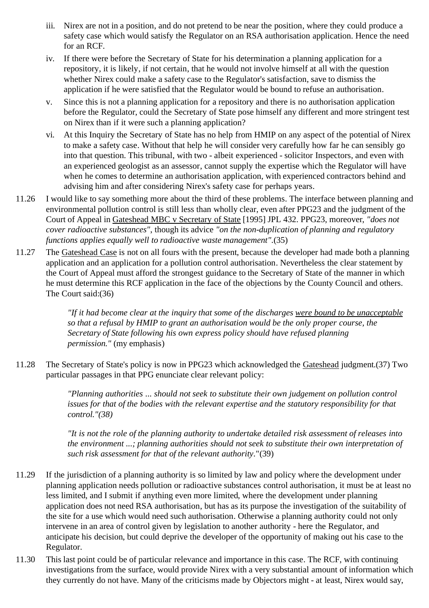- iii. Nirex are not in a position, and do not pretend to be near the position, where they could produce a safety case which would satisfy the Regulator on an RSA authorisation application. Hence the need for an RCF.
- iv. If there were before the Secretary of State for his determination a planning application for a repository, it is likely, if not certain, that he would not involve himself at all with the question whether Nirex could make a safety case to the Regulator's satisfaction, save to dismiss the application if he were satisfied that the Regulator would be bound to refuse an authorisation.
- v. Since this is not a planning application for a repository and there is no authorisation application before the Regulator, could the Secretary of State pose himself any different and more stringent test on Nirex than if it were such a planning application?
- vi. At this Inquiry the Secretary of State has no help from HMIP on any aspect of the potential of Nirex to make a safety case. Without that help he will consider very carefully how far he can sensibly go into that question. This tribunal, with two - albeit experienced - solicitor Inspectors, and even with an experienced geologist as an assessor, cannot supply the expertise which the Regulator will have when he comes to determine an authorisation application, with experienced contractors behind and advising him and after considering Nirex's safety case for perhaps years.
- 11.26 I would like to say something more about the third of these problems. The interface between planning and environmental pollution control is still less than wholly clear, even after PPG23 and the judgment of the Court of Appeal in Gateshead MBC v Secretary of State [1995] JPL 432. PPG23, moreover, *"does not cover radioactive substances"*, though its advice *"on the non-duplication of planning and regulatory functions applies equally well to radioactive waste management".*(35)
- 11.27 The Gateshead Case is not on all fours with the present, because the developer had made both a planning application and an application for a pollution control authorisation. Nevertheless the clear statement by the Court of Appeal must afford the strongest guidance to the Secretary of State of the manner in which he must determine this RCF application in the face of the objections by the County Council and others. The Court said:(36)

*"If it had become clear at the inquiry that some of the discharges were bound to be unacceptable so that a refusal by HMIP to grant an authorisation would be the only proper course, the Secretary of State following his own express policy should have refused planning permission."* (my emphasis)

11.28 The Secretary of State's policy is now in PPG23 which acknowledged the Gateshead judgment.(37) Two particular passages in that PPG enunciate clear relevant policy:

> *"Planning authorities ... should not seek to substitute their own judgement on pollution control issues for that of the bodies with the relevant expertise and the statutory responsibility for that control."(38)*

*"It is not the role of the planning authority to undertake detailed risk assessment of releases into the environment ...; planning authorities should not seek to substitute their own interpretation of such risk assessment for that of the relevant authority.*"(39)

- 11.29 If the jurisdiction of a planning authority is so limited by law and policy where the development under planning application needs pollution or radioactive substances control authorisation, it must be at least no less limited, and I submit if anything even more limited, where the development under planning application does not need RSA authorisation, but has as its purpose the investigation of the suitability of the site for a use which would need such authorisation. Otherwise a planning authority could not only intervene in an area of control given by legislation to another authority - here the Regulator, and anticipate his decision, but could deprive the developer of the opportunity of making out his case to the Regulator.
- 11.30 This last point could be of particular relevance and importance in this case. The RCF, with continuing investigations from the surface, would provide Nirex with a very substantial amount of information which they currently do not have. Many of the criticisms made by Objectors might - at least, Nirex would say,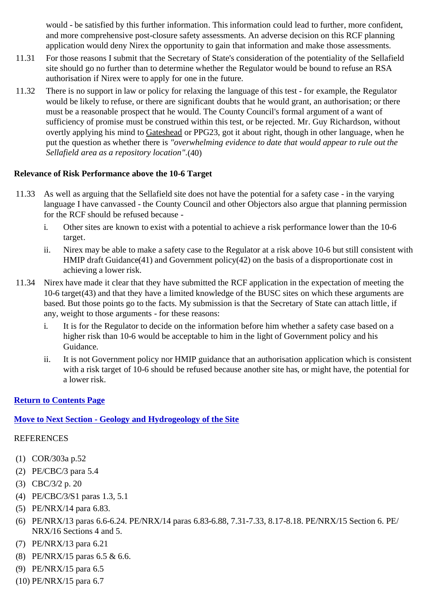would - be satisfied by this further information. This information could lead to further, more confident, and more comprehensive post-closure safety assessments. An adverse decision on this RCF planning application would deny Nirex the opportunity to gain that information and make those assessments.

- 11.31 For those reasons I submit that the Secretary of State's consideration of the potentiality of the Sellafield site should go no further than to determine whether the Regulator would be bound to refuse an RSA authorisation if Nirex were to apply for one in the future.
- 11.32 There is no support in law or policy for relaxing the language of this test for example, the Regulator would be likely to refuse, or there are significant doubts that he would grant, an authorisation; or there must be a reasonable prospect that he would. The County Council's formal argument of a want of sufficiency of promise must be construed within this test, or be rejected. Mr. Guy Richardson, without overtly applying his mind to Gateshead or PPG23, got it about right, though in other language, when he put the question as whether there is *"overwhelming evidence to date that would appear to rule out the Sellafield area as a repository location".*(40)

#### **Relevance of Risk Performance above the 10-6 Target**

- 11.33 As well as arguing that the Sellafield site does not have the potential for a safety case in the varying language I have canvassed - the County Council and other Objectors also argue that planning permission for the RCF should be refused because
	- i. Other sites are known to exist with a potential to achieve a risk performance lower than the 10-6 target.
	- ii. Nirex may be able to make a safety case to the Regulator at a risk above 10-6 but still consistent with HMIP draft Guidance(41) and Government policy(42) on the basis of a disproportionate cost in achieving a lower risk.
- 11.34 Nirex have made it clear that they have submitted the RCF application in the expectation of meeting the 10-6 target(43) and that they have a limited knowledge of the BUSC sites on which these arguments are based. But those points go to the facts. My submission is that the Secretary of State can attach little, if any, weight to those arguments - for these reasons:
	- i. It is for the Regulator to decide on the information before him whether a safety case based on a higher risk than 10-6 would be acceptable to him in the light of Government policy and his Guidance.
	- ii. It is not Government policy nor HMIP guidance that an authorisation application which is consistent with a risk target of 10-6 should be refused because another site has, or might have, the potential for a lower risk.

#### **Return to Contents Page**

#### **Move to Next Section - Geology and Hydrogeology of the Site**

- (1) COR/303a p.52
- (2) PE/CBC/3 para 5.4
- (3) CBC/3/2 p. 20
- (4) PE/CBC/3/S1 paras 1.3, 5.1
- (5) PE/NRX/14 para 6.83.
- (6) PE/NRX/13 paras 6.6-6.24. PE/NRX/14 paras 6.83-6.88, 7.31-7.33, 8.17-8.18. PE/NRX/15 Section 6. PE/ NRX/16 Sections 4 and 5.
- (7) PE/NRX/13 para 6.21
- (8) PE/NRX/15 paras 6.5 & 6.6.
- (9) PE/NRX/15 para 6.5
- (10) PE/NRX/15 para 6.7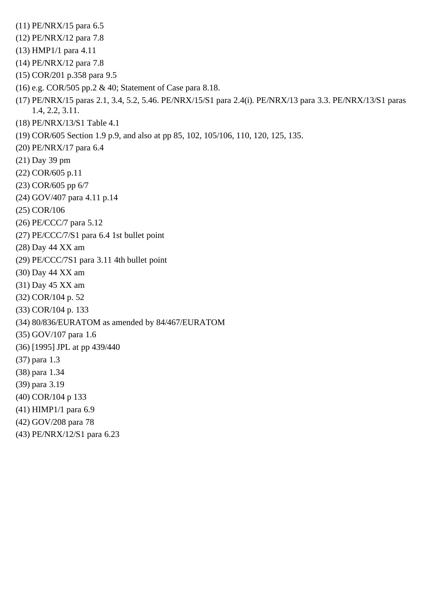(11) PE/NRX/15 para 6.5 (12) PE/NRX/12 para 7.8 (13) HMP1/1 para 4.11 (14) PE/NRX/12 para 7.8 (15) COR/201 p.358 para 9.5 (16) e.g. COR/505 pp.2 & 40; Statement of Case para 8.18. (17) PE/NRX/15 paras 2.1, 3.4, 5.2, 5.46. PE/NRX/15/S1 para 2.4(i). PE/NRX/13 para 3.3. PE/NRX/13/S1 paras 1.4, 2.2, 3.11. (18) PE/NRX/13/S1 Table 4.1 (19) COR/605 Section 1.9 p.9, and also at pp 85, 102, 105/106, 110, 120, 125, 135. (20) PE/NRX/17 para 6.4 (21) Day 39 pm (22) COR/605 p.11 (23) COR/605 pp 6/7 (24) GOV/407 para 4.11 p.14 (25) COR/106 (26) PE/CCC/7 para 5.12 (27) PE/CCC/7/S1 para 6.4 1st bullet point (28) Day 44 XX am (29) PE/CCC/7S1 para 3.11 4th bullet point (30) Day 44 XX am (31) Day 45 XX am (32) COR/104 p. 52 (33) COR/104 p. 133 (34) 80/836/EURATOM as amended by 84/467/EURATOM (35) GOV/107 para 1.6 (36) [1995] JPL at pp 439/440 (37) para 1.3 (38) para 1.34 (39) para 3.19 (40) COR/104 p 133 (41) HIMP1/1 para 6.9 (42) GOV/208 para 78 (43) PE/NRX/12/S1 para 6.23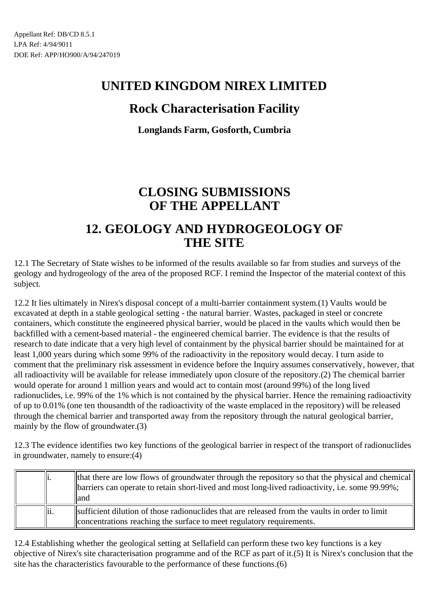## **Rock Characterisation Facility**

**Longlands Farm, Gosforth, Cumbria**

# **CLOSING SUBMISSIONS OF THE APPELLANT**

### **12. GEOLOGY AND HYDROGEOLOGY OF THE SITE**

12.1 The Secretary of State wishes to be informed of the results available so far from studies and surveys of the geology and hydrogeology of the area of the proposed RCF. I remind the Inspector of the material context of this subject.

12.2 It lies ultimately in Nirex's disposal concept of a multi-barrier containment system.(1) Vaults would be excavated at depth in a stable geological setting - the natural barrier. Wastes, packaged in steel or concrete containers, which constitute the engineered physical barrier, would be placed in the vaults which would then be backfilled with a cement-based material - the engineered chemical barrier. The evidence is that the results of research to date indicate that a very high level of containment by the physical barrier should be maintained for at least 1,000 years during which some 99% of the radioactivity in the repository would decay. I turn aside to comment that the preliminary risk assessment in evidence before the Inquiry assumes conservatively, however, that all radioactivity will be available for release immediately upon closure of the repository.(2) The chemical barrier would operate for around 1 million years and would act to contain most (around 99%) of the long lived radionuclides, i.e. 99% of the 1% which is not contained by the physical barrier. Hence the remaining radioactivity of up to 0.01% (one ten thousandth of the radioactivity of the waste emplaced in the repository) will be released through the chemical barrier and transported away from the repository through the natural geological barrier, mainly by the flow of groundwater.(3)

12.3 The evidence identifies two key functions of the geological barrier in respect of the transport of radionuclides in groundwater, namely to ensure:(4)

| 11.  | that there are low flows of groundwater through the repository so that the physical and chemical<br>  barriers can operate to retain short-lived and most long-lived radioactivity, i.e. some 99.99%;<br>lland |
|------|----------------------------------------------------------------------------------------------------------------------------------------------------------------------------------------------------------------|
| ∥ii. | sufficient dilution of those radionuclides that are released from the vaults in order to limit<br>concentrations reaching the surface to meet regulatory requirements.                                         |

12.4 Establishing whether the geological setting at Sellafield can perform these two key functions is a key objective of Nirex's site characterisation programme and of the RCF as part of it.(5) It is Nirex's conclusion that the site has the characteristics favourable to the performance of these functions.(6)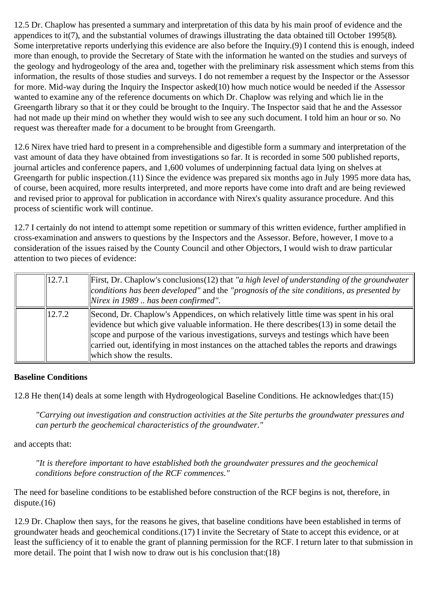12.5 Dr. Chaplow has presented a summary and interpretation of this data by his main proof of evidence and the appendices to it(7), and the substantial volumes of drawings illustrating the data obtained till October 1995(8). Some interpretative reports underlying this evidence are also before the Inquiry.(9) I contend this is enough, indeed more than enough, to provide the Secretary of State with the information he wanted on the studies and surveys of the geology and hydrogeology of the area and, together with the preliminary risk assessment which stems from this information, the results of those studies and surveys. I do not remember a request by the Inspector or the Assessor for more. Mid-way during the Inquiry the Inspector asked(10) how much notice would be needed if the Assessor wanted to examine any of the reference documents on which Dr. Chaplow was relying and which lie in the Greengarth library so that it or they could be brought to the Inquiry. The Inspector said that he and the Assessor had not made up their mind on whether they would wish to see any such document. I told him an hour or so. No request was thereafter made for a document to be brought from Greengarth.

12.6 Nirex have tried hard to present in a comprehensible and digestible form a summary and interpretation of the vast amount of data they have obtained from investigations so far. It is recorded in some 500 published reports, journal articles and conference papers, and 1,600 volumes of underpinning factual data lying on shelves at Greengarth for public inspection.(11) Since the evidence was prepared six months ago in July 1995 more data has, of course, been acquired, more results interpreted, and more reports have come into draft and are being reviewed and revised prior to approval for publication in accordance with Nirex's quality assurance procedure. And this process of scientific work will continue.

12.7 I certainly do not intend to attempt some repetition or summary of this written evidence, further amplified in cross-examination and answers to questions by the Inspectors and the Assessor. Before, however, I move to a consideration of the issues raised by the County Council and other Objectors, I would wish to draw particular attention to two pieces of evidence:

| 12.7.1 | First, Dr. Chaplow's conclusions (12) that "a high level of understanding of the groundwater<br>conditions has been developed" and the "prognosis of the site conditions, as presented by<br>$\vert$ Nirex in 1989 $\ldots$ has been confirmed".                                                                                                                                                        |
|--------|---------------------------------------------------------------------------------------------------------------------------------------------------------------------------------------------------------------------------------------------------------------------------------------------------------------------------------------------------------------------------------------------------------|
| 12.7.2 | Second, Dr. Chaplow's Appendices, on which relatively little time was spent in his oral<br>evidence but which give valuable information. He there describes $(13)$ in some detail the<br>scope and purpose of the various investigations, surveys and testings which have been<br>carried out, identifying in most instances on the attached tables the reports and drawings<br>which show the results. |

#### **Baseline Conditions**

12.8 He then(14) deals at some length with Hydrogeological Baseline Conditions. He acknowledges that:(15)

*"Carrying out investigation and construction activities at the Site perturbs the groundwater pressures and can perturb the geochemical characteristics of the groundwater."*

and accepts that:

*"It is therefore important to have established both the groundwater pressures and the geochemical conditions before construction of the RCF commences."*

The need for baseline conditions to be established before construction of the RCF begins is not, therefore, in  $dispute. (16)$ 

12.9 Dr. Chaplow then says, for the reasons he gives, that baseline conditions have been established in terms of groundwater heads and geochemical conditions.(17) I invite the Secretary of State to accept this evidence, or at least the sufficiency of it to enable the grant of planning permission for the RCF. I return later to that submission in more detail. The point that I wish now to draw out is his conclusion that:(18)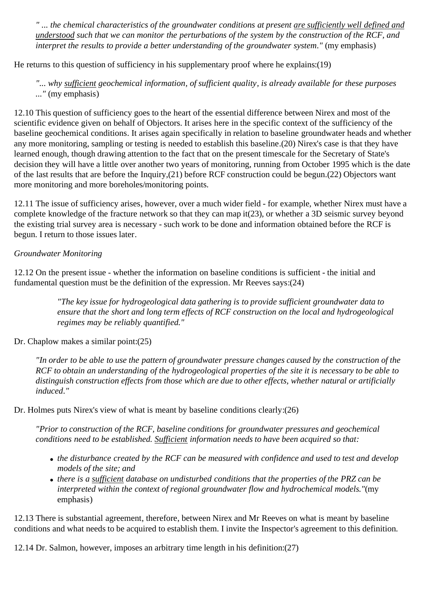*" ... the chemical characteristics of the groundwater conditions at present are sufficiently well defined and understood such that we can monitor the perturbations of the system by the construction of the RCF, and interpret the results to provide a better understanding of the groundwater system."* (my emphasis)

He returns to this question of sufficiency in his supplementary proof where he explains:(19)

*"... why sufficient geochemical information, of sufficient quality, is already available for these purposes ..."* (my emphasis)

12.10 This question of sufficiency goes to the heart of the essential difference between Nirex and most of the scientific evidence given on behalf of Objectors. It arises here in the specific context of the sufficiency of the baseline geochemical conditions. It arises again specifically in relation to baseline groundwater heads and whether any more monitoring, sampling or testing is needed to establish this baseline.(20) Nirex's case is that they have learned enough, though drawing attention to the fact that on the present timescale for the Secretary of State's decision they will have a little over another two years of monitoring, running from October 1995 which is the date of the last results that are before the Inquiry,(21) before RCF construction could be begun.(22) Objectors want more monitoring and more boreholes/monitoring points.

12.11 The issue of sufficiency arises, however, over a much wider field - for example, whether Nirex must have a complete knowledge of the fracture network so that they can map it(23), or whether a 3D seismic survey beyond the existing trial survey area is necessary - such work to be done and information obtained before the RCF is begun. I return to those issues later.

#### *Groundwater Monitoring*

12.12 On the present issue - whether the information on baseline conditions is sufficient - the initial and fundamental question must be the definition of the expression. Mr Reeves says:(24)

> *"The key issue for hydrogeological data gathering is to provide sufficient groundwater data to ensure that the short and long term effects of RCF construction on the local and hydrogeological regimes may be reliably quantified."*

Dr. Chaplow makes a similar point:(25)

*"In order to be able to use the pattern of groundwater pressure changes caused by the construction of the RCF to obtain an understanding of the hydrogeological properties of the site it is necessary to be able to distinguish construction effects from those which are due to other effects, whether natural or artificially induced."*

Dr. Holmes puts Nirex's view of what is meant by baseline conditions clearly:(26)

*"Prior to construction of the RCF, baseline conditions for groundwater pressures and geochemical conditions need to be established. Sufficient information needs to have been acquired so that:*

- *the disturbance created by the RCF can be measured with confidence and used to test and develop models of the site; and*
- *there is a sufficient database on undisturbed conditions that the properties of the PRZ can be interpreted within the context of regional groundwater flow and hydrochemical models."*(my emphasis)

12.13 There is substantial agreement, therefore, between Nirex and Mr Reeves on what is meant by baseline conditions and what needs to be acquired to establish them. I invite the Inspector's agreement to this definition.

12.14 Dr. Salmon, however, imposes an arbitrary time length in his definition:(27)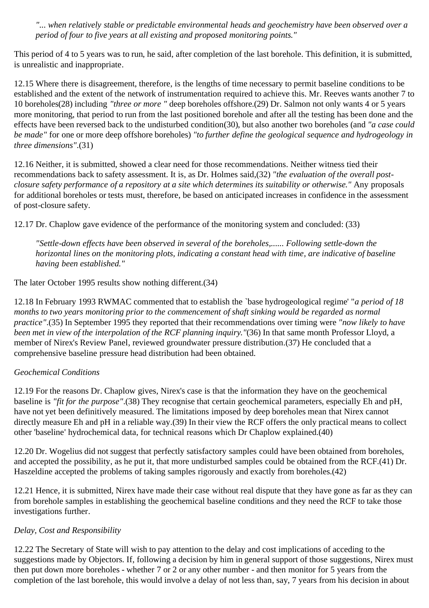*"... when relatively stable or predictable environmental heads and geochemistry have been observed over a period of four to five years at all existing and proposed monitoring points."*

This period of 4 to 5 years was to run, he said, after completion of the last borehole. This definition, it is submitted, is unrealistic and inappropriate.

12.15 Where there is disagreement, therefore, is the lengths of time necessary to permit baseline conditions to be established and the extent of the network of instrumentation required to achieve this. Mr. Reeves wants another 7 to 10 boreholes(28) including *"three or more "* deep boreholes offshore.(29) Dr. Salmon not only wants 4 or 5 years more monitoring, that period to run from the last positioned borehole and after all the testing has been done and the effects have been reversed back to the undisturbed condition(30), but also another two boreholes (and *"a case could be made"* for one or more deep offshore boreholes) *"to further define the geological sequence and hydrogeology in three dimensions"*.(31)

12.16 Neither, it is submitted, showed a clear need for those recommendations. Neither witness tied their recommendations back to safety assessment. It is, as Dr. Holmes said,(32) *"the evaluation of the overall postclosure safety performance of a repository at a site which determines its suitability or otherwise."* Any proposals for additional boreholes or tests must, therefore, be based on anticipated increases in confidence in the assessment of post-closure safety.

12.17 Dr. Chaplow gave evidence of the performance of the monitoring system and concluded: (33)

*"Settle-down effects have been observed in several of the boreholes,...... Following settle-down the horizontal lines on the monitoring plots, indicating a constant head with time, are indicative of baseline having been established."*

The later October 1995 results show nothing different.(34)

12.18 In February 1993 RWMAC commented that to establish the `base hydrogeological regime' "*a period of 18 months to two years monitoring prior to the commencement of shaft sinking would be regarded as normal practice"*.(35) In September 1995 they reported that their recommendations over timing were *"now likely to have been met in view of the interpolation of the RCF planning inquiry."*(36) In that same month Professor Lloyd, a member of Nirex's Review Panel, reviewed groundwater pressure distribution.(37) He concluded that a comprehensive baseline pressure head distribution had been obtained.

#### *Geochemical Conditions*

12.19 For the reasons Dr. Chaplow gives, Nirex's case is that the information they have on the geochemical baseline is *"fit for the purpose"*.(38) They recognise that certain geochemical parameters, especially Eh and pH, have not yet been definitively measured. The limitations imposed by deep boreholes mean that Nirex cannot directly measure Eh and pH in a reliable way.(39) In their view the RCF offers the only practical means to collect other 'baseline' hydrochemical data, for technical reasons which Dr Chaplow explained.(40)

12.20 Dr. Wogelius did not suggest that perfectly satisfactory samples could have been obtained from boreholes, and accepted the possibility, as he put it, that more undisturbed samples could be obtained from the RCF.(41) Dr. Haszeldine accepted the problems of taking samples rigorously and exactly from boreholes.(42)

12.21 Hence, it is submitted, Nirex have made their case without real dispute that they have gone as far as they can from borehole samples in establishing the geochemical baseline conditions and they need the RCF to take those investigations further.

### *Delay, Cost and Responsibility*

12.22 The Secretary of State will wish to pay attention to the delay and cost implications of acceding to the suggestions made by Objectors. If, following a decision by him in general support of those suggestions, Nirex must then put down more boreholes - whether 7 or 2 or any other number - and then monitor for 5 years from the completion of the last borehole, this would involve a delay of not less than, say, 7 years from his decision in about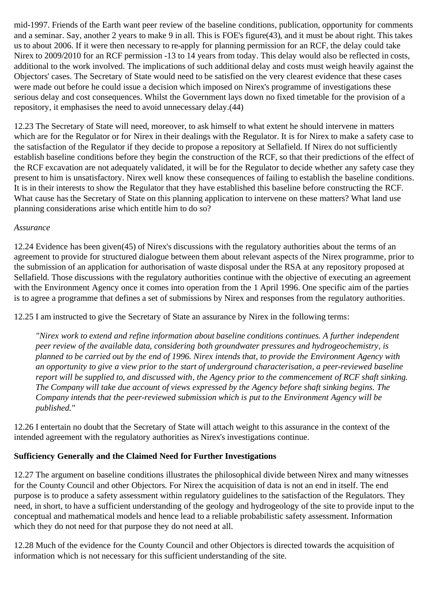mid-1997. Friends of the Earth want peer review of the baseline conditions, publication, opportunity for comments and a seminar. Say, another 2 years to make 9 in all. This is FOE's figure(43), and it must be about right. This takes us to about 2006. If it were then necessary to re-apply for planning permission for an RCF, the delay could take Nirex to 2009/2010 for an RCF permission -13 to 14 years from today. This delay would also be reflected in costs, additional to the work involved. The implications of such additional delay and costs must weigh heavily against the Objectors' cases. The Secretary of State would need to be satisfied on the very clearest evidence that these cases were made out before he could issue a decision which imposed on Nirex's programme of investigations these serious delay and cost consequences. Whilst the Government lays down no fixed timetable for the provision of a repository, it emphasises the need to avoid unnecessary delay.(44)

12.23 The Secretary of State will need, moreover, to ask himself to what extent he should intervene in matters which are for the Regulator or for Nirex in their dealings with the Regulator. It is for Nirex to make a safety case to the satisfaction of the Regulator if they decide to propose a repository at Sellafield. If Nirex do not sufficiently establish baseline conditions before they begin the construction of the RCF, so that their predictions of the effect of the RCF excavation are not adequately validated, it will be for the Regulator to decide whether any safety case they present to him is unsatisfactory. Nirex well know these consequences of failing to establish the baseline conditions. It is in their interests to show the Regulator that they have established this baseline before constructing the RCF. What cause has the Secretary of State on this planning application to intervene on these matters? What land use planning considerations arise which entitle him to do so?

#### *Assurance*

12.24 Evidence has been given(45) of Nirex's discussions with the regulatory authorities about the terms of an agreement to provide for structured dialogue between them about relevant aspects of the Nirex programme, prior to the submission of an application for authorisation of waste disposal under the RSA at any repository proposed at Sellafield. Those discussions with the regulatory authorities continue with the objective of executing an agreement with the Environment Agency once it comes into operation from the 1 April 1996. One specific aim of the parties is to agree a programme that defines a set of submissions by Nirex and responses from the regulatory authorities.

12.25 I am instructed to give the Secretary of State an assurance by Nirex in the following terms:

*"Nirex work to extend and refine information about baseline conditions continues. A further independent peer review of the available data, considering both groundwater pressures and hydrogeochemistry, is planned to be carried out by the end of 1996. Nirex intends that, to provide the Environment Agency with an opportunity to give a view prior to the start of underground characterisation, a peer-reviewed baseline report will be supplied to, and discussed with, the Agency prior to the commencement of RCF shaft sinking. The Company will take due account of views expressed by the Agency before shaft sinking begins. The Company intends that the peer-reviewed submission which is put to the Environment Agency will be published."*

12.26 I entertain no doubt that the Secretary of State will attach weight to this assurance in the context of the intended agreement with the regulatory authorities as Nirex's investigations continue.

### **Sufficiency Generally and the Claimed Need for Further Investigations**

12.27 The argument on baseline conditions illustrates the philosophical divide between Nirex and many witnesses for the County Council and other Objectors. For Nirex the acquisition of data is not an end in itself. The end purpose is to produce a safety assessment within regulatory guidelines to the satisfaction of the Regulators. They need, in short, to have a sufficient understanding of the geology and hydrogeology of the site to provide input to the conceptual and mathematical models and hence lead to a reliable probabilistic safety assessment. Information which they do not need for that purpose they do not need at all.

12.28 Much of the evidence for the County Council and other Objectors is directed towards the acquisition of information which is not necessary for this sufficient understanding of the site.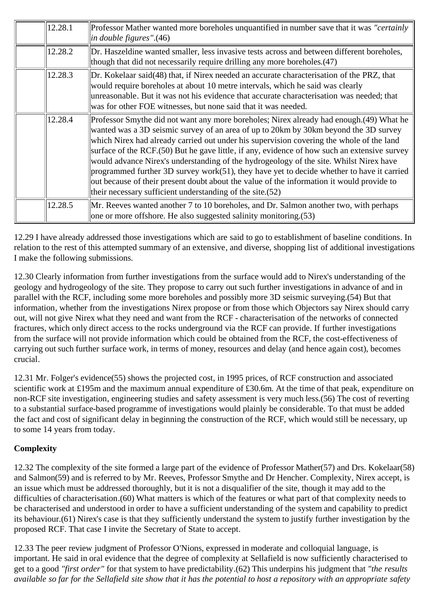| 12.28.1 | Professor Mather wanted more boreholes unquantified in number save that it was "certainly"<br>in double figures".(46)                                                                                                                                                                                                                                                                                                                                                                                                                                                                                                                                                                                                          |
|---------|--------------------------------------------------------------------------------------------------------------------------------------------------------------------------------------------------------------------------------------------------------------------------------------------------------------------------------------------------------------------------------------------------------------------------------------------------------------------------------------------------------------------------------------------------------------------------------------------------------------------------------------------------------------------------------------------------------------------------------|
| 12.28.2 | Dr. Haszeldine wanted smaller, less invasive tests across and between different boreholes,<br>though that did not necessarily require drilling any more boreholes. (47)                                                                                                                                                                                                                                                                                                                                                                                                                                                                                                                                                        |
| 12.28.3 | Dr. Kokelaar said(48) that, if Nirex needed an accurate characterisation of the PRZ, that<br>would require boreholes at about 10 metre intervals, which he said was clearly<br>unreasonable. But it was not his evidence that accurate characterisation was needed; that<br>was for other FOE witnesses, but none said that it was needed.                                                                                                                                                                                                                                                                                                                                                                                     |
| 12.28.4 | Professor Smythe did not want any more boreholes; Nirex already had enough. (49) What he<br>wanted was a 3D seismic survey of an area of up to 20km by 30km beyond the 3D survey<br>which Nirex had already carried out under his supervision covering the whole of the land<br>surface of the RCF.(50) But he gave little, if any, evidence of how such an extensive survey<br>would advance Nirex's understanding of the hydrogeology of the site. Whilst Nirex have<br>programmed further 3D survey work(51), they have yet to decide whether to have it carried<br>out because of their present doubt about the value of the information it would provide to<br>their necessary sufficient understanding of the site. (52) |
| 12.28.5 | Mr. Reeves wanted another 7 to 10 boreholes, and Dr. Salmon another two, with perhaps<br>one or more offshore. He also suggested salinity monitoring. (53)                                                                                                                                                                                                                                                                                                                                                                                                                                                                                                                                                                     |

12.29 I have already addressed those investigations which are said to go to establishment of baseline conditions. In relation to the rest of this attempted summary of an extensive, and diverse, shopping list of additional investigations I make the following submissions.

12.30 Clearly information from further investigations from the surface would add to Nirex's understanding of the geology and hydrogeology of the site. They propose to carry out such further investigations in advance of and in parallel with the RCF, including some more boreholes and possibly more 3D seismic surveying.(54) But that information, whether from the investigations Nirex propose or from those which Objectors say Nirex should carry out, will not give Nirex what they need and want from the RCF - characterisation of the networks of connected fractures, which only direct access to the rocks underground via the RCF can provide. If further investigations from the surface will not provide information which could be obtained from the RCF, the cost-effectiveness of carrying out such further surface work, in terms of money, resources and delay (and hence again cost), becomes crucial.

12.31 Mr. Folger's evidence(55) shows the projected cost, in 1995 prices, of RCF construction and associated scientific work at £195m and the maximum annual expenditure of £30.6m. At the time of that peak, expenditure on non-RCF site investigation, engineering studies and safety assessment is very much less.(56) The cost of reverting to a substantial surface-based programme of investigations would plainly be considerable. To that must be added the fact and cost of significant delay in beginning the construction of the RCF, which would still be necessary, up to some 14 years from today.

### **Complexity**

12.32 The complexity of the site formed a large part of the evidence of Professor Mather(57) and Drs. Kokelaar(58) and Salmon(59) and is referred to by Mr. Reeves, Professor Smythe and Dr Hencher. Complexity, Nirex accept, is an issue which must be addressed thoroughly, but it is not a disqualifier of the site, though it may add to the difficulties of characterisation.(60) What matters is which of the features or what part of that complexity needs to be characterised and understood in order to have a sufficient understanding of the system and capability to predict its behaviour.(61) Nirex's case is that they sufficiently understand the system to justify further investigation by the proposed RCF. That case I invite the Secretary of State to accept.

12.33 The peer review judgment of Professor O'Nions, expressed in moderate and colloquial language, is important. He said in oral evidence that the degree of complexity at Sellafield is now sufficiently characterised to get to a good *"first order"* for that system to have predictability.(62) This underpins his judgment that *"the results available so far for the Sellafield site show that it has the potential to host a repository with an appropriate safety*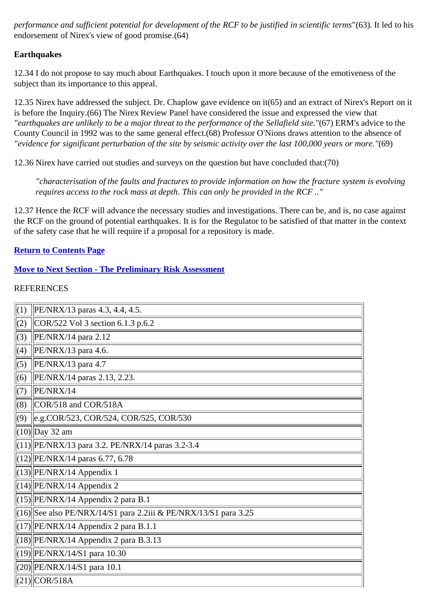*performance and sufficient potential for development of the RCF to be justified in scientific terms*"(63). It led to his endorsement of Nirex's view of good promise.(64)

#### **Earthquakes**

12.34 I do not propose to say much about Earthquakes. I touch upon it more because of the emotiveness of the subject than its importance to this appeal.

12.35 Nirex have addressed the subject. Dr. Chaplow gave evidence on it(65) and an extract of Nirex's Report on it is before the Inquiry.(66) The Nirex Review Panel have considered the issue and expressed the view that *"earthquakes are unlikely to be a major threat to the performance of the Sellafield site."*(67) ERM's advice to the County Council in 1992 was to the same general effect.(68) Professor O'Nions draws attention to the absence of *"evidence for significant perturbation of the site by seismic activity over the last 100,000 years or more."*(69)

12.36 Nirex have carried out studies and surveys on the question but have concluded that:(70)

*"characterisation of the faults and fractures to provide information on how the fracture system is evolving requires access to the rock mass at depth. This can only be provided in the RCF .."*

12.37 Hence the RCF will advance the necessary studies and investigations. There can be, and is, no case against the RCF on the ground of potential earthquakes. It is for the Regulator to be satisfied of that matter in the context of the safety case that he will require if a proposal for a repository is made.

#### **Return to Contents Page**

#### **Move to Next Section - The Preliminary Risk Assessment**

| (1) | PE/NRX/13 paras 4.3, 4.4, 4.5.                                    |
|-----|-------------------------------------------------------------------|
| (2) | COR/522 Vol 3 section 6.1.3 p.6.2                                 |
| (3) | $PE/NRX/14$ para 2.12                                             |
| (4) | PE/NRX/13 para 4.6.                                               |
| (5) | $\left  \frac{\text{PE}}{\text{NRX}}/13 \right $ para 4.7         |
| (6) | PE/NRX/14 paras 2.13, 2.23.                                       |
| (7) | PE/NRX/14                                                         |
| (8) | COR/518 and COR/518A                                              |
| (9) | e.g.COR/523, COR/524, COR/525, COR/530                            |
|     | $(10)$ Day 32 am                                                  |
|     | $(11)$   PE/NRX/13 para 3.2. PE/NRX/14 paras 3.2-3.4              |
|     | $(12)$   PE/NRX/14 paras 6.77, 6.78                               |
|     | $(13)$  PE/NRX/14 Appendix 1                                      |
|     | $(14)$  PE/NRX/14 Appendix 2                                      |
|     | $(15)$   PE/NRX/14 Appendix 2 para B.1                            |
|     | $(16)$ See also PE/NRX/14/S1 para 2.2iii & PE/NRX/13/S1 para 3.25 |
|     | $(17)$   PE/NRX/14 Appendix 2 para B.1.1                          |
|     | $(18)$  PE/NRX/14 Appendix 2 para B.3.13                          |
|     | $(19)$  PE/NRX/14/S1 para 10.30                                   |
|     | $(20)$   PE/NRX/14/S1 para 10.1                                   |
|     | $(21)\vert$ COR/518A                                              |
|     |                                                                   |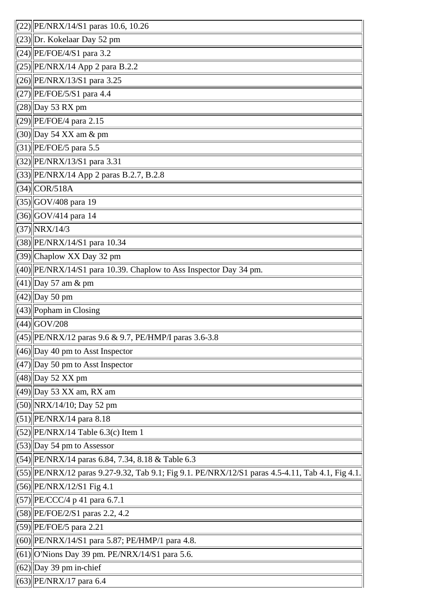| $(22)$   PE/NRX/14/S1 paras 10.6, 10.26                                                          |
|--------------------------------------------------------------------------------------------------|
| $(23)$ Dr. Kokelaar Day 52 pm                                                                    |
| $(24)$   PE/FOE/4/S1 para 3.2                                                                    |
| $(25)$   PE/NRX/14 App 2 para B.2.2                                                              |
| $(26)$   PE/NRX/13/S1 para 3.25                                                                  |
| $(27)$   PE/FOE/5/S1 para 4.4                                                                    |
| $(28)$ Day 53 RX pm                                                                              |
| $(29)$   PE/FOE/4 para 2.15                                                                      |
| $(30)$ Day 54 XX am & pm                                                                         |
| $(31)$   PE/FOE/5 para 5.5                                                                       |
| (32) PE/NRX/13/S1 para 3.31                                                                      |
| (33) PE/NRX/14 App 2 paras B.2.7, B.2.8                                                          |
| $(34)\n$ COR/518A                                                                                |
| $(35)$ GOV/408 para 19                                                                           |
| $(36)$ GOV/414 para 14                                                                           |
| $(37)\ NRX/14/3$                                                                                 |
| (38) PE/NRX/14/S1 para 10.34                                                                     |
| $(39)$ Chaplow XX Day 32 pm                                                                      |
| $(40)$   PE/NRX/14/S1 para 10.39. Chaplow to Ass Inspector Day 34 pm.                            |
| $(41)$ Day 57 am & pm                                                                            |
| $(42)$ Day 50 pm                                                                                 |
| $(43)$ Popham in Closing                                                                         |
| $(44)$ GOV/208                                                                                   |
| $(45)$   PE/NRX/12 paras 9.6 & 9.7, PE/HMP/I paras 3.6-3.8                                       |
| $(46)$ Day 40 pm to Asst Inspector                                                               |
| $(47)$ Day 50 pm to Asst Inspector                                                               |
| $(48)$ Day 52 XX pm                                                                              |
| $(49)$ Day 53 XX am, RX am                                                                       |
| $(50)$   NRX/14/10; Day 52 pm                                                                    |
| $(51)$  PE/NRX/14 para 8.18                                                                      |
| $(52)$   PE/NRX/14 Table 6.3(c) Item 1                                                           |
| $(53)$ Day 54 pm to Assessor                                                                     |
| $(54)$  PE/NRX/14 paras 6.84, 7.34, 8.18 & Table 6.3                                             |
| (55) PE/NRX/12 paras 9.27-9.32, Tab 9.1; Fig 9.1. PE/NRX/12/S1 paras 4.5-4.11, Tab 4.1, Fig 4.1. |
| $(56)$   PE/NRX/12/S1 Fig 4.1                                                                    |
| $(57)$   PE/CCC/4 p 41 para 6.7.1                                                                |
| $(58)$   PE/FOE/2/S1 paras 2.2, 4.2                                                              |
| $(59)$  PE/FOE/5 para 2.21                                                                       |
| $(60)$   PE/NRX/14/S1 para 5.87; PE/HMP/1 para 4.8.                                              |
| $(61)$   O'Nions Day 39 pm. PE/NRX/14/S1 para 5.6.                                               |
| $(62)$ Day 39 pm in-chief                                                                        |
| $(63)$  PE/NRX/17 para 6.4                                                                       |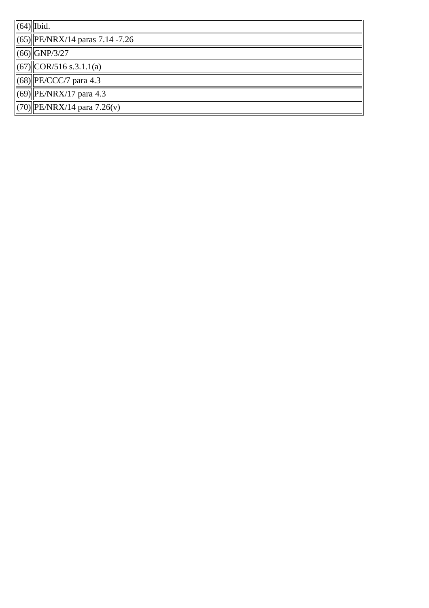| $\ $ (64) $\ $ Ibid.                                      |  |  |
|-----------------------------------------------------------|--|--|
| $\ $ (65)  PE/NRX/14 paras 7.14 -7.26                     |  |  |
| $ (66)  $ GNP/3/27                                        |  |  |
| $\left\  (67) \right\  \text{COR}/516 \text{ s}.3.1.1(a)$ |  |  |
| $\left\  (68) \right\ $ PE/CCC/7 para 4.3                 |  |  |
| $\left\  (69) \right\ $ PE/NRX/17 para 4.3                |  |  |
| $\ $ (70) PE/NRX/14 para 7.26(v)                          |  |  |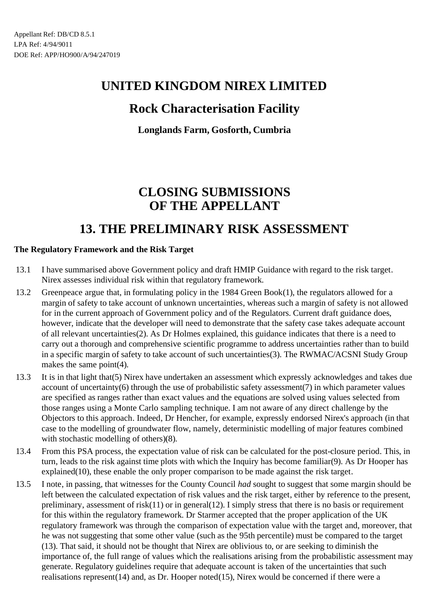## **Rock Characterisation Facility**

**Longlands Farm, Gosforth, Cumbria**

# **CLOSING SUBMISSIONS OF THE APPELLANT**

## **13. THE PRELIMINARY RISK ASSESSMENT**

### **The Regulatory Framework and the Risk Target**

- 13.1 I have summarised above Government policy and draft HMIP Guidance with regard to the risk target. Nirex assesses individual risk within that regulatory framework.
- 13.2 Greenpeace argue that, in formulating policy in the 1984 Green Book(1), the regulators allowed for a margin of safety to take account of unknown uncertainties, whereas such a margin of safety is not allowed for in the current approach of Government policy and of the Regulators. Current draft guidance does, however, indicate that the developer will need to demonstrate that the safety case takes adequate account of all relevant uncertainties(2). As Dr Holmes explained, this guidance indicates that there is a need to carry out a thorough and comprehensive scientific programme to address uncertainties rather than to build in a specific margin of safety to take account of such uncertainties(3). The RWMAC/ACSNI Study Group makes the same point(4).
- 13.3 It is in that light that(5) Nirex have undertaken an assessment which expressly acknowledges and takes due account of uncertainty(6) through the use of probabilistic safety assessment(7) in which parameter values are specified as ranges rather than exact values and the equations are solved using values selected from those ranges using a Monte Carlo sampling technique. I am not aware of any direct challenge by the Objectors to this approach. Indeed, Dr Hencher, for example, expressly endorsed Nirex's approach (in that case to the modelling of groundwater flow, namely, deterministic modelling of major features combined with stochastic modelling of others)(8).
- 13.4 From this PSA process, the expectation value of risk can be calculated for the post-closure period. This, in turn, leads to the risk against time plots with which the Inquiry has become familiar(9). As Dr Hooper has explained(10), these enable the only proper comparison to be made against the risk target.
- 13.5 I note, in passing, that witnesses for the County Council *had* sought to suggest that some margin should be left between the calculated expectation of risk values and the risk target, either by reference to the present, preliminary, assessment of risk(11) or in general(12). I simply stress that there is no basis or requirement for this within the regulatory framework. Dr Starmer accepted that the proper application of the UK regulatory framework was through the comparison of expectation value with the target and, moreover, that he was not suggesting that some other value (such as the 95th percentile) must be compared to the target (13). That said, it should not be thought that Nirex are oblivious to, or are seeking to diminish the importance of, the full range of values which the realisations arising from the probabilistic assessment may generate. Regulatory guidelines require that adequate account is taken of the uncertainties that such realisations represent(14) and, as Dr. Hooper noted(15), Nirex would be concerned if there were a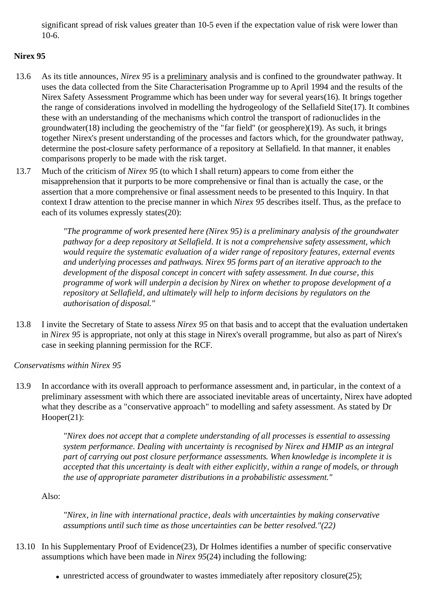significant spread of risk values greater than 10-5 even if the expectation value of risk were lower than 10-6.

### **Nirex 95**

- 13.6 As its title announces, *Nirex 95* is a preliminary analysis and is confined to the groundwater pathway. It uses the data collected from the Site Characterisation Programme up to April 1994 and the results of the Nirex Safety Assessment Programme which has been under way for several years(16). It brings together the range of considerations involved in modelling the hydrogeology of the Sellafield Site(17). It combines these with an understanding of the mechanisms which control the transport of radionuclides in the groundwater(18) including the geochemistry of the "far field" (or geosphere)(19). As such, it brings together Nirex's present understanding of the processes and factors which, for the groundwater pathway, determine the post-closure safety performance of a repository at Sellafield. In that manner, it enables comparisons properly to be made with the risk target.
- 13.7 Much of the criticism of *Nirex 95* (to which I shall return) appears to come from either the misapprehension that it purports to be more comprehensive or final than is actually the case, or the assertion that a more comprehensive or final assessment needs to be presented to this Inquiry. In that context I draw attention to the precise manner in which *Nirex 95* describes itself. Thus, as the preface to each of its volumes expressly states(20):

*"The programme of work presented here (Nirex 95) is a preliminary analysis of the groundwater pathway for a deep repository at Sellafield. It is not a comprehensive safety assessment, which would require the systematic evaluation of a wider range of repository features, external events and underlying processes and pathways. Nirex 95 forms part of an iterative approach to the development of the disposal concept in concert with safety assessment. In due course, this programme of work will underpin a decision by Nirex on whether to propose development of a repository at Sellafield, and ultimately will help to inform decisions by regulators on the authorisation of disposal."*

13.8 I invite the Secretary of State to assess *Nirex 95* on that basis and to accept that the evaluation undertaken in *Nirex 95* is appropriate, not only at this stage in Nirex's overall programme, but also as part of Nirex's case in seeking planning permission for the RCF.

#### *Conservatisms within Nirex 95*

13.9 In accordance with its overall approach to performance assessment and, in particular, in the context of a preliminary assessment with which there are associated inevitable areas of uncertainty, Nirex have adopted what they describe as a "conservative approach" to modelling and safety assessment. As stated by Dr Hooper(21):

> *"Nirex does not accept that a complete understanding of all processes is essential to assessing system performance. Dealing with uncertainty is recognised by Nirex and HMIP as an integral part of carrying out post closure performance assessments. When knowledge is incomplete it is accepted that this uncertainty is dealt with either explicitly, within a range of models, or through the use of appropriate parameter distributions in a probabilistic assessment."*

Also:

*"Nirex, in line with international practice, deals with uncertainties by making conservative assumptions until such time as those uncertainties can be better resolved."(22)*

- 13.10 In his Supplementary Proof of Evidence(23), Dr Holmes identifies a number of specific conservative assumptions which have been made in *Nirex 95*(24) including the following:
	- unrestricted access of groundwater to wastes immediately after repository closure(25);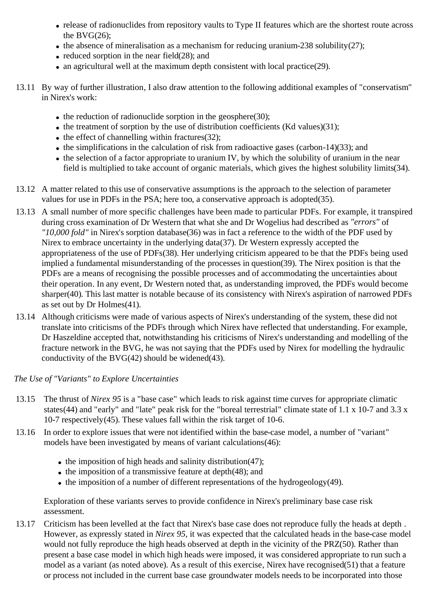- release of radionuclides from repository vaults to Type II features which are the shortest route across the BVG $(26)$ ;
- $\bullet$  the absence of mineralisation as a mechanism for reducing uranium-238 solubility(27);
- $\bullet$  reduced sorption in the near field(28); and
- an agricultural well at the maximum depth consistent with local practice(29).
- 13.11 By way of further illustration, I also draw attention to the following additional examples of "conservatism" in Nirex's work:
	- $\bullet$  the reduction of radionuclide sorption in the geosphere(30);
	- $\bullet$  the treatment of sorption by the use of distribution coefficients (Kd values)(31);
	- $\bullet$  the effect of channelling within fractures(32);
	- $\bullet$  the simplifications in the calculation of risk from radioactive gases (carbon-14)(33); and
	- $\bullet$  the selection of a factor appropriate to uranium IV, by which the solubility of uranium in the near field is multiplied to take account of organic materials, which gives the highest solubility limits(34).
- 13.12 A matter related to this use of conservative assumptions is the approach to the selection of parameter values for use in PDFs in the PSA; here too, a conservative approach is adopted(35).
- 13.13 A small number of more specific challenges have been made to particular PDFs. For example, it transpired during cross examination of Dr Western that what she and Dr Wogelius had described as *"errors"* of *"10,000 fold"* in Nirex's sorption database(36) was in fact a reference to the width of the PDF used by Nirex to embrace uncertainty in the underlying data(37). Dr Western expressly accepted the appropriateness of the use of PDFs(38). Her underlying criticism appeared to be that the PDFs being used implied a fundamental misunderstanding of the processes in question(39). The Nirex position is that the PDFs are a means of recognising the possible processes and of accommodating the uncertainties about their operation. In any event, Dr Western noted that, as understanding improved, the PDFs would become sharper(40). This last matter is notable because of its consistency with Nirex's aspiration of narrowed PDFs as set out by Dr Holmes(41).
- 13.14 Although criticisms were made of various aspects of Nirex's understanding of the system, these did not translate into criticisms of the PDFs through which Nirex have reflected that understanding. For example, Dr Haszeldine accepted that, notwithstanding his criticisms of Nirex's understanding and modelling of the fracture network in the BVG, he was not saying that the PDFs used by Nirex for modelling the hydraulic conductivity of the BVG $(42)$  should be widened $(43)$ .

*The Use of "Variants" to Explore Uncertainties*

- 13.15 The thrust of *Nirex 95* is a "base case" which leads to risk against time curves for appropriate climatic states(44) and "early" and "late" peak risk for the "boreal terrestrial" climate state of 1.1 x 10-7 and 3.3 x 10-7 respectively(45). These values fall within the risk target of 10-6.
- 13.16 In order to explore issues that were not identified within the base-case model, a number of "variant" models have been investigated by means of variant calculations(46):
	- $\bullet$  the imposition of high heads and salinity distribution(47);
	- $\bullet$  the imposition of a transmissive feature at depth $(48)$ ; and
	- $\bullet$  the imposition of a number of different representations of the hydrogeology(49).

Exploration of these variants serves to provide confidence in Nirex's preliminary base case risk assessment.

13.17 Criticism has been levelled at the fact that Nirex's base case does not reproduce fully the heads at depth . However, as expressly stated in *Nirex 95,* it was expected that the calculated heads in the base-case model would not fully reproduce the high heads observed at depth in the vicinity of the PRZ(50). Rather than present a base case model in which high heads were imposed, it was considered appropriate to run such a model as a variant (as noted above). As a result of this exercise, Nirex have recognised(51) that a feature or process not included in the current base case groundwater models needs to be incorporated into those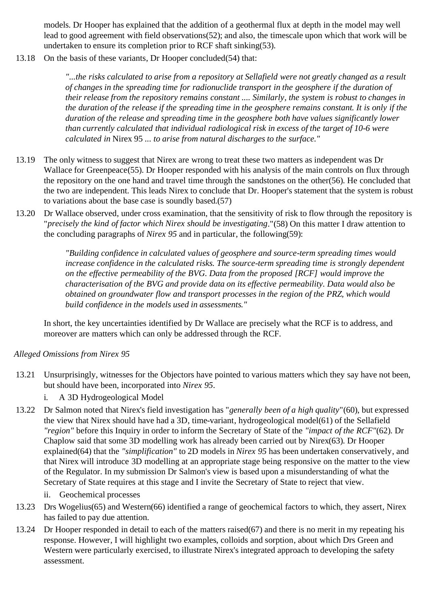models. Dr Hooper has explained that the addition of a geothermal flux at depth in the model may well lead to good agreement with field observations(52); and also, the timescale upon which that work will be undertaken to ensure its completion prior to RCF shaft sinking(53).

13.18 On the basis of these variants, Dr Hooper concluded(54) that:

*"...the risks calculated to arise from a repository at Sellafield were not greatly changed as a result of changes in the spreading time for radionuclide transport in the geosphere if the duration of their release from the repository remains constant .... Similarly, the system is robust to changes in the duration of the release if the spreading time in the geosphere remains constant. It is only if the duration of the release and spreading time in the geosphere both have values significantly lower than currently calculated that individual radiological risk in excess of the target of 10-6 were calculated in* Nirex 95 *... to arise from natural discharges to the surface."*

- 13.19 The only witness to suggest that Nirex are wrong to treat these two matters as independent was Dr Wallace for Greenpeace(55). Dr Hooper responded with his analysis of the main controls on flux through the repository on the one hand and travel time through the sandstones on the other(56). He concluded that the two are independent. This leads Nirex to conclude that Dr. Hooper's statement that the system is robust to variations about the base case is soundly based.(57)
- 13.20 Dr Wallace observed, under cross examination, that the sensitivity of risk to flow through the repository is "*precisely the kind of factor which Nirex should be investigating*."(58) On this matter I draw attention to the concluding paragraphs of *Nirex 95* and in particular, the following(59):

*"Building confidence in calculated values of geosphere and source-term spreading times would increase confidence in the calculated risks. The source-term spreading time is strongly dependent on the effective permeability of the BVG. Data from the proposed [RCF] would improve the characterisation of the BVG and provide data on its effective permeability. Data would also be obtained on groundwater flow and transport processes in the region of the PRZ, which would build confidence in the models used in assessments."*

In short, the key uncertainties identified by Dr Wallace are precisely what the RCF is to address, and moreover are matters which can only be addressed through the RCF.

*Alleged Omissions from Nirex 95*

- 13.21 Unsurprisingly, witnesses for the Objectors have pointed to various matters which they say have not been, but should have been, incorporated into *Nirex 95*.
	- i. A 3D Hydrogeological Model
- 13.22 Dr Salmon noted that Nirex's field investigation has "*generally been of a high quality*"(60), but expressed the view that Nirex should have had a 3D, time-variant, hydrogeological model(61) of the Sellafield *"region"* before this Inquiry in order to inform the Secretary of State of the *"impact of the RCF"*(62). Dr Chaplow said that some 3D modelling work has already been carried out by Nirex(63). Dr Hooper explained(64) that the *"simplification"* to 2D models in *Nirex 95* has been undertaken conservatively, and that Nirex will introduce 3D modelling at an appropriate stage being responsive on the matter to the view of the Regulator. In my submission Dr Salmon's view is based upon a misunderstanding of what the Secretary of State requires at this stage and I invite the Secretary of State to reject that view.
	- ii. Geochemical processes
- 13.23 Drs Wogelius(65) and Western(66) identified a range of geochemical factors to which, they assert, Nirex has failed to pay due attention.
- 13.24 Dr Hooper responded in detail to each of the matters raised(67) and there is no merit in my repeating his response. However, I will highlight two examples, colloids and sorption, about which Drs Green and Western were particularly exercised, to illustrate Nirex's integrated approach to developing the safety assessment.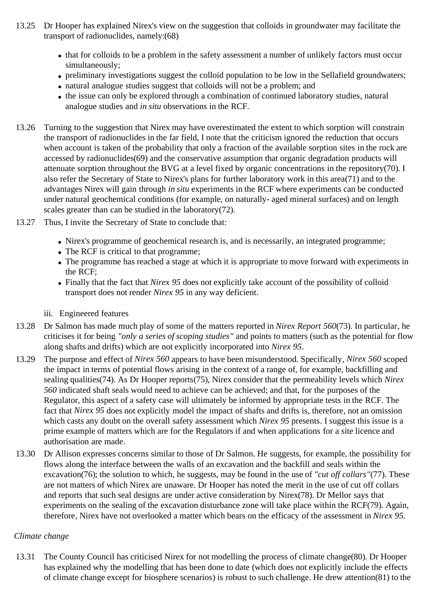- 13.25 Dr Hooper has explained Nirex's view on the suggestion that colloids in groundwater may facilitate the transport of radionuclides, namely:(68)
	- that for colloids to be a problem in the safety assessment a number of unlikely factors must occur simultaneously;
	- preliminary investigations suggest the colloid population to be low in the Sellafield groundwaters;
	- natural analogue studies suggest that colloids will not be a problem; and
	- the issue can only be explored through a combination of continued laboratory studies, natural analogue studies and *in situ* observations in the RCF.
- 13.26 Turning to the suggestion that Nirex may have overestimated the extent to which sorption will constrain the transport of radionuclides in the far field, I note that the criticism ignored the reduction that occurs when account is taken of the probability that only a fraction of the available sorption sites in the rock are accessed by radionuclides(69) and the conservative assumption that organic degradation products will attenuate sorption throughout the BVG at a level fixed by organic concentrations in the repository(70). I also refer the Secretary of State to Nirex's plans for further laboratory work in this area(71) and to the advantages Nirex will gain through *in situ* experiments in the RCF where experiments can be conducted under natural geochemical conditions (for example, on naturally- aged mineral surfaces) and on length scales greater than can be studied in the laboratory(72).
- 13.27 Thus, I invite the Secretary of State to conclude that:
	- Nirex's programme of geochemical research is, and is necessarily, an integrated programme;
	- The RCF is critical to that programme;
	- The programme has reached a stage at which it is appropriate to move forward with experiments in the RCF;
	- Finally that the fact that *Nirex 95* does not explicitly take account of the possibility of colloid transport does not render *Nirex 95* in any way deficient.
	- iii. Engineered features
- 13.28 Dr Salmon has made much play of some of the matters reported in *Nirex Report 560*(73). In particular, he criticises it for being *"only a series of scoping studies"* and points to matters (such as the potential for flow along shafts and drifts) which are not explicitly incorporated into *Nirex 95*.
- 13.29 The purpose and effect of *Nirex 560* appears to have been misunderstood. Specifically, *Nirex 560* scoped the impact in terms of potential flows arising in the context of a range of, for example, backfilling and sealing qualities(74). As Dr Hooper reports(75), Nirex consider that the permeability levels which *Nirex 560* indicated shaft seals would need to achieve can be achieved; and that, for the purposes of the Regulator, this aspect of a safety case will ultimately be informed by appropriate tests in the RCF. The fact that *Nirex 95* does not explicitly model the impact of shafts and drifts is, therefore, not an omission which casts any doubt on the overall safety assessment which *Nirex 95* presents. I suggest this issue is a prime example of matters which are for the Regulators if and when applications for a site licence and authorisation are made.
- 13.30 Dr Allison expresses concerns similar to those of Dr Salmon. He suggests, for example, the possibility for flows along the interface between the walls of an excavation and the backfill and seals within the excavation(76); the solution to which, he suggests, may be found in the use of *"cut off collars"*(77). These are not matters of which Nirex are unaware. Dr Hooper has noted the merit in the use of cut off collars and reports that such seal designs are under active consideration by Nirex(78). Dr Mellor says that experiments on the sealing of the excavation disturbance zone will take place within the RCF(79). Again, therefore, Nirex have not overlooked a matter which bears on the efficacy of the assessment in *Nirex 95*.

#### *Climate change*

13.31 The County Council has criticised Nirex for not modelling the process of climate change(80). Dr Hooper has explained why the modelling that has been done to date (which does not explicitly include the effects of climate change except for biosphere scenarios) is robust to such challenge. He drew attention(81) to the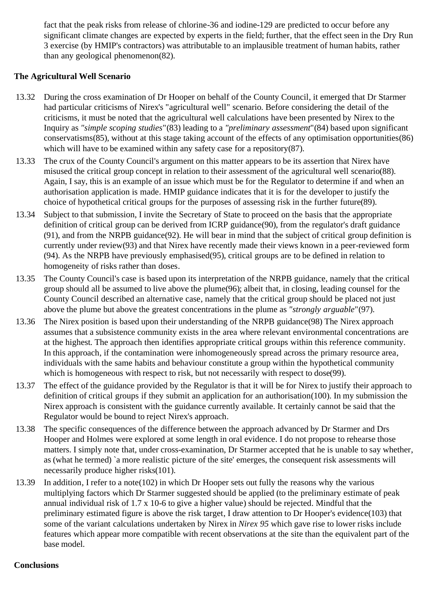fact that the peak risks from release of chlorine-36 and iodine-129 are predicted to occur before any significant climate changes are expected by experts in the field; further, that the effect seen in the Dry Run 3 exercise (by HMIP's contractors) was attributable to an implausible treatment of human habits, rather than any geological phenomenon(82).

### **The Agricultural Well Scenario**

- 13.32 During the cross examination of Dr Hooper on behalf of the County Council, it emerged that Dr Starmer had particular criticisms of Nirex's "agricultural well" scenario. Before considering the detail of the criticisms, it must be noted that the agricultural well calculations have been presented by Nirex to the Inquiry as *"simple scoping studies*"(83) leading to a *"preliminary assessment*"(84) based upon significant conservatisms(85), without at this stage taking account of the effects of any optimisation opportunities(86) which will have to be examined within any safety case for a repository(87).
- 13.33 The crux of the County Council's argument on this matter appears to be its assertion that Nirex have misused the critical group concept in relation to their assessment of the agricultural well scenario(88). Again, I say, this is an example of an issue which must be for the Regulator to determine if and when an authorisation application is made. HMIP guidance indicates that it is for the developer to justify the choice of hypothetical critical groups for the purposes of assessing risk in the further future(89).
- 13.34 Subject to that submission, I invite the Secretary of State to proceed on the basis that the appropriate definition of critical group can be derived from ICRP guidance(90), from the regulator's draft guidance (91), and from the NRPB guidance(92). He will bear in mind that the subject of critical group definition is currently under review(93) and that Nirex have recently made their views known in a peer-reviewed form (94). As the NRPB have previously emphasised(95), critical groups are to be defined in relation to homogeneity of risks rather than doses.
- 13.35 The County Council's case is based upon its interpretation of the NRPB guidance, namely that the critical group should all be assumed to live above the plume(96); albeit that, in closing, leading counsel for the County Council described an alternative case, namely that the critical group should be placed not just above the plume but above the greatest concentrations in the plume as *"strongly arguable*"(97).
- 13.36 The Nirex position is based upon their understanding of the NRPB guidance(98) The Nirex approach assumes that a subsistence community exists in the area where relevant environmental concentrations are at the highest. The approach then identifies appropriate critical groups within this reference community. In this approach, if the contamination were inhomogeneously spread across the primary resource area, individuals with the same habits and behaviour constitute a group within the hypothetical community which is homogeneous with respect to risk, but not necessarily with respect to dose(99).
- 13.37 The effect of the guidance provided by the Regulator is that it will be for Nirex to justify their approach to definition of critical groups if they submit an application for an authorisation(100). In my submission the Nirex approach is consistent with the guidance currently available. It certainly cannot be said that the Regulator would be bound to reject Nirex's approach.
- 13.38 The specific consequences of the difference between the approach advanced by Dr Starmer and Drs Hooper and Holmes were explored at some length in oral evidence. I do not propose to rehearse those matters. I simply note that, under cross-examination, Dr Starmer accepted that he is unable to say whether, as (what he termed) `a more realistic picture of the site' emerges, the consequent risk assessments will necessarily produce higher risks(101).
- 13.39 In addition, I refer to a note(102) in which Dr Hooper sets out fully the reasons why the various multiplying factors which Dr Starmer suggested should be applied (to the preliminary estimate of peak annual individual risk of 1.7 x 10-6 to give a higher value) should be rejected. Mindful that the preliminary estimated figure is above the risk target, I draw attention to Dr Hooper's evidence(103) that some of the variant calculations undertaken by Nirex in *Nirex 95* which gave rise to lower risks include features which appear more compatible with recent observations at the site than the equivalent part of the base model.

#### **Conclusions**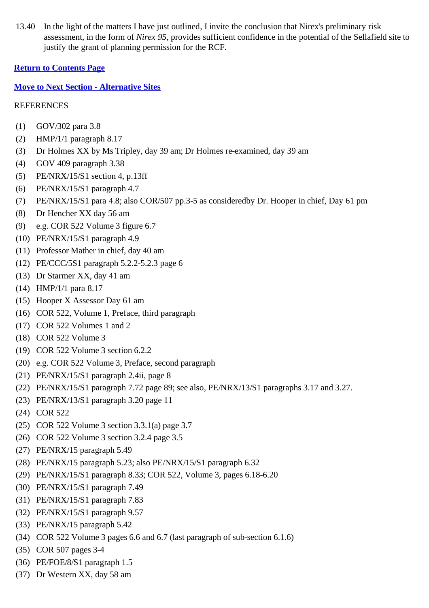13.40 In the light of the matters I have just outlined, I invite the conclusion that Nirex's preliminary risk assessment, in the form of *Nirex 95*, provides sufficient confidence in the potential of the Sellafield site to justify the grant of planning permission for the RCF.

#### **Return to Contents Page**

#### **Move to Next Section - Alternative Sites**

- (1) GOV/302 para 3.8
- (2) HMP/1/1 paragraph 8.17
- (3) Dr Holmes XX by Ms Tripley, day 39 am; Dr Holmes re-examined, day 39 am
- (4) GOV 409 paragraph 3.38
- (5) PE/NRX/15/S1 section 4, p.13ff
- (6) PE/NRX/15/S1 paragraph 4.7
- (7) PE/NRX/15/S1 para 4.8; also COR/507 pp.3-5 as consideredby Dr. Hooper in chief, Day 61 pm
- (8) Dr Hencher XX day 56 am
- (9) e.g. COR 522 Volume 3 figure 6.7
- (10) PE/NRX/15/S1 paragraph 4.9
- (11) Professor Mather in chief, day 40 am
- (12) PE/CCC/5S1 paragraph 5.2.2-5.2.3 page 6
- (13) Dr Starmer XX, day 41 am
- (14) HMP/1/1 para 8.17
- (15) Hooper X Assessor Day 61 am
- (16) COR 522, Volume 1, Preface, third paragraph
- (17) COR 522 Volumes 1 and 2
- (18) COR 522 Volume 3
- (19) COR 522 Volume 3 section 6.2.2
- (20) e.g. COR 522 Volume 3, Preface, second paragraph
- (21) PE/NRX/15/S1 paragraph 2.4ii, page 8
- (22) PE/NRX/15/S1 paragraph 7.72 page 89; see also, PE/NRX/13/S1 paragraphs 3.17 and 3.27.
- (23) PE/NRX/13/S1 paragraph 3.20 page 11
- (24) COR 522
- (25) COR 522 Volume 3 section 3.3.1(a) page 3.7
- (26) COR 522 Volume 3 section 3.2.4 page 3.5
- (27) PE/NRX/15 paragraph 5.49
- (28) PE/NRX/15 paragraph 5.23; also PE/NRX/15/S1 paragraph 6.32
- (29) PE/NRX/15/S1 paragraph 8.33; COR 522, Volume 3, pages 6.18-6.20
- (30) PE/NRX/15/S1 paragraph 7.49
- (31) PE/NRX/15/S1 paragraph 7.83
- (32) PE/NRX/15/S1 paragraph 9.57
- (33) PE/NRX/15 paragraph 5.42
- (34) COR 522 Volume 3 pages 6.6 and 6.7 (last paragraph of sub-section 6.1.6)
- (35) COR 507 pages 3-4
- (36) PE/FOE/8/S1 paragraph 1.5
- (37) Dr Western XX, day 58 am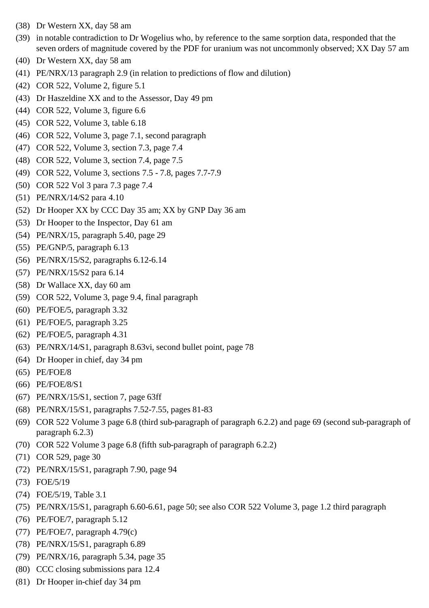- (38) Dr Western XX, day 58 am
- (39) in notable contradiction to Dr Wogelius who, by reference to the same sorption data, responded that the seven orders of magnitude covered by the PDF for uranium was not uncommonly observed; XX Day 57 am
- (40) Dr Western XX, day 58 am
- (41) PE/NRX/13 paragraph 2.9 (in relation to predictions of flow and dilution)
- (42) COR 522, Volume 2, figure 5.1
- (43) Dr Haszeldine XX and to the Assessor, Day 49 pm
- (44) COR 522, Volume 3, figure 6.6
- (45) COR 522, Volume 3, table 6.18
- (46) COR 522, Volume 3, page 7.1, second paragraph
- (47) COR 522, Volume 3, section 7.3, page 7.4
- (48) COR 522, Volume 3, section 7.4, page 7.5
- (49) COR 522, Volume 3, sections 7.5 7.8, pages 7.7-7.9
- (50) COR 522 Vol 3 para 7.3 page 7.4
- (51) PE/NRX/14/S2 para 4.10
- (52) Dr Hooper XX by CCC Day 35 am; XX by GNP Day 36 am
- (53) Dr Hooper to the Inspector, Day 61 am
- (54) PE/NRX/15, paragraph 5.40, page 29
- (55) PE/GNP/5, paragraph 6.13
- (56) PE/NRX/15/S2, paragraphs 6.12-6.14
- (57) PE/NRX/15/S2 para 6.14
- (58) Dr Wallace XX, day 60 am
- (59) COR 522, Volume 3, page 9.4, final paragraph
- (60) PE/FOE/5, paragraph 3.32
- (61) PE/FOE/5, paragraph 3.25
- (62) PE/FOE/5, paragraph 4.31
- (63) PE/NRX/14/S1, paragraph 8.63vi, second bullet point, page 78
- (64) Dr Hooper in chief, day 34 pm
- (65) PE/FOE/8
- (66) PE/FOE/8/S1
- (67) PE/NRX/15/S1, section 7, page 63ff
- (68) PE/NRX/15/S1, paragraphs 7.52-7.55, pages 81-83
- (69) COR 522 Volume 3 page 6.8 (third sub-paragraph of paragraph 6.2.2) and page 69 (second sub-paragraph of paragraph 6.2.3)
- (70) COR 522 Volume 3 page 6.8 (fifth sub-paragraph of paragraph 6.2.2)
- (71) COR 529, page 30
- (72) PE/NRX/15/S1, paragraph 7.90, page 94
- (73) FOE/5/19
- (74) FOE/5/19, Table 3.1
- (75) PE/NRX/15/S1, paragraph 6.60-6.61, page 50; see also COR 522 Volume 3, page 1.2 third paragraph
- (76) PE/FOE/7, paragraph 5.12
- (77) PE/FOE/7, paragraph 4.79(c)
- (78) PE/NRX/15/S1, paragraph 6.89
- (79) PE/NRX/16, paragraph 5.34, page 35
- (80) CCC closing submissions para 12.4
- (81) Dr Hooper in-chief day 34 pm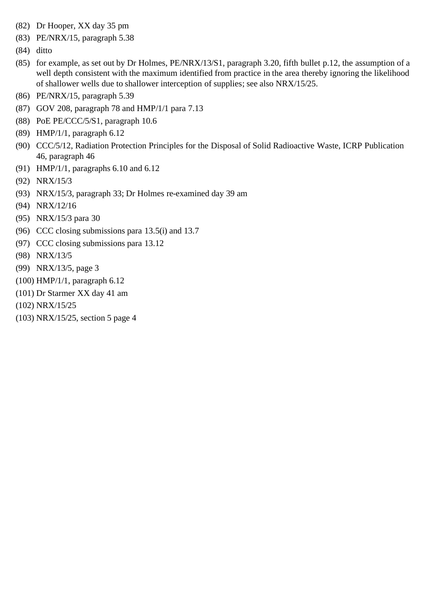- (82) Dr Hooper, XX day 35 pm
- (83) PE/NRX/15, paragraph 5.38
- (84) ditto
- (85) for example, as set out by Dr Holmes, PE/NRX/13/S1, paragraph 3.20, fifth bullet p.12, the assumption of a well depth consistent with the maximum identified from practice in the area thereby ignoring the likelihood of shallower wells due to shallower interception of supplies; see also NRX/15/25.
- (86) PE/NRX/15, paragraph 5.39
- (87) GOV 208, paragraph 78 and HMP/1/1 para 7.13
- (88) PoE PE/CCC/5/S1, paragraph 10.6
- (89) HMP/1/1, paragraph 6.12
- (90) CCC/5/12, Radiation Protection Principles for the Disposal of Solid Radioactive Waste, ICRP Publication 46, paragraph 46
- (91) HMP/1/1, paragraphs 6.10 and 6.12
- (92) NRX/15/3
- (93) NRX/15/3, paragraph 33; Dr Holmes re-examined day 39 am
- (94) NRX/12/16
- (95) NRX/15/3 para 30
- (96) CCC closing submissions para 13.5(i) and 13.7
- (97) CCC closing submissions para 13.12
- (98) NRX/13/5
- (99) NRX/13/5, page 3
- (100) HMP/1/1, paragraph 6.12
- (101) Dr Starmer XX day 41 am
- (102) NRX/15/25
- (103) NRX/15/25, section 5 page 4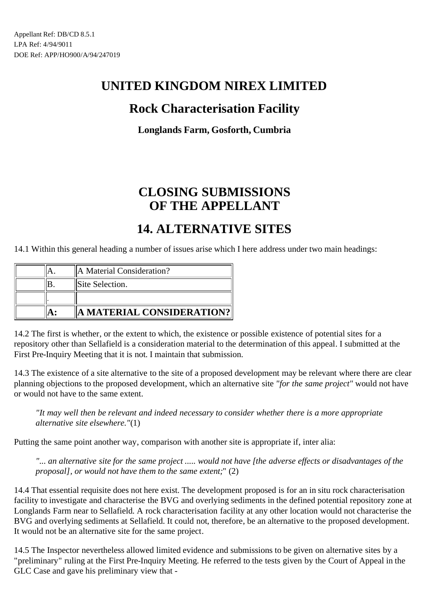## **Rock Characterisation Facility**

**Longlands Farm, Gosforth, Cumbria**

# **CLOSING SUBMISSIONS OF THE APPELLANT**

## **14. ALTERNATIVE SITES**

14.1 Within this general heading a number of issues arise which I here address under two main headings:

|  | A Material Consideration? |
|--|---------------------------|
|  | Site Selection.           |
|  |                           |
|  | A MATERIAL CONSIDERATION? |

14.2 The first is whether, or the extent to which, the existence or possible existence of potential sites for a repository other than Sellafield is a consideration material to the determination of this appeal. I submitted at the First Pre-Inquiry Meeting that it is not. I maintain that submission.

14.3 The existence of a site alternative to the site of a proposed development may be relevant where there are clear planning objections to the proposed development, which an alternative site *"for the same project"* would not have or would not have to the same extent.

*"It may well then be relevant and indeed necessary to consider whether there is a more appropriate alternative site elsewhere."*(1)

Putting the same point another way, comparison with another site is appropriate if, inter alia:

*"... an alternative site for the same project ..... would not have [the adverse effects or disadvantages of the proposal], or would not have them to the same extent;*" (2)

14.4 That essential requisite does not here exist. The development proposed is for an in situ rock characterisation facility to investigate and characterise the BVG and overlying sediments in the defined potential repository zone at Longlands Farm near to Sellafield. A rock characterisation facility at any other location would not characterise the BVG and overlying sediments at Sellafield. It could not, therefore, be an alternative to the proposed development. It would not be an alternative site for the same project.

14.5 The Inspector nevertheless allowed limited evidence and submissions to be given on alternative sites by a "preliminary" ruling at the First Pre-Inquiry Meeting. He referred to the tests given by the Court of Appeal in the GLC Case and gave his preliminary view that -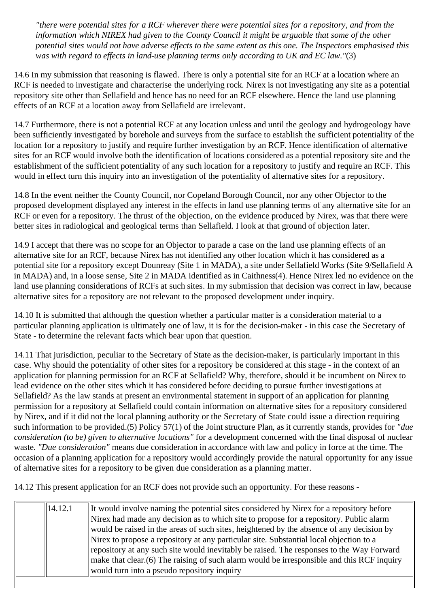*"there were potential sites for a RCF wherever there were potential sites for a repository, and from the information which NIREX had given to the County Council it might be arguable that some of the other potential sites would not have adverse effects to the same extent as this one. The Inspectors emphasised this was with regard to effects in land-use planning terms only according to UK and EC law."*(3)

14.6 In my submission that reasoning is flawed. There is only a potential site for an RCF at a location where an RCF is needed to investigate and characterise the underlying rock. Nirex is not investigating any site as a potential repository site other than Sellafield and hence has no need for an RCF elsewhere. Hence the land use planning effects of an RCF at a location away from Sellafield are irrelevant.

14.7 Furthermore, there is not a potential RCF at any location unless and until the geology and hydrogeology have been sufficiently investigated by borehole and surveys from the surface to establish the sufficient potentiality of the location for a repository to justify and require further investigation by an RCF. Hence identification of alternative sites for an RCF would involve both the identification of locations considered as a potential repository site and the establishment of the sufficient potentiality of any such location for a repository to justify and require an RCF. This would in effect turn this inquiry into an investigation of the potentiality of alternative sites for a repository.

14.8 In the event neither the County Council, nor Copeland Borough Council, nor any other Objector to the proposed development displayed any interest in the effects in land use planning terms of any alternative site for an RCF or even for a repository. The thrust of the objection, on the evidence produced by Nirex, was that there were better sites in radiological and geological terms than Sellafield. I look at that ground of objection later.

14.9 I accept that there was no scope for an Objector to parade a case on the land use planning effects of an alternative site for an RCF, because Nirex has not identified any other location which it has considered as a potential site for a repository except Dounreay (Site 1 in MADA), a site under Sellafield Works (Site 9/Sellafield A in MADA) and, in a loose sense, Site 2 in MADA identified as in Caithness(4). Hence Nirex led no evidence on the land use planning considerations of RCFs at such sites. In my submission that decision was correct in law, because alternative sites for a repository are not relevant to the proposed development under inquiry.

14.10 It is submitted that although the question whether a particular matter is a consideration material to a particular planning application is ultimately one of law, it is for the decision-maker - in this case the Secretary of State - to determine the relevant facts which bear upon that question.

14.11 That jurisdiction, peculiar to the Secretary of State as the decision-maker, is particularly important in this case. Why should the potentiality of other sites for a repository be considered at this stage - in the context of an application for planning permission for an RCF at Sellafield? Why, therefore, should it be incumbent on Nirex to lead evidence on the other sites which it has considered before deciding to pursue further investigations at Sellafield? As the law stands at present an environmental statement in support of an application for planning permission for a repository at Sellafield could contain information on alternative sites for a repository considered by Nirex, and if it did not the local planning authority or the Secretary of State could issue a direction requiring such information to be provided.(5) Policy 57(1) of the Joint structure Plan, as it currently stands, provides for *"due consideration (to be) given to alternative locations"* for a development concerned with the final disposal of nuclear waste. *"Due consideration"* means due consideration in accordance with law and policy in force at the time. The occasion of a planning application for a repository would accordingly provide the natural opportunity for any issue of alternative sites for a repository to be given due consideration as a planning matter.

14.12 This present application for an RCF does not provide such an opportunity. For these reasons -

| $\parallel$ 14.12.1 | It would involve naming the potential sites considered by Nirex for a repository before                |
|---------------------|--------------------------------------------------------------------------------------------------------|
|                     | Nirex had made any decision as to which site to propose for a repository. Public alarm                 |
|                     | would be raised in the areas of such sites, heightened by the absence of any decision by               |
|                     | Nirex to propose a repository at any particular site. Substantial local objection to a                 |
|                     | reposition at any such site would inevitably be raised. The responses to the Way Forward               |
|                     | $\parallel$ make that clear. (6) The raising of such alarm would be irresponsible and this RCF inquiry |
|                     | would turn into a pseudo repository inquiry                                                            |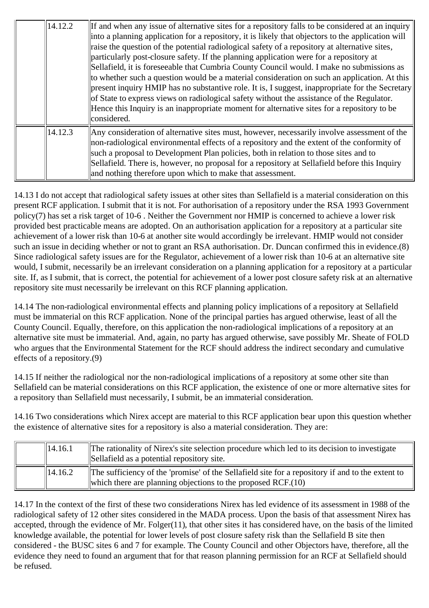| 14.12.2 | If and when any issue of alternative sites for a repository falls to be considered at an inquiry<br>into a planning application for a repository, it is likely that objectors to the application will<br>raise the question of the potential radiological safety of a repository at alternative sites,<br>particularly post-closure safety. If the planning application were for a repository at<br>Sellafield, it is foreseeable that Cumbria County Council would. I make no submissions as<br>to whether such a question would be a material consideration on such an application. At this<br>present inquiry HMIP has no substantive role. It is, I suggest, inappropriate for the Secretary<br>of State to express views on radiological safety without the assistance of the Regulator.<br>Hence this Inquiry is an inappropriate moment for alternative sites for a repository to be<br>considered. |
|---------|------------------------------------------------------------------------------------------------------------------------------------------------------------------------------------------------------------------------------------------------------------------------------------------------------------------------------------------------------------------------------------------------------------------------------------------------------------------------------------------------------------------------------------------------------------------------------------------------------------------------------------------------------------------------------------------------------------------------------------------------------------------------------------------------------------------------------------------------------------------------------------------------------------|
| 14.12.3 | Any consideration of alternative sites must, however, necessarily involve assessment of the<br>non-radiological environmental effects of a repository and the extent of the conformity of<br>such a proposal to Development Plan policies, both in relation to those sites and to<br>Sellafield. There is, however, no proposal for a repository at Sellafield before this Inquiry<br>and nothing therefore upon which to make that assessment.                                                                                                                                                                                                                                                                                                                                                                                                                                                            |

14.13 I do not accept that radiological safety issues at other sites than Sellafield is a material consideration on this present RCF application. I submit that it is not. For authorisation of a repository under the RSA 1993 Government policy(7) has set a risk target of 10-6 . Neither the Government nor HMIP is concerned to achieve a lower risk provided best practicable means are adopted. On an authorisation application for a repository at a particular site achievement of a lower risk than 10-6 at another site would accordingly be irrelevant. HMIP would not consider such an issue in deciding whether or not to grant an RSA authorisation. Dr. Duncan confirmed this in evidence.(8) Since radiological safety issues are for the Regulator, achievement of a lower risk than 10-6 at an alternative site would, I submit, necessarily be an irrelevant consideration on a planning application for a repository at a particular site. If, as I submit, that is correct, the potential for achievement of a lower post closure safety risk at an alternative repository site must necessarily be irrelevant on this RCF planning application.

14.14 The non-radiological environmental effects and planning policy implications of a repository at Sellafield must be immaterial on this RCF application. None of the principal parties has argued otherwise, least of all the County Council. Equally, therefore, on this application the non-radiological implications of a repository at an alternative site must be immaterial. And, again, no party has argued otherwise, save possibly Mr. Sheate of FOLD who argues that the Environmental Statement for the RCF should address the indirect secondary and cumulative effects of a repository.(9)

14.15 If neither the radiological nor the non-radiological implications of a repository at some other site than Sellafield can be material considerations on this RCF application, the existence of one or more alternative sites for a repository than Sellafield must necessarily, I submit, be an immaterial consideration.

14.16 Two considerations which Nirex accept are material to this RCF application bear upon this question whether the existence of alternative sites for a repository is also a material consideration. They are:

| $\ 14.16.1$         | The rationality of Nirex's site selection procedure which led to its decision to investigate<br>Sellafield as a potential repository site.                        |
|---------------------|-------------------------------------------------------------------------------------------------------------------------------------------------------------------|
| $\parallel$ 14.16.2 | The sufficiency of the 'promise' of the Sellafield site for a repository if and to the extent to<br>which there are planning objections to the proposed $RCF(10)$ |

14.17 In the context of the first of these two considerations Nirex has led evidence of its assessment in 1988 of the radiological safety of 12 other sites considered in the MADA process. Upon the basis of that assessment Nirex has accepted, through the evidence of Mr. Folger $(11)$ , that other sites it has considered have, on the basis of the limited knowledge available, the potential for lower levels of post closure safety risk than the Sellafield B site then considered - the BUSC sites 6 and 7 for example. The County Council and other Objectors have, therefore, all the evidence they need to found an argument that for that reason planning permission for an RCF at Sellafield should be refused.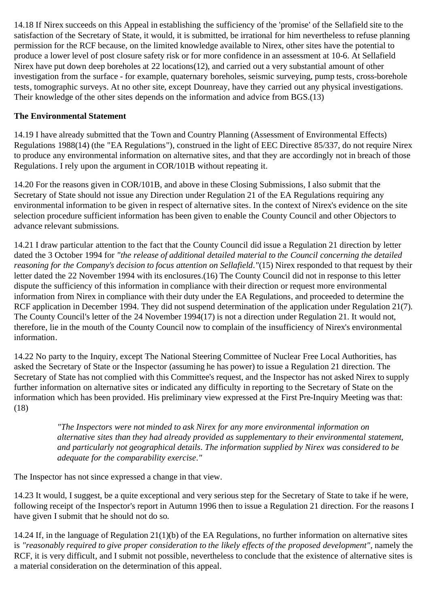14.18 If Nirex succeeds on this Appeal in establishing the sufficiency of the 'promise' of the Sellafield site to the satisfaction of the Secretary of State, it would, it is submitted, be irrational for him nevertheless to refuse planning permission for the RCF because, on the limited knowledge available to Nirex, other sites have the potential to produce a lower level of post closure safety risk or for more confidence in an assessment at 10-6. At Sellafield Nirex have put down deep boreholes at 22 locations(12), and carried out a very substantial amount of other investigation from the surface - for example, quaternary boreholes, seismic surveying, pump tests, cross-borehole tests, tomographic surveys. At no other site, except Dounreay, have they carried out any physical investigations. Their knowledge of the other sites depends on the information and advice from BGS.(13)

#### **The Environmental Statement**

14.19 I have already submitted that the Town and Country Planning (Assessment of Environmental Effects) Regulations 1988(14) (the "EA Regulations"), construed in the light of EEC Directive 85/337, do not require Nirex to produce any environmental information on alternative sites, and that they are accordingly not in breach of those Regulations. I rely upon the argument in COR/101B without repeating it.

14.20 For the reasons given in COR/101B, and above in these Closing Submissions, I also submit that the Secretary of State should not issue any Direction under Regulation 21 of the EA Regulations requiring any environmental information to be given in respect of alternative sites. In the context of Nirex's evidence on the site selection procedure sufficient information has been given to enable the County Council and other Objectors to advance relevant submissions.

14.21 I draw particular attention to the fact that the County Council did issue a Regulation 21 direction by letter dated the 3 October 1994 for *"the release of additional detailed material to the Council concerning the detailed reasoning for the Company's decision to focus attention on Sellafield."*(15) Nirex responded to that request by their letter dated the 22 November 1994 with its enclosures.(16) The County Council did not in response to this letter dispute the sufficiency of this information in compliance with their direction or request more environmental information from Nirex in compliance with their duty under the EA Regulations, and proceeded to determine the RCF application in December 1994. They did not suspend determination of the application under Regulation 21(7). The County Council's letter of the 24 November 1994(17) is not a direction under Regulation 21. It would not, therefore, lie in the mouth of the County Council now to complain of the insufficiency of Nirex's environmental information.

14.22 No party to the Inquiry, except The National Steering Committee of Nuclear Free Local Authorities, has asked the Secretary of State or the Inspector (assuming he has power) to issue a Regulation 21 direction. The Secretary of State has not complied with this Committee's request, and the Inspector has not asked Nirex to supply further information on alternative sites or indicated any difficulty in reporting to the Secretary of State on the information which has been provided. His preliminary view expressed at the First Pre-Inquiry Meeting was that: (18)

> *"The Inspectors were not minded to ask Nirex for any more environmental information on alternative sites than they had already provided as supplementary to their environmental statement, and particularly not geographical details. The information supplied by Nirex was considered to be adequate for the comparability exercise."*

The Inspector has not since expressed a change in that view.

14.23 It would, I suggest, be a quite exceptional and very serious step for the Secretary of State to take if he were, following receipt of the Inspector's report in Autumn 1996 then to issue a Regulation 21 direction. For the reasons I have given I submit that he should not do so.

14.24 If, in the language of Regulation 21(1)(b) of the EA Regulations, no further information on alternative sites is *"reasonably required to give proper consideration to the likely effects of the proposed development"*, namely the RCF, it is very difficult, and I submit not possible, nevertheless to conclude that the existence of alternative sites is a material consideration on the determination of this appeal.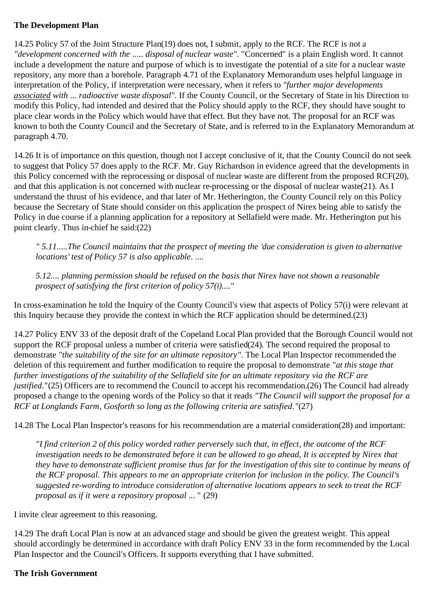#### **The Development Plan**

14.25 Policy 57 of the Joint Structure Plan(19) does not, I submit, apply to the RCF. The RCF is not a *"development concerned with the ..... disposal of nuclear waste"*. "Concerned" is a plain English word. It cannot include a development the nature and purpose of which is to investigate the potential of a site for a nuclear waste repository, any more than a borehole. Paragraph 4.71 of the Explanatory Memorandum uses helpful language in interpretation of the Policy, if interpretation were necessary, when it refers to *"further major developments associated with ... radioactive waste disposal"*. If the County Council, or the Secretary of State in his Direction to modify this Policy, had intended and desired that the Policy should apply to the RCF, they should have sought to place clear words in the Policy which would have that effect. But they have not. The proposal for an RCF was known to both the County Council and the Secretary of State, and is referred to in the Explanatory Memorandum at paragraph 4.70.

14.26 It is of importance on this question, though not I accept conclusive of it, that the County Council do not seek to suggest that Policy 57 does apply to the RCF. Mr. Guy Richardson in evidence agreed that the developments in this Policy concerned with the reprocessing or disposal of nuclear waste are different from the proposed RCF(20), and that this application is not concerned with nuclear re-processing or the disposal of nuclear waste(21). As I understand the thrust of his evidence, and that later of Mr. Hetherington, the County Council rely on this Policy because the Secretary of State should consider on this application the prospect of Nirex being able to satisfy the Policy in due course if a planning application for a repository at Sellafield were made. Mr. Hetherington put his point clearly. Thus in-chief he said:(22)

*" 5.11.....The Council maintains that the prospect of meeting the 'due consideration is given to alternative locations' test of Policy 57 is also applicable. ....*

*5.12.... planning permission should be refused on the basis that Nirex have not shown a reasonable prospect of satisfying the first criterion of policy 57(i)...."*

In cross-examination he told the Inquiry of the County Council's view that aspects of Policy 57(i) were relevant at this Inquiry because they provide the context in which the RCF application should be determined.(23)

14.27 Policy ENV 33 of the deposit draft of the Copeland Local Plan provided that the Borough Council would not support the RCF proposal unless a number of criteria were satisfied(24). The second required the proposal to demonstrate *"the suitability of the site for an ultimate repository"*. The Local Plan Inspector recommended the deletion of this requirement and further modification to require the proposal to demonstrate *"at this stage that further investigations of the suitability of the Sellafield site for an ultimate repository via the RCF are justified.*"(25) Officers are to recommend the Council to accept his recommendation.(26) The Council had already proposed a change to the opening words of the Policy so that it reads *"The Council will support the proposal for a RCF at Longlands Farm, Gosforth so long as the following criteria are satisfied."*(27)

14.28 The Local Plan Inspector's reasons for his recommendation are a material consideration(28) and important:

*"I find criterion 2 of this policy worded rather perversely such that, in effect, the outcome of the RCF investigation needs to be demonstrated before it can be allowed to go ahead, It is accepted by Nirex that they have to demonstrate sufficient promise thus far for the investigation of this site to continue by means of the RCF proposal. This appears to me an appropriate criterion for inclusion in the policy. The Council's suggested re-wording to introduce consideration of alternative locations appears to seek to treat the RCF proposal as if it were a repository proposal ...* " (29)

I invite clear agreement to this reasoning.

14.29 The draft Local Plan is now at an advanced stage and should be given the greatest weight. This appeal should accordingly be determined in accordance with draft Policy ENV 33 in the form recommended by the Local Plan Inspector and the Council's Officers. It supports everything that I have submitted.

#### **The Irish Government**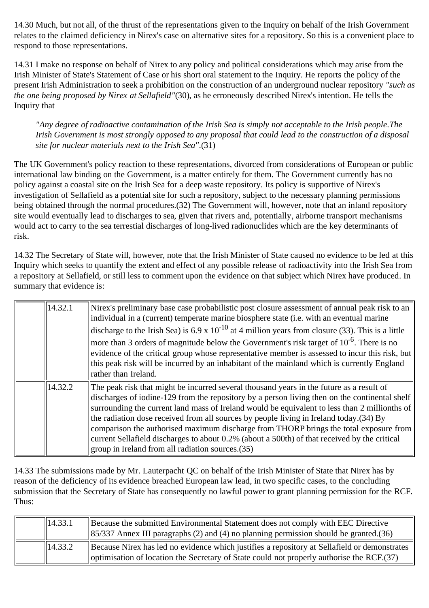14.30 Much, but not all, of the thrust of the representations given to the Inquiry on behalf of the Irish Government relates to the claimed deficiency in Nirex's case on alternative sites for a repository. So this is a convenient place to respond to those representations.

14.31 I make no response on behalf of Nirex to any policy and political considerations which may arise from the Irish Minister of State's Statement of Case or his short oral statement to the Inquiry. He reports the policy of the present Irish Administration to seek a prohibition on the construction of an underground nuclear repository *"such as the one being proposed by Nirex at Sellafield"*(30), as he erroneously described Nirex's intention. He tells the Inquiry that

*"Any degree of radioactive contamination of the Irish Sea is simply not acceptable to the Irish people.The Irish Government is most strongly opposed to any proposal that could lead to the construction of a disposal site for nuclear materials next to the Irish Sea"*.(31)

The UK Government's policy reaction to these representations, divorced from considerations of European or public international law binding on the Government, is a matter entirely for them. The Government currently has no policy against a coastal site on the Irish Sea for a deep waste repository. Its policy is supportive of Nirex's investigation of Sellafield as a potential site for such a repository, subject to the necessary planning permissions being obtained through the normal procedures.(32) The Government will, however, note that an inland repository site would eventually lead to discharges to sea, given that rivers and, potentially, airborne transport mechanisms would act to carry to the sea terrestial discharges of long-lived radionuclides which are the key determinants of risk.

14.32 The Secretary of State will, however, note that the Irish Minister of State caused no evidence to be led at this Inquiry which seeks to quantify the extent and effect of any possible release of radioactivity into the Irish Sea from a repository at Sellafield, or still less to comment upon the evidence on that subject which Nirex have produced. In summary that evidence is:

| 14.32.1 | Nirex's preliminary base case probabilistic post closure assessment of annual peak risk to an<br>individual in a (current) temperate marine biosphere state (i.e. with an eventual marine                                                                                                                                                                                                                                                                                                                                                                                                                                                        |
|---------|--------------------------------------------------------------------------------------------------------------------------------------------------------------------------------------------------------------------------------------------------------------------------------------------------------------------------------------------------------------------------------------------------------------------------------------------------------------------------------------------------------------------------------------------------------------------------------------------------------------------------------------------------|
|         | discharge to the Irish Sea) is 6.9 x 10 <sup>-10</sup> at 4 million years from closure (33). This is a little                                                                                                                                                                                                                                                                                                                                                                                                                                                                                                                                    |
|         | more than 3 orders of magnitude below the Government's risk target of $10^{-6}$ . There is no<br>evidence of the critical group whose representative member is assessed to incur this risk, but<br>this peak risk will be incurred by an inhabitant of the mainland which is currently England<br>rather than Ireland.                                                                                                                                                                                                                                                                                                                           |
| 14.32.2 | The peak risk that might be incurred several thousand years in the future as a result of<br>discharges of iodine-129 from the repository by a person living then on the continental shelf<br>surrounding the current land mass of Ireland would be equivalent to less than 2 millionths of<br>the radiation dose received from all sources by people living in Ireland today. (34) By<br>comparison the authorised maximum discharge from THORP brings the total exposure from<br>current Sellafield discharges to about 0.2% (about a 500th) of that received by the critical<br>$\left\vert$ group in Ireland from all radiation sources. (35) |

14.33 The submissions made by Mr. Lauterpacht QC on behalf of the Irish Minister of State that Nirex has by reason of the deficiency of its evidence breached European law lead, in two specific cases, to the concluding submission that the Secretary of State has consequently no lawful power to grant planning permission for the RCF. Thus:

| $\ 14.33.1\ $       | Because the submitted Environmental Statement does not comply with EEC Directive<br>$\parallel$ 85/337 Annex III paragraphs (2) and (4) no planning permission should be granted.(36)               |
|---------------------|-----------------------------------------------------------------------------------------------------------------------------------------------------------------------------------------------------|
| $\parallel$ 14.33.2 | Because Nirex has led no evidence which justifies a repository at Sellafield or demonstrates<br>$\alpha$ optimisation of location the Secretary of State could not properly authorise the RCF. (37) |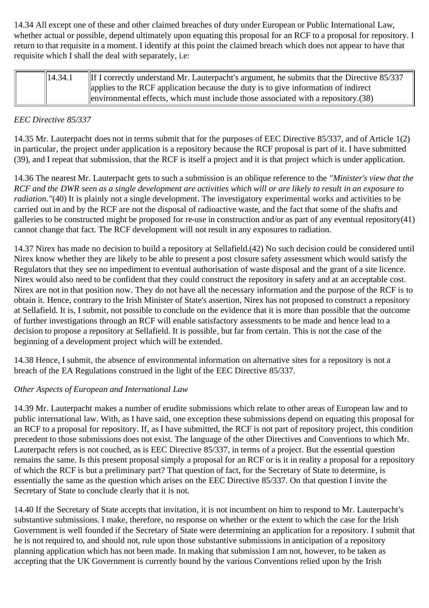14.34 All except one of these and other claimed breaches of duty under European or Public International Law, whether actual or possible, depend ultimately upon equating this proposal for an RCF to a proposal for repository. I return to that requisite in a moment. I identify at this point the claimed breach which does not appear to have that requisite which I shall the deal with separately, i.e:

| $\ 14.34.1\ $ | If I correctly understand Mr. Lauterpacht's argument, he submits that the Directive 85/337 |
|---------------|--------------------------------------------------------------------------------------------|
|               | applies to the RCF application because the duty is to give information of indirect         |
|               | $\ $ environmental effects, which must include those associated with a repository. (38)    |

#### *EEC Directive 85/337*

14.35 Mr. Lauterpacht does not in terms submit that for the purposes of EEC Directive 85/337, and of Article 1(2) in particular, the project under application is a repository because the RCF proposal is part of it. I have submitted (39), and I repeat that submission, that the RCF is itself a project and it is that project which is under application.

14.36 The nearest Mr. Lauterpacht gets to such a submission is an oblique reference to the *"Minister's view that the RCF and the DWR seen as a single development are activities which will or are likely to result in an exposure to radiation."*(40) It is plainly not a single development. The investigatory experimental works and activities to be carried out in and by the RCF are not the disposal of radioactive waste, and the fact that some of the shafts and galleries to be constructed might be proposed for re-use in construction and/or as part of any eventual repository(41) cannot change that fact. The RCF development will not result in any exposures to radiation.

14.37 Nirex has made no decision to build a repository at Sellafield.(42) No such decision could be considered until Nirex know whether they are likely to be able to present a post closure safety assessment which would satisfy the Regulators that they see no impediment to eventual authorisation of waste disposal and the grant of a site licence. Nirex would also need to be confident that they could construct the repository in safety and at an acceptable cost. Nirex are not in that position now. They do not have all the necessary information and the purpose of the RCF is to obtain it. Hence, contrary to the Irish Minister of State's assertion, Nirex has not proposed to construct a repository at Sellafield. It is, I submit, not possible to conclude on the evidence that it is more than possible that the outcome of further investigations through an RCF will enable satisfactory assessments to be made and hence lead to a decision to propose a repository at Sellafield. It is possible, but far from certain. This is not the case of the beginning of a development project which will be extended.

14.38 Hence, I submit, the absence of environmental information on alternative sites for a repository is not a breach of the EA Regulations construed in the light of the EEC Directive 85/337.

#### *Other Aspects of European and International Law*

14.39 Mr. Lauterpacht makes a number of erudite submissions which relate to other areas of European law and to public international law. With, as I have said, one exception these submissions depend on equating this proposal for an RCF to a proposal for repository. If, as I have submitted, the RCF is not part of repository project, this condition precedent to those submissions does not exist. The language of the other Directives and Conventions to which Mr. Lauterpacht refers is not couched, as is EEC Directive 85/337, in terms of a project. But the essential question remains the same. Is this present proposal simply a proposal for an RCF or is it in reality a proposal for a repository of which the RCF is but a preliminary part? That question of fact, for the Secretary of State to determine, is essentially the same as the question which arises on the EEC Directive 85/337. On that question I invite the Secretary of State to conclude clearly that it is not.

14.40 If the Secretary of State accepts that invitation, it is not incumbent on him to respond to Mr. Lauterpacht's substantive submissions. I make, therefore, no response on whether or the extent to which the case for the Irish Government is well founded if the Secretary of State were determining an application for a repository. I submit that he is not required to, and should not, rule upon those substantive submissions in anticipation of a repository planning application which has not been made. In making that submission I am not, however, to be taken as accepting that the UK Government is currently bound by the various Conventions relied upon by the Irish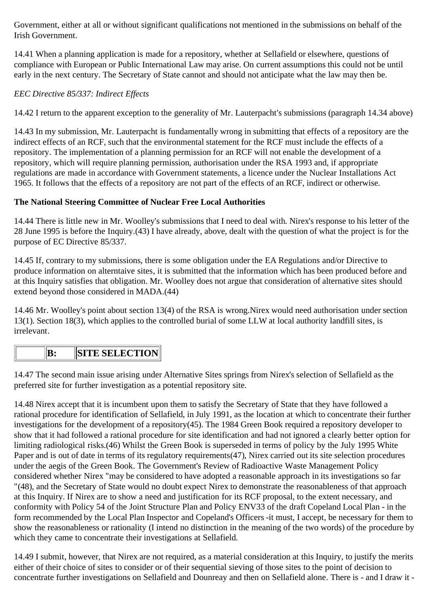Government, either at all or without significant qualifications not mentioned in the submissions on behalf of the Irish Government.

14.41 When a planning application is made for a repository, whether at Sellafield or elsewhere, questions of compliance with European or Public International Law may arise. On current assumptions this could not be until early in the next century. The Secretary of State cannot and should not anticipate what the law may then be.

### *EEC Directive 85/337: Indirect Effects*

14.42 I return to the apparent exception to the generality of Mr. Lauterpacht's submissions (paragraph 14.34 above)

14.43 In my submission, Mr. Lauterpacht is fundamentally wrong in submitting that effects of a repository are the indirect effects of an RCF, such that the environmental statement for the RCF must include the effects of a repository. The implementation of a planning permission for an RCF will not enable the development of a repository, which will require planning permission, authorisation under the RSA 1993 and, if appropriate regulations are made in accordance with Government statements, a licence under the Nuclear Installations Act 1965. It follows that the effects of a repository are not part of the effects of an RCF, indirect or otherwise.

#### **The National Steering Committee of Nuclear Free Local Authorities**

14.44 There is little new in Mr. Woolley's submissions that I need to deal with. Nirex's response to his letter of the 28 June 1995 is before the Inquiry.(43) I have already, above, dealt with the question of what the project is for the purpose of EC Directive 85/337.

14.45 If, contrary to my submissions, there is some obligation under the EA Regulations and/or Directive to produce information on alterntaive sites, it is submitted that the information which has been produced before and at this Inquiry satisfies that obligation. Mr. Woolley does not argue that consideration of alternative sites should extend beyond those considered in MADA.(44)

14.46 Mr. Woolley's point about section 13(4) of the RSA is wrong.Nirex would need authorisation under section 13(1). Section 18(3), which applies to the controlled burial of some LLW at local authority landfill sites, is irrelevant.

# **B:** SITE SELECTION

14.47 The second main issue arising under Alternative Sites springs from Nirex's selection of Sellafield as the preferred site for further investigation as a potential repository site.

14.48 Nirex accept that it is incumbent upon them to satisfy the Secretary of State that they have followed a rational procedure for identification of Sellafield, in July 1991, as the location at which to concentrate their further investigations for the development of a repository(45). The 1984 Green Book required a repository developer to show that it had followed a rational procedure for site identification and had not ignored a clearly better option for limiting radiological risks.(46) Whilst the Green Book is superseded in terms of policy by the July 1995 White Paper and is out of date in terms of its regulatory requirements(47), Nirex carried out its site selection procedures under the aegis of the Green Book. The Government's Review of Radioactive Waste Management Policy considered whether Nirex "may be considered to have adopted a reasonable approach in its investigations so far "(48), and the Secretary of State would no doubt expect Nirex to demonstrate the reasonableness of that approach at this Inquiry. If Nirex are to show a need and justification for its RCF proposal, to the extent necessary, and conformity with Policy 54 of the Joint Structure Plan and Policy ENV33 of the draft Copeland Local Plan - in the form recommended by the Local Plan Inspector and Copeland's Officers -it must, I accept, be necessary for them to show the reasonableness or rationality (I intend no distinction in the meaning of the two words) of the procedure by which they came to concentrate their investigations at Sellafield.

14.49 I submit, however, that Nirex are not required, as a material consideration at this Inquiry, to justify the merits either of their choice of sites to consider or of their sequential sieving of those sites to the point of decision to concentrate further investigations on Sellafield and Dounreay and then on Sellafield alone. There is - and I draw it -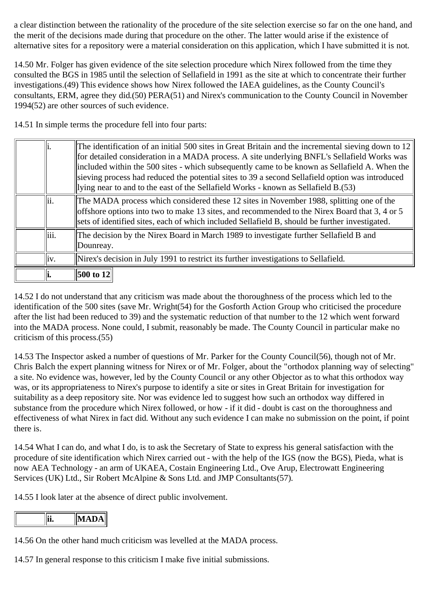a clear distinction between the rationality of the procedure of the site selection exercise so far on the one hand, and the merit of the decisions made during that procedure on the other. The latter would arise if the existence of alternative sites for a repository were a material consideration on this application, which I have submitted it is not.

14.50 Mr. Folger has given evidence of the site selection procedure which Nirex followed from the time they consulted the BGS in 1985 until the selection of Sellafield in 1991 as the site at which to concentrate their further investigations.(49) This evidence shows how Nirex followed the IAEA guidelines, as the County Council's consultants, ERM, agree they did.(50) PERA(51) and Nirex's communication to the County Council in November 1994(52) are other sources of such evidence.

14.51 In simple terms the procedure fell into four parts:

|      | The identification of an initial 500 sites in Great Britain and the incremental sieving down to 12<br>for detailed consideration in a MADA process. A site underlying BNFL's Sellafield Works was<br>included within the 500 sites - which subsequently came to be known as Sellafield A. When the<br>sieving process had reduced the potential sites to 39 a second Sellafield option was introduced<br>lying near to and to the east of the Sellafield Works - known as Sellafield B.(53) |
|------|---------------------------------------------------------------------------------------------------------------------------------------------------------------------------------------------------------------------------------------------------------------------------------------------------------------------------------------------------------------------------------------------------------------------------------------------------------------------------------------------|
| lii. | The MADA process which considered these 12 sites in November 1988, splitting one of the<br>offshore options into two to make 13 sites, and recommended to the Nirex Board that 3, 4 or 5<br>sets of identified sites, each of which included Sellafield B, should be further investigated.                                                                                                                                                                                                  |
| iii. | The decision by the Nirex Board in March 1989 to investigate further Sellafield B and<br>Dounreay.                                                                                                                                                                                                                                                                                                                                                                                          |
| iv.  | Nirex's decision in July 1991 to restrict its further investigations to Sellafield.                                                                                                                                                                                                                                                                                                                                                                                                         |
|      | <b>500 to 12</b>                                                                                                                                                                                                                                                                                                                                                                                                                                                                            |

14.52 I do not understand that any criticism was made about the thoroughness of the process which led to the identification of the 500 sites (save Mr. Wright(54) for the Gosforth Action Group who criticised the procedure after the list had been reduced to 39) and the systematic reduction of that number to the 12 which went forward into the MADA process. None could, I submit, reasonably be made. The County Council in particular make no criticism of this process.(55)

14.53 The Inspector asked a number of questions of Mr. Parker for the County Council(56), though not of Mr. Chris Balch the expert planning witness for Nirex or of Mr. Folger, about the "orthodox planning way of selecting" a site. No evidence was, however, led by the County Council or any other Objector as to what this orthodox way was, or its appropriateness to Nirex's purpose to identify a site or sites in Great Britain for investigation for suitability as a deep repository site. Nor was evidence led to suggest how such an orthodox way differed in substance from the procedure which Nirex followed, or how - if it did - doubt is cast on the thoroughness and effectiveness of what Nirex in fact did. Without any such evidence I can make no submission on the point, if point there is.

14.54 What I can do, and what I do, is to ask the Secretary of State to express his general satisfaction with the procedure of site identification which Nirex carried out - with the help of the IGS (now the BGS), Pieda, what is now AEA Technology - an arm of UKAEA, Costain Engineering Ltd., Ove Arup, Electrowatt Engineering Services (UK) Ltd., Sir Robert McAlpine & Sons Ltd. and JMP Consultants(57).

14.55 I look later at the absence of direct public involvement.

14.56 On the other hand much criticism was levelled at the MADA process.

14.57 In general response to this criticism I make five initial submissions.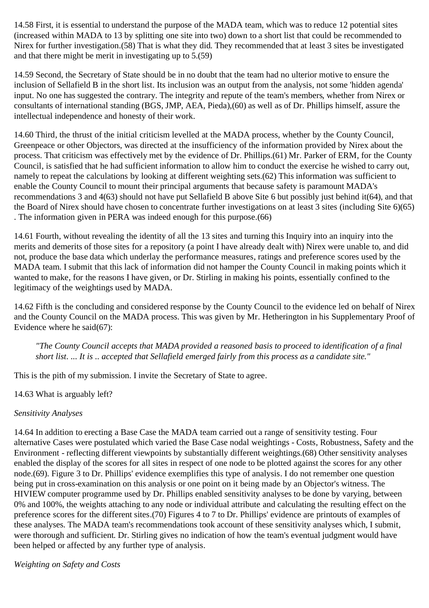14.58 First, it is essential to understand the purpose of the MADA team, which was to reduce 12 potential sites (increased within MADA to 13 by splitting one site into two) down to a short list that could be recommended to Nirex for further investigation.(58) That is what they did. They recommended that at least 3 sites be investigated and that there might be merit in investigating up to 5.(59)

14.59 Second, the Secretary of State should be in no doubt that the team had no ulterior motive to ensure the inclusion of Sellafield B in the short list. Its inclusion was an output from the analysis, not some 'hidden agenda' input. No one has suggested the contrary. The integrity and repute of the team's members, whether from Nirex or consultants of international standing (BGS, JMP, AEA, Pieda),(60) as well as of Dr. Phillips himself, assure the intellectual independence and honesty of their work.

14.60 Third, the thrust of the initial criticism levelled at the MADA process, whether by the County Council, Greenpeace or other Objectors, was directed at the insufficiency of the information provided by Nirex about the process. That criticism was effectively met by the evidence of Dr. Phillips.(61) Mr. Parker of ERM, for the County Council, is satisfied that he had sufficient information to allow him to conduct the exercise he wished to carry out, namely to repeat the calculations by looking at different weighting sets.(62) This information was sufficient to enable the County Council to mount their principal arguments that because safety is paramount MADA's recommendations 3 and 4(63) should not have put Sellafield B above Site 6 but possibly just behind it(64), and that the Board of Nirex should have chosen to concentrate further investigations on at least 3 sites (including Site 6)(65) . The information given in PERA was indeed enough for this purpose.(66)

14.61 Fourth, without revealing the identity of all the 13 sites and turning this Inquiry into an inquiry into the merits and demerits of those sites for a repository (a point I have already dealt with) Nirex were unable to, and did not, produce the base data which underlay the performance measures, ratings and preference scores used by the MADA team. I submit that this lack of information did not hamper the County Council in making points which it wanted to make, for the reasons I have given, or Dr. Stirling in making his points, essentially confined to the legitimacy of the weightings used by MADA.

14.62 Fifth is the concluding and considered response by the County Council to the evidence led on behalf of Nirex and the County Council on the MADA process. This was given by Mr. Hetherington in his Supplementary Proof of Evidence where he said(67):

*"The County Council accepts that MADA provided a reasoned basis to proceed to identification of a final short list. ... It is .. accepted that Sellafield emerged fairly from this process as a candidate site."*

This is the pith of my submission. I invite the Secretary of State to agree.

#### 14.63 What is arguably left?

#### *Sensitivity Analyses*

14.64 In addition to erecting a Base Case the MADA team carried out a range of sensitivity testing. Four alternative Cases were postulated which varied the Base Case nodal weightings - Costs, Robustness, Safety and the Environment - reflecting different viewpoints by substantially different weightings.(68) Other sensitivity analyses enabled the display of the scores for all sites in respect of one node to be plotted against the scores for any other node.(69). Figure 3 to Dr. Phillips' evidence exemplifies this type of analysis. I do not remember one question being put in cross-examination on this analysis or one point on it being made by an Objector's witness. The HIVIEW computer programme used by Dr. Phillips enabled sensitivity analyses to be done by varying, between 0% and 100%, the weights attaching to any node or individual attribute and calculating the resulting effect on the preference scores for the different sites.(70) Figures 4 to 7 to Dr. Phillips' evidence are printouts of examples of these analyses. The MADA team's recommendations took account of these sensitivity analyses which, I submit, were thorough and sufficient. Dr. Stirling gives no indication of how the team's eventual judgment would have been helped or affected by any further type of analysis.

*Weighting on Safety and Costs*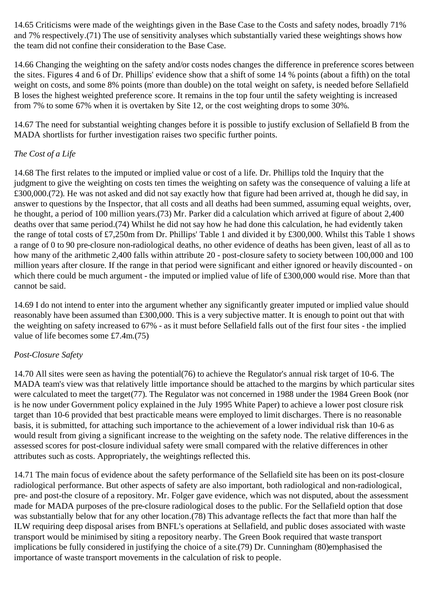14.65 Criticisms were made of the weightings given in the Base Case to the Costs and safety nodes, broadly 71% and 7% respectively.(71) The use of sensitivity analyses which substantially varied these weightings shows how the team did not confine their consideration to the Base Case.

14.66 Changing the weighting on the safety and/or costs nodes changes the difference in preference scores between the sites. Figures 4 and 6 of Dr. Phillips' evidence show that a shift of some 14 % points (about a fifth) on the total weight on costs, and some 8% points (more than double) on the total weight on safety, is needed before Sellafield B loses the highest weighted preference score. It remains in the top four until the safety weighting is increased from 7% to some 67% when it is overtaken by Site 12, or the cost weighting drops to some 30%.

14.67 The need for substantial weighting changes before it is possible to justify exclusion of Sellafield B from the MADA shortlists for further investigation raises two specific further points.

#### *The Cost of a Life*

14.68 The first relates to the imputed or implied value or cost of a life. Dr. Phillips told the Inquiry that the judgment to give the weighting on costs ten times the weighting on safety was the consequence of valuing a life at £300,000.(72). He was not asked and did not say exactly how that figure had been arrived at, though he did say, in answer to questions by the Inspector, that all costs and all deaths had been summed, assuming equal weights, over, he thought, a period of 100 million years.(73) Mr. Parker did a calculation which arrived at figure of about 2,400 deaths over that same period.(74) Whilst he did not say how he had done this calculation, he had evidently taken the range of total costs of £7,250m from Dr. Phillips' Table 1 and divided it by £300,000. Whilst this Table 1 shows a range of 0 to 90 pre-closure non-radiological deaths, no other evidence of deaths has been given, least of all as to how many of the arithmetic 2,400 falls within attribute 20 - post-closure safety to society between 100,000 and 100 million years after closure. If the range in that period were significant and either ignored or heavily discounted - on which there could be much argument - the imputed or implied value of life of £300,000 would rise. More than that cannot be said.

14.69 I do not intend to enter into the argument whether any significantly greater imputed or implied value should reasonably have been assumed than £300,000. This is a very subjective matter. It is enough to point out that with the weighting on safety increased to 67% - as it must before Sellafield falls out of the first four sites - the implied value of life becomes some £7.4m.(75)

#### *Post-Closure Safety*

14.70 All sites were seen as having the potential(76) to achieve the Regulator's annual risk target of 10-6. The MADA team's view was that relatively little importance should be attached to the margins by which particular sites were calculated to meet the target(77). The Regulator was not concerned in 1988 under the 1984 Green Book (nor is he now under Government policy explained in the July 1995 White Paper) to achieve a lower post closure risk target than 10-6 provided that best practicable means were employed to limit discharges. There is no reasonable basis, it is submitted, for attaching such importance to the achievement of a lower individual risk than 10-6 as would result from giving a significant increase to the weighting on the safety node. The relative differences in the assessed scores for post-closure individual safety were small compared with the relative differences in other attributes such as costs. Appropriately, the weightings reflected this.

14.71 The main focus of evidence about the safety performance of the Sellafield site has been on its post-closure radiological performance. But other aspects of safety are also important, both radiological and non-radiological, pre- and post-the closure of a repository. Mr. Folger gave evidence, which was not disputed, about the assessment made for MADA purposes of the pre-closure radiological doses to the public. For the Sellafield option that dose was substantially below that for any other location.(78) This advantage reflects the fact that more than half the ILW requiring deep disposal arises from BNFL's operations at Sellafield, and public doses associated with waste transport would be minimised by siting a repository nearby. The Green Book required that waste transport implications be fully considered in justifying the choice of a site.(79) Dr. Cunningham (80)emphasised the importance of waste transport movements in the calculation of risk to people.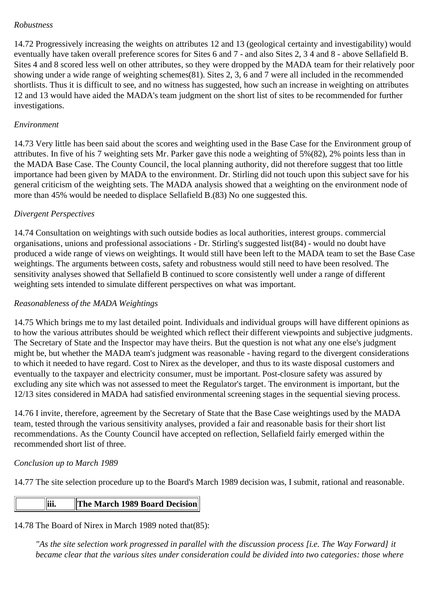#### *Robustness*

14.72 Progressively increasing the weights on attributes 12 and 13 (geological certainty and investigability) would eventually have taken overall preference scores for Sites 6 and 7 - and also Sites 2, 3 4 and 8 - above Sellafield B. Sites 4 and 8 scored less well on other attributes, so they were dropped by the MADA team for their relatively poor showing under a wide range of weighting schemes(81). Sites 2, 3, 6 and 7 were all included in the recommended shortlists. Thus it is difficult to see, and no witness has suggested, how such an increase in weighting on attributes 12 and 13 would have aided the MADA's team judgment on the short list of sites to be recommended for further investigations.

#### *Environment*

14.73 Very little has been said about the scores and weighting used in the Base Case for the Environment group of attributes. In five of his 7 weighting sets Mr. Parker gave this node a weighting of 5%(82), 2% points less than in the MADA Base Case. The County Council, the local planning authority, did not therefore suggest that too little importance had been given by MADA to the environment. Dr. Stirling did not touch upon this subject save for his general criticism of the weighting sets. The MADA analysis showed that a weighting on the environment node of more than 45% would be needed to displace Sellafield B.(83) No one suggested this.

#### *Divergent Perspectives*

14.74 Consultation on weightings with such outside bodies as local authorities, interest groups. commercial organisations, unions and professional associations - Dr. Stirling's suggested list(84) - would no doubt have produced a wide range of views on weightings. It would still have been left to the MADA team to set the Base Case weightings. The arguments between costs, safety and robustness would still need to have been resolved. The sensitivity analyses showed that Sellafield B continued to score consistently well under a range of different weighting sets intended to simulate different perspectives on what was important.

#### *Reasonableness of the MADA Weightings*

14.75 Which brings me to my last detailed point. Individuals and individual groups will have different opinions as to how the various attributes should be weighted which reflect their different viewpoints and subjective judgments. The Secretary of State and the Inspector may have theirs. But the question is not what any one else's judgment might be, but whether the MADA team's judgment was reasonable - having regard to the divergent considerations to which it needed to have regard. Cost to Nirex as the developer, and thus to its waste disposal customers and eventually to the taxpayer and electricity consumer, must be important. Post-closure safety was assured by excluding any site which was not assessed to meet the Regulator's target. The environment is important, but the 12/13 sites considered in MADA had satisfied environmental screening stages in the sequential sieving process.

14.76 I invite, therefore, agreement by the Secretary of State that the Base Case weightings used by the MADA team, tested through the various sensitivity analyses, provided a fair and reasonable basis for their short list recommendations. As the County Council have accepted on reflection, Sellafield fairly emerged within the recommended short list of three.

#### *Conclusion up to March 1989*

14.77 The site selection procedure up to the Board's March 1989 decision was, I submit, rational and reasonable.

### **iii. The March 1989 Board Decision**

14.78 The Board of Nirex in March 1989 noted that(85):

*"As the site selection work progressed in parallel with the discussion process [i.e. The Way Forward] it became clear that the various sites under consideration could be divided into two categories: those where*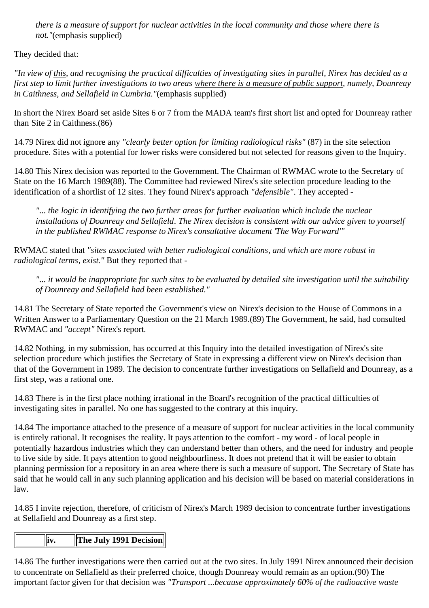*there is a measure of support for nuclear activities in the local community and those where there is not."*(emphasis supplied)

They decided that:

*"In view of this, and recognising the practical difficulties of investigating sites in parallel, Nirex has decided as a first step to limit further investigations to two areas where there is a measure of public support, namely, Dounreay in Caithness, and Sellafield in Cumbria."*(emphasis supplied)

In short the Nirex Board set aside Sites 6 or 7 from the MADA team's first short list and opted for Dounreay rather than Site 2 in Caithness.(86)

14.79 Nirex did not ignore any *"clearly better option for limiting radiological risks"* (87) in the site selection procedure. Sites with a potential for lower risks were considered but not selected for reasons given to the Inquiry.

14.80 This Nirex decision was reported to the Government. The Chairman of RWMAC wrote to the Secretary of State on the 16 March 1989(88). The Committee had reviewed Nirex's site selection procedure leading to the identification of a shortlist of 12 sites. They found Nirex's approach *"defensible"*. They accepted -

*"... the logic in identifying the two further areas for further evaluation which include the nuclear installations of Dounreay and Sellafield. The Nirex decision is consistent with our advice given to yourself in the published RWMAC response to Nirex's consultative document 'The Way Forward'"*

RWMAC stated that *"sites associated with better radiological conditions, and which are more robust in radiological terms, exist."* But they reported that -

*"... it would be inappropriate for such sites to be evaluated by detailed site investigation until the suitability of Dounreay and Sellafield had been established."*

14.81 The Secretary of State reported the Government's view on Nirex's decision to the House of Commons in a Written Answer to a Parliamentary Question on the 21 March 1989.(89) The Government, he said, had consulted RWMAC and *"accept"* Nirex's report.

14.82 Nothing, in my submission, has occurred at this Inquiry into the detailed investigation of Nirex's site selection procedure which justifies the Secretary of State in expressing a different view on Nirex's decision than that of the Government in 1989. The decision to concentrate further investigations on Sellafield and Dounreay, as a first step, was a rational one.

14.83 There is in the first place nothing irrational in the Board's recognition of the practical difficulties of investigating sites in parallel. No one has suggested to the contrary at this inquiry.

14.84 The importance attached to the presence of a measure of support for nuclear activities in the local community is entirely rational. It recognises the reality. It pays attention to the comfort - my word - of local people in potentially hazardous industries which they can understand better than others, and the need for industry and people to live side by side. It pays attention to good neighbourliness. It does not pretend that it will be easier to obtain planning permission for a repository in an area where there is such a measure of support. The Secretary of State has said that he would call in any such planning application and his decision will be based on material considerations in law.

14.85 I invite rejection, therefore, of criticism of Nirex's March 1989 decision to concentrate further investigations at Sellafield and Dounreay as a first step.

# **iv. The July 1991 Decision**

14.86 The further investigations were then carried out at the two sites. In July 1991 Nirex announced their decision to concentrate on Sellafield as their preferred choice, though Dounreay would remain as an option.(90) The important factor given for that decision was *"Transport ...because approximately 60% of the radioactive waste*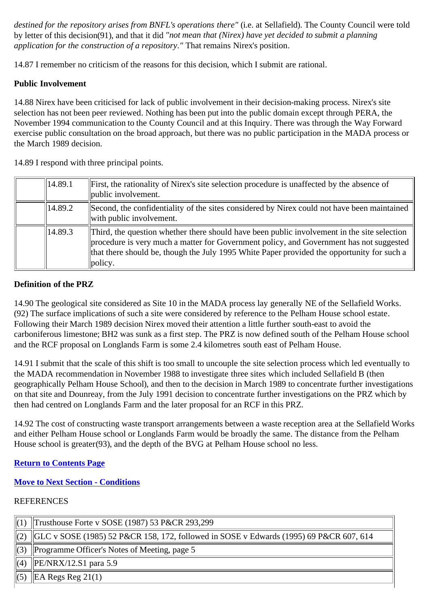*destined for the repository arises from BNFL's operations there"* (i.e. at Sellafield). The County Council were told by letter of this decision(91), and that it did *"not mean that (Nirex) have yet decided to submit a planning application for the construction of a repository."* That remains Nirex's position.

14.87 I remember no criticism of the reasons for this decision, which I submit are rational.

#### **Public Involvement**

14.88 Nirex have been criticised for lack of public involvement in their decision-making process. Nirex's site selection has not been peer reviewed. Nothing has been put into the public domain except through PERA, the November 1994 communication to the County Council and at this Inquiry. There was through the Way Forward exercise public consultation on the broad approach, but there was no public participation in the MADA process or the March 1989 decision.

14.89 I respond with three principal points.

| $\vert$ 14.89.1 | First, the rationality of Nirex's site selection procedure is unaffected by the absence of<br>public involvement.                                                                                                                                                                                                                   |
|-----------------|-------------------------------------------------------------------------------------------------------------------------------------------------------------------------------------------------------------------------------------------------------------------------------------------------------------------------------------|
| 14.89.2         | Second, the confidentiality of the sites considered by Nirex could not have been maintained<br>with public involvement.                                                                                                                                                                                                             |
| 14.89.3         | Third, the question whether there should have been public involvement in the site selection<br>$\parallel$ procedure is very much a matter for Government policy, and Government has not suggested $\parallel$<br>that there should be, though the July 1995 White Paper provided the opportunity for such a<br>$\ {\rm policy.}\ $ |

#### **Definition of the PRZ**

14.90 The geological site considered as Site 10 in the MADA process lay generally NE of the Sellafield Works. (92) The surface implications of such a site were considered by reference to the Pelham House school estate. Following their March 1989 decision Nirex moved their attention a little further south-east to avoid the carboniferous limestone; BH2 was sunk as a first step. The PRZ is now defined south of the Pelham House school and the RCF proposal on Longlands Farm is some 2.4 kilometres south east of Pelham House.

14.91 I submit that the scale of this shift is too small to uncouple the site selection process which led eventually to the MADA recommendation in November 1988 to investigate three sites which included Sellafield B (then geographically Pelham House School), and then to the decision in March 1989 to concentrate further investigations on that site and Dounreay, from the July 1991 decision to concentrate further investigations on the PRZ which by then had centred on Longlands Farm and the later proposal for an RCF in this PRZ.

14.92 The cost of constructing waste transport arrangements between a waste reception area at the Sellafield Works and either Pelham House school or Longlands Farm would be broadly the same. The distance from the Pelham House school is greater(93), and the depth of the BVG at Pelham House school no less.

#### **Return to Contents Page**

### **Move to Next Section - Conditions**

### **REFERENCES**

| $\parallel$ (1) | Trusthouse Forte v SOSE (1987) 53 P&CR 293,299                                                     |
|-----------------|----------------------------------------------------------------------------------------------------|
| $\parallel$ (2) | $\parallel$ GLC v SOSE (1985) 52 P&CR 158, 172, followed in SOSE v Edwards (1995) 69 P&CR 607, 614 |
| $\parallel$ (3) | Programme Officer's Notes of Meeting, page 5                                                       |
| $\parallel$ (4) | $\text{PE/NRX}/12. S1 \text{ para } 5.9$                                                           |
| $\parallel$ (5) | $\parallel$ EA Regs Reg 21(1)                                                                      |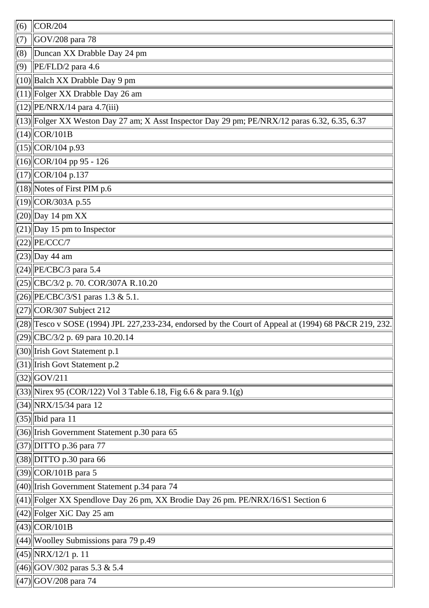| (6) | COR/204                                                                                               |
|-----|-------------------------------------------------------------------------------------------------------|
| (7) | GOV/208 para 78                                                                                       |
| (8) | Duncan XX Drabble Day 24 pm                                                                           |
| (9) | PE/FLD/2 para 4.6                                                                                     |
|     | $(10)$ Balch XX Drabble Day 9 pm                                                                      |
|     | $(11)$ Folger XX Drabble Day 26 am                                                                    |
|     | $(12)$   PE/NRX/14 para 4.7(iii)                                                                      |
|     | (13) Folger XX Weston Day 27 am; X Asst Inspector Day 29 pm; PE/NRX/12 paras 6.32, 6.35, 6.37         |
|     | $(14)\n$ COR/101B                                                                                     |
|     | $(15)\vert$ COR/104 p.93                                                                              |
|     | $(16)$ COR/104 pp 95 - 126                                                                            |
|     | $(17)$ COR/104 p.137                                                                                  |
|     | $(18)$ Notes of First PIM p.6                                                                         |
|     | $(19)$ COR/303A p.55                                                                                  |
|     | $(20)$ Day 14 pm XX                                                                                   |
|     | $(21)$ Day 15 pm to Inspector                                                                         |
|     | $(22)$  PE/CCC/7                                                                                      |
|     | $(23)$ Day 44 am                                                                                      |
|     | $(24)$   PE/CBC/3 para 5.4                                                                            |
|     | (25) CBC/3/2 p. 70. COR/307A R.10.20                                                                  |
|     | $(26)$   PE/CBC/3/S1 paras 1.3 & 5.1.                                                                 |
|     | $(27)$ COR/307 Subject 212                                                                            |
|     | (28) Tesco v SOSE (1994) JPL 227,233-234, endorsed by the Court of Appeal at (1994) 68 P&CR 219, 232. |
|     | $(29)$   CBC/3/2 p. 69 para 10.20.14                                                                  |
|     | (30) Irish Govt Statement p.1                                                                         |
|     | $(31)$ Irish Govt Statement p.2                                                                       |
|     | $(32)$ GOV/211                                                                                        |
|     | $(33)$  Nirex 95 (COR/122) Vol 3 Table 6.18, Fig 6.6 & para 9.1(g)                                    |
|     | $(34)$  NRX/15/34 para 12                                                                             |
|     | $(35)$   Ibid para 11                                                                                 |
|     | (36) Irish Government Statement p.30 para 65                                                          |
|     | $(37)$ DITTO p.36 para 77                                                                             |
|     | $(38)$ DITTO p.30 para 66                                                                             |
|     | $(39)$ COR/101B para 5                                                                                |
|     | $(40)$ Irish Government Statement p.34 para 74                                                        |
|     | (41) Folger XX Spendlove Day 26 pm, XX Brodie Day 26 pm. PE/NRX/16/S1 Section 6                       |
|     | $(42)$ Folger XiC Day 25 am                                                                           |
|     | $(43)$ COR/101B                                                                                       |
|     | $(44)$ Woolley Submissions para 79 p.49                                                               |
|     | $(45)$  NRX/12/1 p. 11                                                                                |
|     | $(46)$ GOV/302 paras 5.3 & 5.4                                                                        |
|     | $(47)$ GOV/208 para 74                                                                                |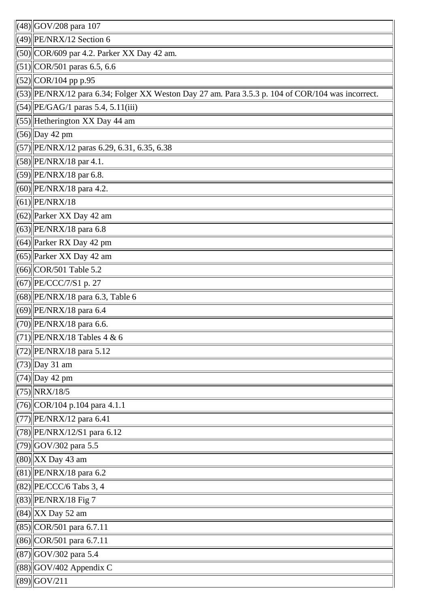| $\left  (48) \right $ GOV/208 para 107                                                                |
|-------------------------------------------------------------------------------------------------------|
| $(49)$ PE/NRX/12 Section 6                                                                            |
| $(50)$ COR/609 par 4.2. Parker XX Day 42 am.                                                          |
| $(51)$ COR/501 paras 6.5, 6.6                                                                         |
| $(52)$ COR/104 pp p.95                                                                                |
| $(53)$   PE/NRX/12 para 6.34; Folger XX Weston Day 27 am. Para 3.5.3 p. 104 of COR/104 was incorrect. |
| $(54)$  PE/GAG/1 paras 5.4, 5.11(iii)                                                                 |
| $(55)$ Hetherington XX Day 44 am                                                                      |
| $(56)$ Day 42 pm                                                                                      |
| (57)  PE/NRX/12 paras 6.29, 6.31, 6.35, 6.38                                                          |
| $(58)$   PE/NRX/18 par 4.1.                                                                           |
| (59) PE/NRX/18 par 6.8.                                                                               |
|                                                                                                       |
| (60) PE/NRX/18 para 4.2.                                                                              |
| $(61)$  PE/NRX/18                                                                                     |
| $(62)$ Parker XX Day 42 am                                                                            |
| $(63)$ PE/NRX/18 para 6.8                                                                             |
| $(64)$ Parker RX Day 42 pm                                                                            |
| $(65)$ Parker XX Day 42 am                                                                            |
| $(66)$ COR/501 Table 5.2                                                                              |
| (67) PE/CCC/7/S1 p. 27                                                                                |
| $(68)$  PE/NRX/18 para 6.3, Table 6                                                                   |
| $(69)$   PE/NRX/18 para 6.4                                                                           |
| $(70)$   PE/NRX/18 para 6.6.                                                                          |
| $(71)$ PE/NRX/18 Tables 4 & 6                                                                         |
| (72) PE/NRX/18 para 5.12                                                                              |
| $(73)$ Day 31 am                                                                                      |
| $(74)$ Day 42 pm                                                                                      |
| $(75)$ NRX/18/5                                                                                       |
| $(76)$ COR/104 p.104 para 4.1.1                                                                       |
| $(77)$  PE/NRX/12 para 6.41                                                                           |
| $(78)$ PE/NRX/12/S1 para 6.12                                                                         |
| $(79)$ GOV/302 para 5.5                                                                               |
| $(80)$ XX Day 43 am                                                                                   |
| $(81)$ PE/NRX/18 para 6.2                                                                             |
| $(82)$  PE/CCC/6 Tabs 3, 4                                                                            |
| $(83)$ PE/NRX/18 Fig 7                                                                                |
| $(84)$ XX Day 52 am                                                                                   |
| $(85)$ COR/501 para 6.7.11                                                                            |
| $(86)$ COR/501 para 6.7.11                                                                            |
| $(87)$ GOV/302 para 5.4                                                                               |
| $(88)$ GOV/402 Appendix C                                                                             |
| $(89)$ GOV/211                                                                                        |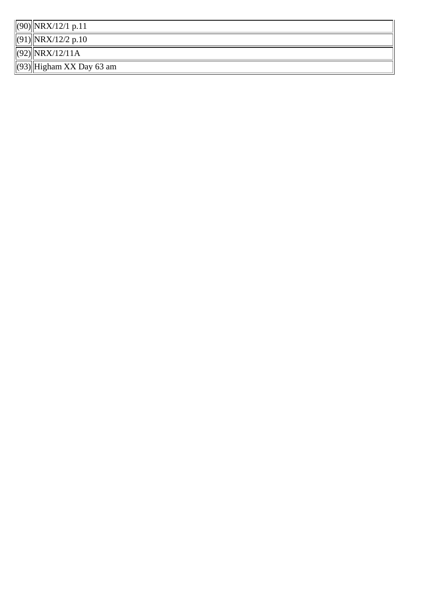(90) NRX/12/1 p.11

 $(91)$  NRX/12/2 p.10

 $(92)$  NRX/12/11A

(93) Higham XX Day 63 am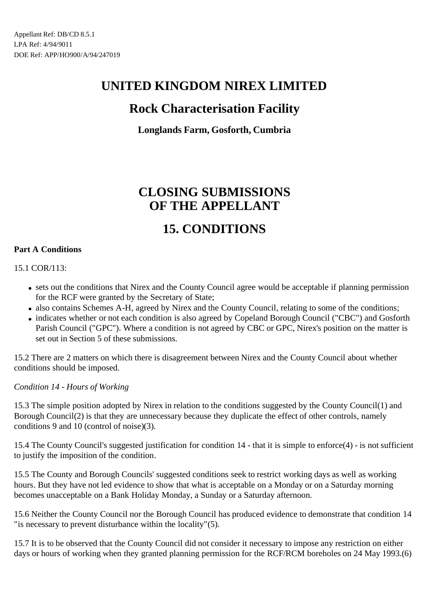# **UNITED KINGDOM NIREX LIMITED**

# **Rock Characterisation Facility**

## **Longlands Farm, Gosforth, Cumbria**

# **CLOSING SUBMISSIONS OF THE APPELLANT**

# **15. CONDITIONS**

#### **Part A Conditions**

15.1 COR/113:

- sets out the conditions that Nirex and the County Council agree would be acceptable if planning permission for the RCF were granted by the Secretary of State;
- also contains Schemes A-H, agreed by Nirex and the County Council, relating to some of the conditions;
- indicates whether or not each condition is also agreed by Copeland Borough Council ("CBC") and Gosforth Parish Council ("GPC"). Where a condition is not agreed by CBC or GPC, Nirex's position on the matter is set out in Section 5 of these submissions.

15.2 There are 2 matters on which there is disagreement between Nirex and the County Council about whether conditions should be imposed.

*Condition 14 - Hours of Working*

15.3 The simple position adopted by Nirex in relation to the conditions suggested by the County Council(1) and Borough Council(2) is that they are unnecessary because they duplicate the effect of other controls, namely conditions 9 and 10 (control of noise)(3).

15.4 The County Council's suggested justification for condition 14 - that it is simple to enforce(4) - is not sufficient to justify the imposition of the condition.

15.5 The County and Borough Councils' suggested conditions seek to restrict working days as well as working hours. But they have not led evidence to show that what is acceptable on a Monday or on a Saturday morning becomes unacceptable on a Bank Holiday Monday, a Sunday or a Saturday afternoon.

15.6 Neither the County Council nor the Borough Council has produced evidence to demonstrate that condition 14 "is necessary to prevent disturbance within the locality"(5).

15.7 It is to be observed that the County Council did not consider it necessary to impose any restriction on either days or hours of working when they granted planning permission for the RCF/RCM boreholes on 24 May 1993.(6)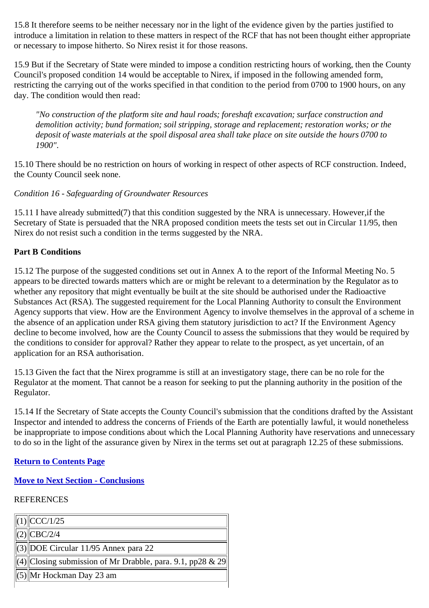15.8 It therefore seems to be neither necessary nor in the light of the evidence given by the parties justified to introduce a limitation in relation to these matters in respect of the RCF that has not been thought either appropriate or necessary to impose hitherto. So Nirex resist it for those reasons.

15.9 But if the Secretary of State were minded to impose a condition restricting hours of working, then the County Council's proposed condition 14 would be acceptable to Nirex, if imposed in the following amended form, restricting the carrying out of the works specified in that condition to the period from 0700 to 1900 hours, on any day. The condition would then read:

*"No construction of the platform site and haul roads; foreshaft excavation; surface construction and demolition activity; bund formation; soil stripping, storage and replacement; restoration works; or the deposit of waste materials at the spoil disposal area shall take place on site outside the hours 0700 to 1900".*

15.10 There should be no restriction on hours of working in respect of other aspects of RCF construction. Indeed, the County Council seek none.

*Condition 16 - Safeguarding of Groundwater Resources*

15.11 I have already submitted(7) that this condition suggested by the NRA is unnecessary. However,if the Secretary of State is persuaded that the NRA proposed condition meets the tests set out in Circular 11/95, then Nirex do not resist such a condition in the terms suggested by the NRA.

#### **Part B Conditions**

15.12 The purpose of the suggested conditions set out in Annex A to the report of the Informal Meeting No. 5 appears to be directed towards matters which are or might be relevant to a determination by the Regulator as to whether any repository that might eventually be built at the site should be authorised under the Radioactive Substances Act (RSA). The suggested requirement for the Local Planning Authority to consult the Environment Agency supports that view. How are the Environment Agency to involve themselves in the approval of a scheme in the absence of an application under RSA giving them statutory jurisdiction to act? If the Environment Agency decline to become involved, how are the County Council to assess the submissions that they would be required by the conditions to consider for approval? Rather they appear to relate to the prospect, as yet uncertain, of an application for an RSA authorisation.

15.13 Given the fact that the Nirex programme is still at an investigatory stage, there can be no role for the Regulator at the moment. That cannot be a reason for seeking to put the planning authority in the position of the Regulator.

15.14 If the Secretary of State accepts the County Council's submission that the conditions drafted by the Assistant Inspector and intended to address the concerns of Friends of the Earth are potentially lawful, it would nonetheless be inappropriate to impose conditions about which the Local Planning Authority have reservations and unnecessary to do so in the light of the assurance given by Nirex in the terms set out at paragraph 12.25 of these submissions.

#### **Return to Contents Page**

### **Move to Next Section - Conclusions**

### REFERENCES

| $\ $ (1) $\ $ CCC/1/25                                          |
|-----------------------------------------------------------------|
| $\  (2) \ $ CBC/2/4                                             |
| $\ \!\ $ (3) $\ \!\ $ DOE Circular 11/95 Annex para 22          |
| $\ $ (4) Closing submission of Mr Drabble, para. 9.1, pp28 & 29 |
| $\Vert(5)\Vert$ Mr Hockman Day 23 am                            |
|                                                                 |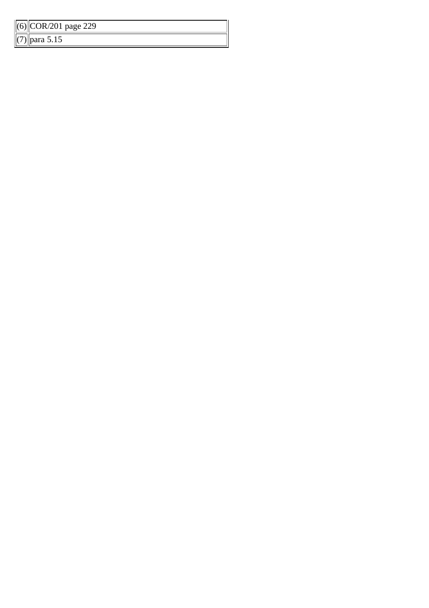| $\ $ (6) $\ $ COR/201 page 229 |  |
|--------------------------------|--|
| $\  (7) \ $ para 5.15          |  |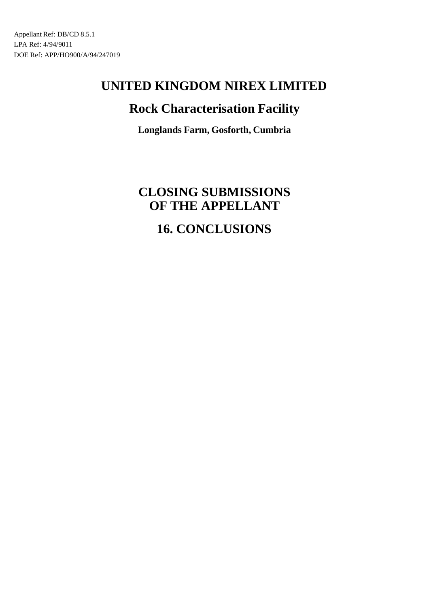# **UNITED KINGDOM NIREX LIMITED**

# **Rock Characterisation Facility**

**Longlands Farm, Gosforth, Cumbria**

# **CLOSING SUBMISSIONS OF THE APPELLANT 16. CONCLUSIONS**